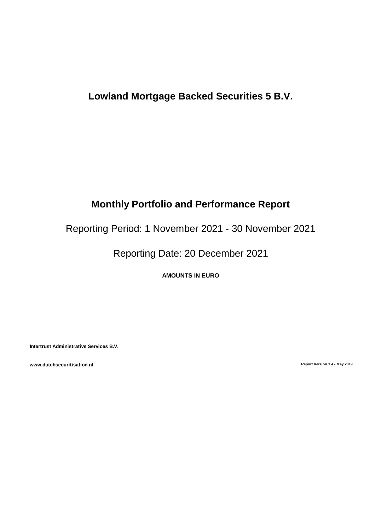# **Lowland Mortgage Backed Securities 5 B.V.**

# **Monthly Portfolio and Performance Report**

Reporting Period: 1 November 2021 - 30 November 2021

Reporting Date: 20 December 2021

**AMOUNTS IN EURO**

**Intertrust Administrative Services B.V.**

**www.dutchsecuritisation.nl Report Version 1.4 - May 2019**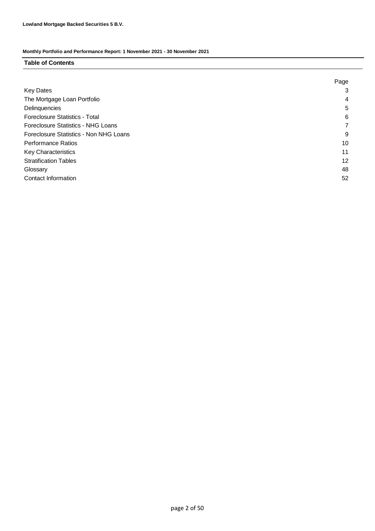### **Table of Contents**

|                                        | Page |
|----------------------------------------|------|
| <b>Key Dates</b>                       | 3    |
| The Mortgage Loan Portfolio            | 4    |
| Delinquencies                          | 5    |
| Foreclosure Statistics - Total         | 6    |
| Foreclosure Statistics - NHG Loans     |      |
| Foreclosure Statistics - Non NHG Loans | 9    |
| <b>Performance Ratios</b>              | 10   |
| <b>Key Characteristics</b>             | 11   |
| <b>Stratification Tables</b>           | 12   |
| Glossary                               | 48   |
| Contact Information                    | 52   |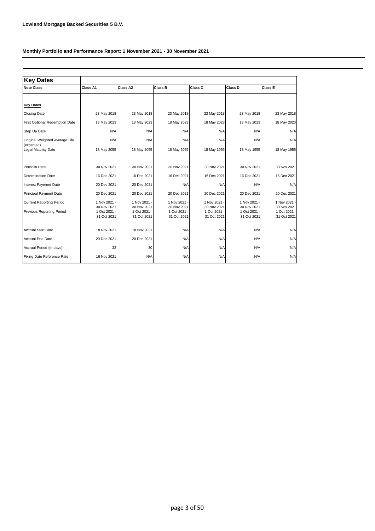| <b>Key Dates</b>                             |                             |                           |                             |                             |                             |                             |  |
|----------------------------------------------|-----------------------------|---------------------------|-----------------------------|-----------------------------|-----------------------------|-----------------------------|--|
| <b>Note Class</b>                            | Class A1                    | Class A2                  | Class B                     | Class C                     | Class D                     | <b>Class E</b>              |  |
|                                              |                             |                           |                             |                             |                             |                             |  |
| <b>Key Dates</b>                             |                             |                           |                             |                             |                             |                             |  |
| <b>Closing Date</b>                          | 23 May 2018                 | 23 May 2018               | 23 May 2018                 | 23 May 2018                 | 23 May 2018                 | 23 May 2018                 |  |
| <b>First Optional Redemption Date</b>        | 18 May 2023                 | 18 May 2023               | 18 May 2023                 | 18 May 2023                 | 18 May 2023                 | 18 May 2023                 |  |
| Step Up Date                                 | N/A                         | N/A                       | N/A                         | N/A                         | N/A                         | N/A                         |  |
| Original Weighted Average Life<br>(expected) | N/A                         | N/A                       | N/A                         | N/A                         | N/A                         | N/A                         |  |
| Legal Maturity Date                          | 18 May 2055                 | 18 May 2055               | 18 May 2055                 | 18 May 1955                 | 18 May 1955                 | 18 May 1955                 |  |
| Portfolio Date                               | 30 Nov 2021                 | 30 Nov 2021               | 30 Nov 2021                 | 30 Nov 2021                 | 30 Nov 2021                 | 30 Nov 2021                 |  |
| <b>Determination Date</b>                    | 16 Dec 2021                 | 16 Dec 2021               | 16 Dec 2021                 | 16 Dec 2021                 | 16 Dec 2021                 | 16 Dec 2021                 |  |
| <b>Interest Payment Date</b>                 | 20 Dec 2021                 | 20 Dec 2021               | N/A                         | N/A                         | N/A                         | N/A                         |  |
| Principal Payment Date                       | 20 Dec 2021                 | 20 Dec 2021               | 20 Dec 2021                 | 20 Dec 2021                 | 20 Dec 2021                 | 20 Dec 2021                 |  |
| <b>Current Reporting Period</b>              | 1 Nov 2021 -<br>30 Nov 2021 | 1 Nov 2021<br>30 Nov 2021 | 1 Nov 2021 -<br>30 Nov 2021 | 1 Nov 2021<br>30 Nov 2021   | 1 Nov 2021 -<br>30 Nov 2021 | 1 Nov 2021 -<br>30 Nov 2021 |  |
| <b>Previous Reporting Period</b>             | 1 Oct 2021 -<br>31 Oct 2021 | 1 Oct 2021<br>31 Oct 2021 | 1 Oct 2021 -<br>31 Oct 2021 | 1 Oct 2021 ·<br>31 Oct 2021 | 1 Oct 2021 -<br>31 Oct 2021 | 1 Oct 2021 -<br>31 Oct 2021 |  |
| <b>Accrual Start Date</b>                    | 18 Nov 2021                 | 18 Nov 2021               | N/A                         | N/A                         | N/A                         | N/A                         |  |
| <b>Accrual End Date</b>                      | 20 Dec 2021                 | 20 Dec 2021               | N/A                         | N/A                         | N/A                         | N/A                         |  |
| Accrual Period (in days)                     | 32                          | 30                        | N/A                         | N/A                         | N/A                         | N/A                         |  |
| Fixing Date Reference Rate                   | 16 Nov 2021                 | N/A                       | N/A                         | N/A                         | N/A                         | N/A                         |  |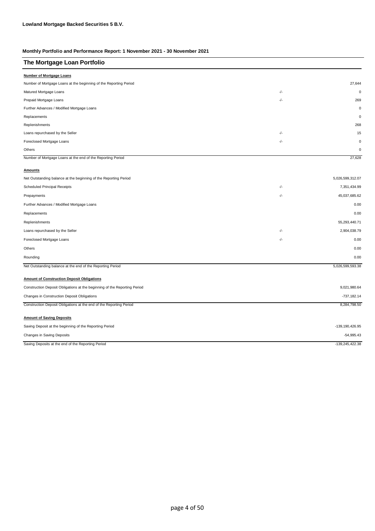| The Mortgage Loan Portfolio                                               |       |                   |
|---------------------------------------------------------------------------|-------|-------------------|
| <b>Number of Mortgage Loans</b>                                           |       |                   |
| Number of Mortgage Loans at the beginning of the Reporting Period         |       | 27,644            |
| Matured Mortgage Loans                                                    | -/-   | $\mathbf 0$       |
| Prepaid Mortgage Loans                                                    | -/-   | 269               |
| Further Advances / Modified Mortgage Loans                                |       | $\mathbf 0$       |
| Replacements                                                              |       | $\mathbf 0$       |
| Replenishments                                                            |       | 268               |
| Loans repurchased by the Seller                                           | $-/-$ | 15                |
| Foreclosed Mortgage Loans                                                 | -/-   | $\mathbf 0$       |
| Others                                                                    |       | 0                 |
| Number of Mortgage Loans at the end of the Reporting Period               |       | 27,628            |
| <b>Amounts</b>                                                            |       |                   |
| Net Outstanding balance at the beginning of the Reporting Period          |       | 5,026,599,312.07  |
| <b>Scheduled Principal Receipts</b>                                       | -/-   | 7,351,434.99      |
| Prepayments                                                               | -/-   | 45,037,685.62     |
| Further Advances / Modified Mortgage Loans                                |       | 0.00              |
| Replacements                                                              |       | 0.00              |
| Replenishments                                                            |       | 55,293,440.71     |
| Loans repurchased by the Seller                                           | -/-   | 2,904,038.79      |
| Foreclosed Mortgage Loans                                                 | $-/-$ | 0.00              |
| Others                                                                    |       | 0.00              |
| Rounding                                                                  |       | 0.00              |
| Net Outstanding balance at the end of the Reporting Period                |       | 5,026,599,593.38  |
| <b>Amount of Construction Deposit Obligations</b>                         |       |                   |
| Construction Deposit Obligations at the beginning of the Reporting Period |       | 9,021,980.64      |
| Changes in Construction Deposit Obligations                               |       | $-737,182.14$     |
| Construction Deposit Obligations at the end of the Reporting Period       |       | 8,284,798.50      |
| <b>Amount of Saving Deposits</b>                                          |       |                   |
| Saving Deposit at the beginning of the Reporting Period                   |       | -139, 190, 426.95 |
| Changes in Saving Deposits                                                |       | $-54,995.43$      |
| Saving Deposits at the end of the Reporting Period                        |       | $-139,245,422.38$ |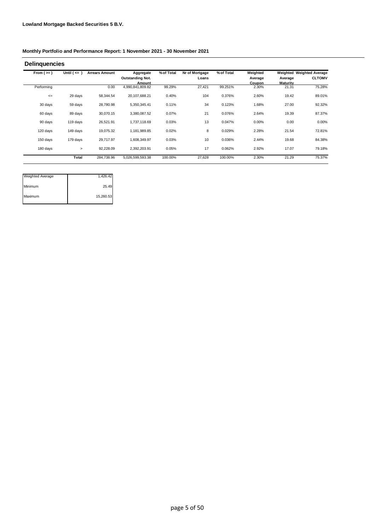| From $(>=)$ | Until $($ <= $)$ | <b>Arrears Amount</b> | Aggregate               | % of Total | Nr of Mortgage | % of Total | Weighted |                 | Weighted Weighted Average |
|-------------|------------------|-----------------------|-------------------------|------------|----------------|------------|----------|-----------------|---------------------------|
|             |                  |                       | <b>Outstanding Not.</b> |            | Loans          |            | Average  | Average         | <b>CLTOMV</b>             |
|             |                  |                       | Amount                  |            |                |            | Coupon   | <b>Maturity</b> |                           |
| Performing  |                  | 0.00                  | 4,990,841,809.82        | 99.29%     | 27,421         | 99.251%    | 2.30%    | 21.31           | 75.28%                    |
| $\leq$      | 29 days          | 58,344.54             | 20,107,688.21           | 0.40%      | 104            | 0.376%     | 2.60%    | 19.42           | 89.01%                    |
| 30 days     | 59 days          | 28,780.98             | 5,350,345.41            | 0.11%      | 34             | 0.123%     | 1.68%    | 27.00           | 92.32%                    |
| 60 days     | 89 days          | 30,070.15             | 3,380,087.52            | 0.07%      | 21             | 0.076%     | 2.64%    | 19.39           | 87.37%                    |
| 90 days     | 119 days         | 26,521.91             | 1,737,118.69            | 0.03%      | 13             | 0.047%     | 0.00%    | 0.00            | 0.00%                     |
| 120 days    | 149 days         | 19,075.32             | 1,181,989.85            | 0.02%      | 8              | 0.029%     | 2.28%    | 21.54           | 72.81%                    |
| 150 days    | 179 days         | 29,717.97             | 1,608,349.97            | 0.03%      | 10             | 0.036%     | 2.44%    | 19.68           | 84.38%                    |
| 180 days    | $\,>\,$          | 92,228.09             | 2,392,203.91            | 0.05%      | 17             | 0.062%     | 2.92%    | 17.07           | 79.18%                    |
|             | Total            | 284,738.96            | 5,026,599,593.38        | 100.00%    | 27,628         | 100.00%    | 2.30%    | 21.29           | 75.37%                    |

| <b>Weighted Average</b> | 1,426.42  |
|-------------------------|-----------|
| Minimum                 | 25.49     |
| Maximum                 | 15,260.53 |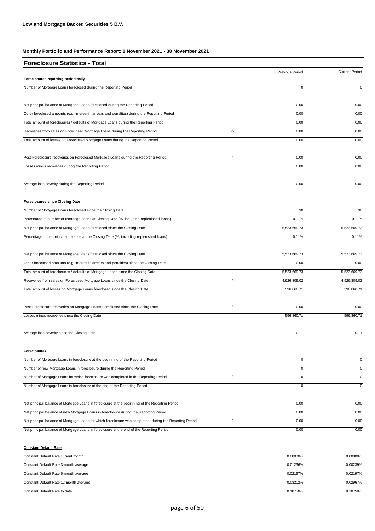| <b>Foreclosure Statistics - Total</b>                                                                   |       |                 |                       |
|---------------------------------------------------------------------------------------------------------|-------|-----------------|-----------------------|
|                                                                                                         |       | Previous Period | <b>Current Period</b> |
| Foreclosures reporting periodically                                                                     |       |                 |                       |
| Number of Mortgage Loans foreclosed during the Reporting Period                                         |       | $\pmb{0}$       | 0                     |
| Net principal balance of Mortgage Loans foreclosed during the Reporting Period                          |       | 0.00            | 0.00                  |
| Other foreclosed amounts (e.g. interest in arrears and penalties) during the Reporting Period           |       | 0.00            | 0.00                  |
| Total amount of foreclosures / defaults of Mortgage Loans during the Reporting Period                   |       | 0.00            | 0.00                  |
| Recoveries from sales on Foreclosed Mortgage Loans during the Reporting Period                          | $-/-$ | 0.00            | 0.00                  |
| Total amount of losses on Foreclosed Mortgage Loans during the Reporting Period                         |       | 0.00            | 0.00                  |
| Post-Foreclosure recoveries on Foreclosed Mortgage Loans during the Reporting Period                    | -/-   | 0.00            | 0.00                  |
| Losses minus recoveries during the Reporting Period                                                     |       | 0.00            | 0.00                  |
| Average loss severity during the Reporting Period                                                       |       | 0.00            | 0.00                  |
| <b>Foreclosures since Closing Date</b>                                                                  |       |                 |                       |
| Number of Mortgage Loans foreclosed since the Closing Date                                              |       | 30              | 30                    |
| Percentage of number of Mortgage Loans at Closing Date (%, including replenished loans)                 |       | 0.11%           | 0.11%                 |
| Net principal balance of Mortgage Loans foreclosed since the Closing Date                               |       | 5,523,669.73    | 5,523,669.73          |
| Percentage of net principal balance at the Closing Date (%, including replenished loans)                |       | 0.11%           | 0.11%                 |
| Net principal balance of Mortgage Loans foreclosed since the Closing Date                               |       | 5,523,669.73    | 5,523,669.73          |
| Other foreclosed amounts (e.g. interest in arrears and penalties) since the Closing Date                |       | 0.00            | 0.00                  |
| Total amount of foreclosures / defaults of Mortgage Loans since the Closing Date                        |       | 5,523,669.73    | 5,523,669.73          |
| Recoveries from sales on Foreclosed Mortgage Loans since the Closing Date                               | $-/-$ | 4,926,809.02    | 4,926,809.02          |
| Total amount of losses on Mortgage Loans foreclosed since the Closing Date                              |       | 596,860.71      | 596,860.71            |
| Post-Foreclosure recoveries on Mortgage Loans Foreclosed since the Closing Date                         | -/-   | 0.00            | 0.00                  |
| Losses minus recoveries since the Closing Date                                                          |       | 596,860.71      | 596,860.71            |
| Average loss severity since the Closing Date                                                            |       | 0.11            | 0.11                  |
| <b>Foreclosures</b>                                                                                     |       |                 |                       |
| Number of Mortgage Loans in foreclosure at the beginning of the Reporting Period                        |       | 0               | $\Omega$              |
| Number of new Mortgage Loans in foreclosure during the Reporting Period                                 |       | 0               | $\mathbf 0$           |
| Number of Mortgage Loans for which foreclosure was completed in the Reporting Period                    | -/-   | 0               | 0                     |
| Number of Mortgage Loans in foreclosure at the end of the Reporting Period                              |       | 0               | $\mathbf 0$           |
| Net principal balance of Mortgage Loans in foreclosure at the beginning of the Reporting Period         |       | 0.00            | 0.00                  |
| Net principal balance of new Mortgage Loans in foreclosure during the Reporting Period                  |       | 0.00            | 0.00                  |
| Net principal balance of Mortgage Loans for which foreclosure was completed during the Reporting Period | -/-   | 0.00            | 0.00                  |
| Net principal balance of Mortgage Loans in foreclosure at the end of the Reporting Period               |       | 0.00            | 0.00                  |

**Constant Default Rate** Constant Default Rate current month 0.00000% Constant Default Rate 3-month average 0.00239% Constant Default Rate 6-month average 0.02197% Constant Default Rate 12-month average 0.02967% Constant Default Rate to date and the constant Default Rate to date of the constant Default Rate to date of the constant Default Rate to date of the constant Default Rate to date 0.10750% 0.01236% 0.02197% 0.03212% 0.00000%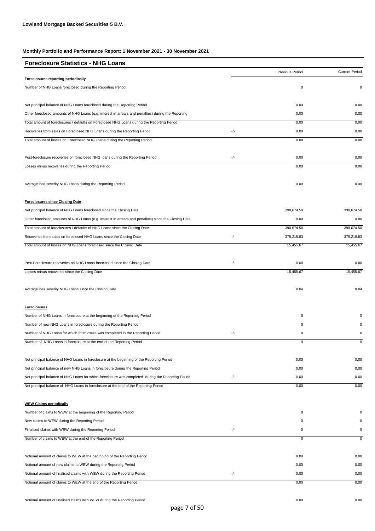| <b>Current Period</b><br>Previous Period<br>Foreclosures reporting periodically<br>$\mathbf 0$<br>Number of NHG Loans foreclosed during the Reporting Period<br>0<br>Net principal balance of NHG Loans foreclosed during the Reporting Period<br>0.00<br>0.00<br>Other foreclosed amounts of NHG Loans (e.g. interest in arrears and penalties) during the Reporting<br>0.00<br>0.00<br>Total amount of foreclosures / defaults on Foreclosed NHG Loans during the Reporting Period<br>0.00<br>0.00<br>-/-<br>Recoveries from sales on Foreclosed NHG Loans during the Reporting Period<br>0.00<br>0.00<br>Total amount of losses on Foreclosed NHG Loans during the Reporting Period<br>0.00<br>0.00<br>-/-<br>Post-foreclosure recoveries on foreclosed NHG loans during the Reporting Period<br>0.00<br>0.00<br>Losses minus recoveries during the Reporting Period<br>0.00<br>0.00<br>Average loss severity NHG Loans during the Reporting Period<br>0.00<br>0.00<br><b>Foreclosures since Closing Date</b><br>Net principal balance of NHG Loans foreclosed since the Closing Date<br>390,674.50<br>390,674.50<br>0.00<br>0.00<br>Other foreclosed amounts of NHG Loans (e.g. interest in arrears and penalties) since the Closing Date<br>390,674.50<br>390.674.50<br>Total amount of foreclosures / defaults of NHG Loans since the Closing Date<br>-/-<br>Recoveries from sales on foreclosed NHG Loans since the Closing Date<br>375,218.83<br>375,218.83<br>15,455.67<br>Total amount of losses on NHG Loans foreclosed since the Closing Date<br>15,455.67<br>-/-<br>Post-Foreclosure recoveries on NHG Loans foreclosed since the Closing Date<br>0.00<br>0.00<br>Losses minus recoveries since the Closing Date<br>15,455.67<br>15,455.67<br>Average loss severity NHG Loans since the Closing Date<br>0.04<br>0.04<br><b>Foreclosures</b><br>Number of NHG Loans in foreclosure at the beginning of the Reporting Period<br>0<br>Number of new NHG Loans in foreclosure during the Reporting Period<br>0<br>Number of NHG Loans for which foreclosure was completed in the Reporting Period<br>-/-<br>0<br>$\mathbf 0$<br>Number of NHG Loans in foreclosure at the end of the Reporting Period<br>0.00<br>0.00<br>Net principal balance of NHG Loans in foreclosure at the beginning of the Reporting Period<br>0.00<br>Net principal balance of new NHG Loans in foreclosure during the Reporting Period<br>0.00<br>-/-<br>Net principal balance of NHG Loans for which foreclosure was completed during the Reporting Period<br>0.00<br>0.00<br>0.00<br>Net principal balance of NHG Loans in foreclosure at the end of the Reporting Period<br>0.00<br><b>WEW Claims periodically</b><br>Number of claims to WEW at the beginning of the Reporting Period<br>0<br>$\Omega$<br>New claims to WEW during the Reporting Period<br>0<br>$\mathbf 0$<br>-/-<br>$\mathsf{O}\xspace$<br>Finalised claims with WEW during the Reporting Period<br>0<br>Number of claims to WEW at the end of the Reporting Period<br>$\overline{0}$<br>0<br>0.00<br>Notional amount of claims to WEW at the beginning of the Reporting Period<br>0.00<br>Notional amount of new claims to WEW during the Reporting Period<br>0.00<br>0.00<br>-/-<br>Notional amount of finalised claims with WEW during the Reporting Period<br>0.00<br>0.00<br>Notional amount of claims to WEW at the end of the Reporting Period<br>0.00<br>0.00 | <b>Foreclosure Statistics - NHG Loans</b> |  |  |
|--------------------------------------------------------------------------------------------------------------------------------------------------------------------------------------------------------------------------------------------------------------------------------------------------------------------------------------------------------------------------------------------------------------------------------------------------------------------------------------------------------------------------------------------------------------------------------------------------------------------------------------------------------------------------------------------------------------------------------------------------------------------------------------------------------------------------------------------------------------------------------------------------------------------------------------------------------------------------------------------------------------------------------------------------------------------------------------------------------------------------------------------------------------------------------------------------------------------------------------------------------------------------------------------------------------------------------------------------------------------------------------------------------------------------------------------------------------------------------------------------------------------------------------------------------------------------------------------------------------------------------------------------------------------------------------------------------------------------------------------------------------------------------------------------------------------------------------------------------------------------------------------------------------------------------------------------------------------------------------------------------------------------------------------------------------------------------------------------------------------------------------------------------------------------------------------------------------------------------------------------------------------------------------------------------------------------------------------------------------------------------------------------------------------------------------------------------------------------------------------------------------------------------------------------------------------------------------------------------------------------------------------------------------------------------------------------------------------------------------------------------------------------------------------------------------------------------------------------------------------------------------------------------------------------------------------------------------------------------------------------------------------------------------------------------------------------------------------------------------------------------------------------------------------------------------------------------------------------------------------------------------------------------------------------------------------------------------------------------------------------------------------------------------------------------|-------------------------------------------|--|--|
|                                                                                                                                                                                                                                                                                                                                                                                                                                                                                                                                                                                                                                                                                                                                                                                                                                                                                                                                                                                                                                                                                                                                                                                                                                                                                                                                                                                                                                                                                                                                                                                                                                                                                                                                                                                                                                                                                                                                                                                                                                                                                                                                                                                                                                                                                                                                                                                                                                                                                                                                                                                                                                                                                                                                                                                                                                                                                                                                                                                                                                                                                                                                                                                                                                                                                                                                                                                                                                |                                           |  |  |
|                                                                                                                                                                                                                                                                                                                                                                                                                                                                                                                                                                                                                                                                                                                                                                                                                                                                                                                                                                                                                                                                                                                                                                                                                                                                                                                                                                                                                                                                                                                                                                                                                                                                                                                                                                                                                                                                                                                                                                                                                                                                                                                                                                                                                                                                                                                                                                                                                                                                                                                                                                                                                                                                                                                                                                                                                                                                                                                                                                                                                                                                                                                                                                                                                                                                                                                                                                                                                                |                                           |  |  |
|                                                                                                                                                                                                                                                                                                                                                                                                                                                                                                                                                                                                                                                                                                                                                                                                                                                                                                                                                                                                                                                                                                                                                                                                                                                                                                                                                                                                                                                                                                                                                                                                                                                                                                                                                                                                                                                                                                                                                                                                                                                                                                                                                                                                                                                                                                                                                                                                                                                                                                                                                                                                                                                                                                                                                                                                                                                                                                                                                                                                                                                                                                                                                                                                                                                                                                                                                                                                                                |                                           |  |  |
|                                                                                                                                                                                                                                                                                                                                                                                                                                                                                                                                                                                                                                                                                                                                                                                                                                                                                                                                                                                                                                                                                                                                                                                                                                                                                                                                                                                                                                                                                                                                                                                                                                                                                                                                                                                                                                                                                                                                                                                                                                                                                                                                                                                                                                                                                                                                                                                                                                                                                                                                                                                                                                                                                                                                                                                                                                                                                                                                                                                                                                                                                                                                                                                                                                                                                                                                                                                                                                |                                           |  |  |
|                                                                                                                                                                                                                                                                                                                                                                                                                                                                                                                                                                                                                                                                                                                                                                                                                                                                                                                                                                                                                                                                                                                                                                                                                                                                                                                                                                                                                                                                                                                                                                                                                                                                                                                                                                                                                                                                                                                                                                                                                                                                                                                                                                                                                                                                                                                                                                                                                                                                                                                                                                                                                                                                                                                                                                                                                                                                                                                                                                                                                                                                                                                                                                                                                                                                                                                                                                                                                                |                                           |  |  |
|                                                                                                                                                                                                                                                                                                                                                                                                                                                                                                                                                                                                                                                                                                                                                                                                                                                                                                                                                                                                                                                                                                                                                                                                                                                                                                                                                                                                                                                                                                                                                                                                                                                                                                                                                                                                                                                                                                                                                                                                                                                                                                                                                                                                                                                                                                                                                                                                                                                                                                                                                                                                                                                                                                                                                                                                                                                                                                                                                                                                                                                                                                                                                                                                                                                                                                                                                                                                                                |                                           |  |  |
|                                                                                                                                                                                                                                                                                                                                                                                                                                                                                                                                                                                                                                                                                                                                                                                                                                                                                                                                                                                                                                                                                                                                                                                                                                                                                                                                                                                                                                                                                                                                                                                                                                                                                                                                                                                                                                                                                                                                                                                                                                                                                                                                                                                                                                                                                                                                                                                                                                                                                                                                                                                                                                                                                                                                                                                                                                                                                                                                                                                                                                                                                                                                                                                                                                                                                                                                                                                                                                |                                           |  |  |
|                                                                                                                                                                                                                                                                                                                                                                                                                                                                                                                                                                                                                                                                                                                                                                                                                                                                                                                                                                                                                                                                                                                                                                                                                                                                                                                                                                                                                                                                                                                                                                                                                                                                                                                                                                                                                                                                                                                                                                                                                                                                                                                                                                                                                                                                                                                                                                                                                                                                                                                                                                                                                                                                                                                                                                                                                                                                                                                                                                                                                                                                                                                                                                                                                                                                                                                                                                                                                                |                                           |  |  |
|                                                                                                                                                                                                                                                                                                                                                                                                                                                                                                                                                                                                                                                                                                                                                                                                                                                                                                                                                                                                                                                                                                                                                                                                                                                                                                                                                                                                                                                                                                                                                                                                                                                                                                                                                                                                                                                                                                                                                                                                                                                                                                                                                                                                                                                                                                                                                                                                                                                                                                                                                                                                                                                                                                                                                                                                                                                                                                                                                                                                                                                                                                                                                                                                                                                                                                                                                                                                                                |                                           |  |  |
|                                                                                                                                                                                                                                                                                                                                                                                                                                                                                                                                                                                                                                                                                                                                                                                                                                                                                                                                                                                                                                                                                                                                                                                                                                                                                                                                                                                                                                                                                                                                                                                                                                                                                                                                                                                                                                                                                                                                                                                                                                                                                                                                                                                                                                                                                                                                                                                                                                                                                                                                                                                                                                                                                                                                                                                                                                                                                                                                                                                                                                                                                                                                                                                                                                                                                                                                                                                                                                |                                           |  |  |
|                                                                                                                                                                                                                                                                                                                                                                                                                                                                                                                                                                                                                                                                                                                                                                                                                                                                                                                                                                                                                                                                                                                                                                                                                                                                                                                                                                                                                                                                                                                                                                                                                                                                                                                                                                                                                                                                                                                                                                                                                                                                                                                                                                                                                                                                                                                                                                                                                                                                                                                                                                                                                                                                                                                                                                                                                                                                                                                                                                                                                                                                                                                                                                                                                                                                                                                                                                                                                                |                                           |  |  |
|                                                                                                                                                                                                                                                                                                                                                                                                                                                                                                                                                                                                                                                                                                                                                                                                                                                                                                                                                                                                                                                                                                                                                                                                                                                                                                                                                                                                                                                                                                                                                                                                                                                                                                                                                                                                                                                                                                                                                                                                                                                                                                                                                                                                                                                                                                                                                                                                                                                                                                                                                                                                                                                                                                                                                                                                                                                                                                                                                                                                                                                                                                                                                                                                                                                                                                                                                                                                                                |                                           |  |  |
|                                                                                                                                                                                                                                                                                                                                                                                                                                                                                                                                                                                                                                                                                                                                                                                                                                                                                                                                                                                                                                                                                                                                                                                                                                                                                                                                                                                                                                                                                                                                                                                                                                                                                                                                                                                                                                                                                                                                                                                                                                                                                                                                                                                                                                                                                                                                                                                                                                                                                                                                                                                                                                                                                                                                                                                                                                                                                                                                                                                                                                                                                                                                                                                                                                                                                                                                                                                                                                |                                           |  |  |
|                                                                                                                                                                                                                                                                                                                                                                                                                                                                                                                                                                                                                                                                                                                                                                                                                                                                                                                                                                                                                                                                                                                                                                                                                                                                                                                                                                                                                                                                                                                                                                                                                                                                                                                                                                                                                                                                                                                                                                                                                                                                                                                                                                                                                                                                                                                                                                                                                                                                                                                                                                                                                                                                                                                                                                                                                                                                                                                                                                                                                                                                                                                                                                                                                                                                                                                                                                                                                                |                                           |  |  |
|                                                                                                                                                                                                                                                                                                                                                                                                                                                                                                                                                                                                                                                                                                                                                                                                                                                                                                                                                                                                                                                                                                                                                                                                                                                                                                                                                                                                                                                                                                                                                                                                                                                                                                                                                                                                                                                                                                                                                                                                                                                                                                                                                                                                                                                                                                                                                                                                                                                                                                                                                                                                                                                                                                                                                                                                                                                                                                                                                                                                                                                                                                                                                                                                                                                                                                                                                                                                                                |                                           |  |  |
|                                                                                                                                                                                                                                                                                                                                                                                                                                                                                                                                                                                                                                                                                                                                                                                                                                                                                                                                                                                                                                                                                                                                                                                                                                                                                                                                                                                                                                                                                                                                                                                                                                                                                                                                                                                                                                                                                                                                                                                                                                                                                                                                                                                                                                                                                                                                                                                                                                                                                                                                                                                                                                                                                                                                                                                                                                                                                                                                                                                                                                                                                                                                                                                                                                                                                                                                                                                                                                |                                           |  |  |
|                                                                                                                                                                                                                                                                                                                                                                                                                                                                                                                                                                                                                                                                                                                                                                                                                                                                                                                                                                                                                                                                                                                                                                                                                                                                                                                                                                                                                                                                                                                                                                                                                                                                                                                                                                                                                                                                                                                                                                                                                                                                                                                                                                                                                                                                                                                                                                                                                                                                                                                                                                                                                                                                                                                                                                                                                                                                                                                                                                                                                                                                                                                                                                                                                                                                                                                                                                                                                                |                                           |  |  |
|                                                                                                                                                                                                                                                                                                                                                                                                                                                                                                                                                                                                                                                                                                                                                                                                                                                                                                                                                                                                                                                                                                                                                                                                                                                                                                                                                                                                                                                                                                                                                                                                                                                                                                                                                                                                                                                                                                                                                                                                                                                                                                                                                                                                                                                                                                                                                                                                                                                                                                                                                                                                                                                                                                                                                                                                                                                                                                                                                                                                                                                                                                                                                                                                                                                                                                                                                                                                                                |                                           |  |  |
|                                                                                                                                                                                                                                                                                                                                                                                                                                                                                                                                                                                                                                                                                                                                                                                                                                                                                                                                                                                                                                                                                                                                                                                                                                                                                                                                                                                                                                                                                                                                                                                                                                                                                                                                                                                                                                                                                                                                                                                                                                                                                                                                                                                                                                                                                                                                                                                                                                                                                                                                                                                                                                                                                                                                                                                                                                                                                                                                                                                                                                                                                                                                                                                                                                                                                                                                                                                                                                |                                           |  |  |
|                                                                                                                                                                                                                                                                                                                                                                                                                                                                                                                                                                                                                                                                                                                                                                                                                                                                                                                                                                                                                                                                                                                                                                                                                                                                                                                                                                                                                                                                                                                                                                                                                                                                                                                                                                                                                                                                                                                                                                                                                                                                                                                                                                                                                                                                                                                                                                                                                                                                                                                                                                                                                                                                                                                                                                                                                                                                                                                                                                                                                                                                                                                                                                                                                                                                                                                                                                                                                                |                                           |  |  |
|                                                                                                                                                                                                                                                                                                                                                                                                                                                                                                                                                                                                                                                                                                                                                                                                                                                                                                                                                                                                                                                                                                                                                                                                                                                                                                                                                                                                                                                                                                                                                                                                                                                                                                                                                                                                                                                                                                                                                                                                                                                                                                                                                                                                                                                                                                                                                                                                                                                                                                                                                                                                                                                                                                                                                                                                                                                                                                                                                                                                                                                                                                                                                                                                                                                                                                                                                                                                                                |                                           |  |  |
|                                                                                                                                                                                                                                                                                                                                                                                                                                                                                                                                                                                                                                                                                                                                                                                                                                                                                                                                                                                                                                                                                                                                                                                                                                                                                                                                                                                                                                                                                                                                                                                                                                                                                                                                                                                                                                                                                                                                                                                                                                                                                                                                                                                                                                                                                                                                                                                                                                                                                                                                                                                                                                                                                                                                                                                                                                                                                                                                                                                                                                                                                                                                                                                                                                                                                                                                                                                                                                |                                           |  |  |
|                                                                                                                                                                                                                                                                                                                                                                                                                                                                                                                                                                                                                                                                                                                                                                                                                                                                                                                                                                                                                                                                                                                                                                                                                                                                                                                                                                                                                                                                                                                                                                                                                                                                                                                                                                                                                                                                                                                                                                                                                                                                                                                                                                                                                                                                                                                                                                                                                                                                                                                                                                                                                                                                                                                                                                                                                                                                                                                                                                                                                                                                                                                                                                                                                                                                                                                                                                                                                                |                                           |  |  |
|                                                                                                                                                                                                                                                                                                                                                                                                                                                                                                                                                                                                                                                                                                                                                                                                                                                                                                                                                                                                                                                                                                                                                                                                                                                                                                                                                                                                                                                                                                                                                                                                                                                                                                                                                                                                                                                                                                                                                                                                                                                                                                                                                                                                                                                                                                                                                                                                                                                                                                                                                                                                                                                                                                                                                                                                                                                                                                                                                                                                                                                                                                                                                                                                                                                                                                                                                                                                                                |                                           |  |  |
|                                                                                                                                                                                                                                                                                                                                                                                                                                                                                                                                                                                                                                                                                                                                                                                                                                                                                                                                                                                                                                                                                                                                                                                                                                                                                                                                                                                                                                                                                                                                                                                                                                                                                                                                                                                                                                                                                                                                                                                                                                                                                                                                                                                                                                                                                                                                                                                                                                                                                                                                                                                                                                                                                                                                                                                                                                                                                                                                                                                                                                                                                                                                                                                                                                                                                                                                                                                                                                |                                           |  |  |
|                                                                                                                                                                                                                                                                                                                                                                                                                                                                                                                                                                                                                                                                                                                                                                                                                                                                                                                                                                                                                                                                                                                                                                                                                                                                                                                                                                                                                                                                                                                                                                                                                                                                                                                                                                                                                                                                                                                                                                                                                                                                                                                                                                                                                                                                                                                                                                                                                                                                                                                                                                                                                                                                                                                                                                                                                                                                                                                                                                                                                                                                                                                                                                                                                                                                                                                                                                                                                                |                                           |  |  |
|                                                                                                                                                                                                                                                                                                                                                                                                                                                                                                                                                                                                                                                                                                                                                                                                                                                                                                                                                                                                                                                                                                                                                                                                                                                                                                                                                                                                                                                                                                                                                                                                                                                                                                                                                                                                                                                                                                                                                                                                                                                                                                                                                                                                                                                                                                                                                                                                                                                                                                                                                                                                                                                                                                                                                                                                                                                                                                                                                                                                                                                                                                                                                                                                                                                                                                                                                                                                                                |                                           |  |  |
|                                                                                                                                                                                                                                                                                                                                                                                                                                                                                                                                                                                                                                                                                                                                                                                                                                                                                                                                                                                                                                                                                                                                                                                                                                                                                                                                                                                                                                                                                                                                                                                                                                                                                                                                                                                                                                                                                                                                                                                                                                                                                                                                                                                                                                                                                                                                                                                                                                                                                                                                                                                                                                                                                                                                                                                                                                                                                                                                                                                                                                                                                                                                                                                                                                                                                                                                                                                                                                |                                           |  |  |
|                                                                                                                                                                                                                                                                                                                                                                                                                                                                                                                                                                                                                                                                                                                                                                                                                                                                                                                                                                                                                                                                                                                                                                                                                                                                                                                                                                                                                                                                                                                                                                                                                                                                                                                                                                                                                                                                                                                                                                                                                                                                                                                                                                                                                                                                                                                                                                                                                                                                                                                                                                                                                                                                                                                                                                                                                                                                                                                                                                                                                                                                                                                                                                                                                                                                                                                                                                                                                                |                                           |  |  |
|                                                                                                                                                                                                                                                                                                                                                                                                                                                                                                                                                                                                                                                                                                                                                                                                                                                                                                                                                                                                                                                                                                                                                                                                                                                                                                                                                                                                                                                                                                                                                                                                                                                                                                                                                                                                                                                                                                                                                                                                                                                                                                                                                                                                                                                                                                                                                                                                                                                                                                                                                                                                                                                                                                                                                                                                                                                                                                                                                                                                                                                                                                                                                                                                                                                                                                                                                                                                                                |                                           |  |  |
|                                                                                                                                                                                                                                                                                                                                                                                                                                                                                                                                                                                                                                                                                                                                                                                                                                                                                                                                                                                                                                                                                                                                                                                                                                                                                                                                                                                                                                                                                                                                                                                                                                                                                                                                                                                                                                                                                                                                                                                                                                                                                                                                                                                                                                                                                                                                                                                                                                                                                                                                                                                                                                                                                                                                                                                                                                                                                                                                                                                                                                                                                                                                                                                                                                                                                                                                                                                                                                |                                           |  |  |
|                                                                                                                                                                                                                                                                                                                                                                                                                                                                                                                                                                                                                                                                                                                                                                                                                                                                                                                                                                                                                                                                                                                                                                                                                                                                                                                                                                                                                                                                                                                                                                                                                                                                                                                                                                                                                                                                                                                                                                                                                                                                                                                                                                                                                                                                                                                                                                                                                                                                                                                                                                                                                                                                                                                                                                                                                                                                                                                                                                                                                                                                                                                                                                                                                                                                                                                                                                                                                                |                                           |  |  |
|                                                                                                                                                                                                                                                                                                                                                                                                                                                                                                                                                                                                                                                                                                                                                                                                                                                                                                                                                                                                                                                                                                                                                                                                                                                                                                                                                                                                                                                                                                                                                                                                                                                                                                                                                                                                                                                                                                                                                                                                                                                                                                                                                                                                                                                                                                                                                                                                                                                                                                                                                                                                                                                                                                                                                                                                                                                                                                                                                                                                                                                                                                                                                                                                                                                                                                                                                                                                                                |                                           |  |  |
|                                                                                                                                                                                                                                                                                                                                                                                                                                                                                                                                                                                                                                                                                                                                                                                                                                                                                                                                                                                                                                                                                                                                                                                                                                                                                                                                                                                                                                                                                                                                                                                                                                                                                                                                                                                                                                                                                                                                                                                                                                                                                                                                                                                                                                                                                                                                                                                                                                                                                                                                                                                                                                                                                                                                                                                                                                                                                                                                                                                                                                                                                                                                                                                                                                                                                                                                                                                                                                |                                           |  |  |
|                                                                                                                                                                                                                                                                                                                                                                                                                                                                                                                                                                                                                                                                                                                                                                                                                                                                                                                                                                                                                                                                                                                                                                                                                                                                                                                                                                                                                                                                                                                                                                                                                                                                                                                                                                                                                                                                                                                                                                                                                                                                                                                                                                                                                                                                                                                                                                                                                                                                                                                                                                                                                                                                                                                                                                                                                                                                                                                                                                                                                                                                                                                                                                                                                                                                                                                                                                                                                                |                                           |  |  |
|                                                                                                                                                                                                                                                                                                                                                                                                                                                                                                                                                                                                                                                                                                                                                                                                                                                                                                                                                                                                                                                                                                                                                                                                                                                                                                                                                                                                                                                                                                                                                                                                                                                                                                                                                                                                                                                                                                                                                                                                                                                                                                                                                                                                                                                                                                                                                                                                                                                                                                                                                                                                                                                                                                                                                                                                                                                                                                                                                                                                                                                                                                                                                                                                                                                                                                                                                                                                                                |                                           |  |  |
|                                                                                                                                                                                                                                                                                                                                                                                                                                                                                                                                                                                                                                                                                                                                                                                                                                                                                                                                                                                                                                                                                                                                                                                                                                                                                                                                                                                                                                                                                                                                                                                                                                                                                                                                                                                                                                                                                                                                                                                                                                                                                                                                                                                                                                                                                                                                                                                                                                                                                                                                                                                                                                                                                                                                                                                                                                                                                                                                                                                                                                                                                                                                                                                                                                                                                                                                                                                                                                |                                           |  |  |
|                                                                                                                                                                                                                                                                                                                                                                                                                                                                                                                                                                                                                                                                                                                                                                                                                                                                                                                                                                                                                                                                                                                                                                                                                                                                                                                                                                                                                                                                                                                                                                                                                                                                                                                                                                                                                                                                                                                                                                                                                                                                                                                                                                                                                                                                                                                                                                                                                                                                                                                                                                                                                                                                                                                                                                                                                                                                                                                                                                                                                                                                                                                                                                                                                                                                                                                                                                                                                                |                                           |  |  |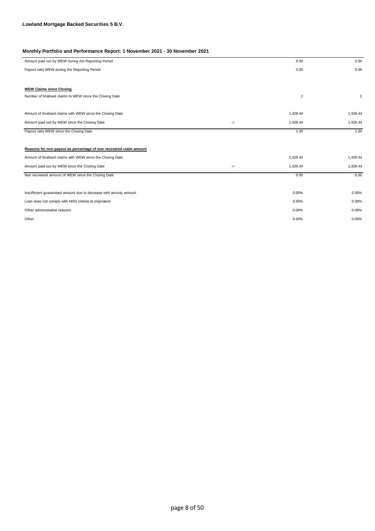| Amount paid out by WEW during the Reporting Period                 |       | 0.00           | 0.00         |
|--------------------------------------------------------------------|-------|----------------|--------------|
| Payout ratio WEW during the Reporting Period                       |       | 0.00           | 0.00         |
|                                                                    |       |                |              |
| <b>WEW Claims since Closing</b>                                    |       |                |              |
| Number of finalised claims to WEW since the Closing Date           |       | $\overline{1}$ | $\mathbf{1}$ |
|                                                                    |       |                |              |
| Amount of finalised claims with WEW since the Closing Date         |       | 1,428.44       | 1,428.44     |
| Amount paid out by WEW since the Closing Date                      | $-/-$ | 1,428.44       | 1,428.44     |
| Payout ratio WEW since the Closing Date                            |       | 1.00           | 1.00         |
|                                                                    |       |                |              |
| Reasons for non payout as percentage of non recovered claim amount |       |                |              |
| Amount of finalised claims with WEW since the Closing Date         |       | 1,428.44       | 1,428.44     |
| Amount paid out by WEW since the Closing Date                      | $-/-$ | 1,428.44       | 1,428.44     |
| Non recovered amount of WEW since the Closing Date                 |       | 0.00           | 0.00         |
|                                                                    |       |                |              |
| Insufficient guaranteed amount due to decrease with annuity amount |       | 0.00%          | 0.00%        |
| Loan does not comply with NHG criteria at origination              |       | 0.00%          | 0.00%        |
| Other administrative reasons                                       |       | 0.00%          | 0.00%        |
| Other                                                              |       | 0.00%          | 0.00%        |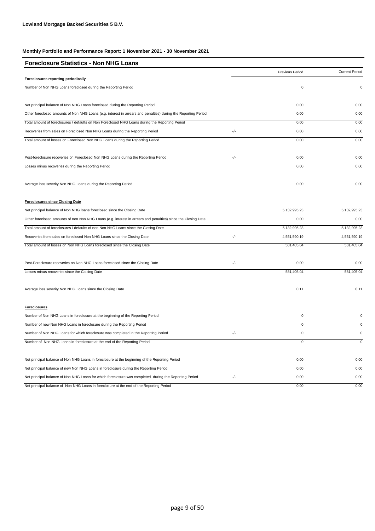| <b>Foreclosure Statistics - Non NHG Loans</b>                                                                  |               |                 |                       |
|----------------------------------------------------------------------------------------------------------------|---------------|-----------------|-----------------------|
|                                                                                                                |               | Previous Period | <b>Current Period</b> |
| Foreclosures reporting periodically                                                                            |               |                 |                       |
| Number of Non NHG Loans foreclosed during the Reporting Period                                                 |               | 0               | 0                     |
| Net principal balance of Non NHG Loans foreclosed during the Reporting Period                                  |               | 0.00            | 0.00                  |
| Other foreclosed amounts of Non NHG Loans (e.g. interest in arrears and penalties) during the Reporting Period |               | 0.00            | 0.00                  |
| Total amount of foreclosures / defaults on Non Foreclosed NHG Loans during the Reporting Period                |               | 0.00            | 0.00                  |
| Recoveries from sales on Foreclosed Non NHG Loans during the Reporting Period                                  | $-/-$         | 0.00            | 0.00                  |
| Total amount of losses on Foreclosed Non NHG Loans during the Reporting Period                                 |               | 0.00            | 0.00                  |
| Post-foreclosure recoveries on Foreclosed Non NHG Loans during the Reporting Period                            | -/-           | 0.00            | 0.00                  |
| Losses minus recoveries during the Reporting Period                                                            |               | 0.00            | 0.00                  |
| Average loss severity Non NHG Loans during the Reporting Period                                                |               | 0.00            | 0.00                  |
| <b>Foreclosures since Closing Date</b>                                                                         |               |                 |                       |
| Net principal balance of Non NHG loans foreclosed since the Closing Date                                       |               | 5, 132, 995.23  | 5,132,995.23          |
| Other foreclosed amounts of non Non NHG Loans (e.g. interest in arrears and penalties) since the Closing Date  |               | 0.00            | 0.00                  |
| Total amount of foreclosures / defaults of non Non NHG Loans since the Closing Date                            |               | 5,132,995.23    | 5,132,995.23          |
| Recoveries from sales on foreclosed Non NHG Loans since the Closing Date                                       | -/-           | 4,551,590.19    | 4,551,590.19          |
| Total amount of losses on Non NHG Loans foreclosed since the Closing Date                                      |               | 581,405.04      | 581,405.04            |
| Post-Foreclosure recoveries on Non NHG Loans foreclosed since the Closing Date                                 | $\frac{1}{2}$ | 0.00            | 0.00                  |
| Losses minus recoveries since the Closing Date                                                                 |               | 581,405.04      | 581,405.04            |
| Average loss severity Non NHG Loans since the Closing Date                                                     |               | 0.11            | 0.11                  |
| <b>Foreclosures</b>                                                                                            |               |                 |                       |
| Number of Non NHG Loans in foreclosure at the beginning of the Reporting Period                                |               | 0               | $\Omega$              |
| Number of new Non NHG Loans in foreclosure during the Reporting Period                                         |               | 0               | $\Omega$              |
| Number of Non NHG Loans for which foreclosure was completed in the Reporting Period                            | -/-           | 0               | $\pmb{0}$             |
| Number of Non NHG Loans in foreclosure at the end of the Reporting Period                                      |               | $\overline{0}$  | $\mathsf 0$           |
| Net principal balance of Non NHG Loans in foreclosure at the beginning of the Reporting Period                 |               | 0.00            | 0.00                  |
| Net principal balance of new Non NHG Loans in foreclosure during the Reporting Period                          |               | 0.00            | 0.00                  |
| Net principal balance of Non NHG Loans for which foreclosure was completed during the Reporting Period         | -/-           | 0.00            | 0.00                  |
| Net principal balance of Non NHG Loans in foreclosure at the end of the Reporting Period                       |               | 0.00            | 0.00                  |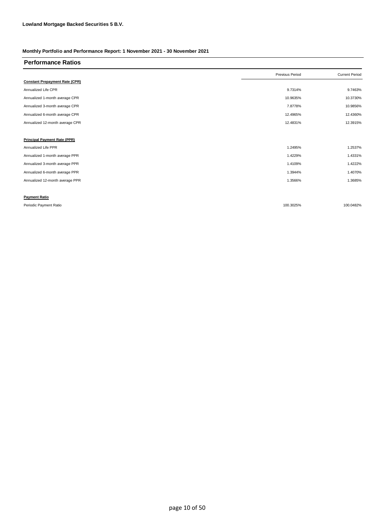| <b>Performance Ratios</b>             |                 |                       |
|---------------------------------------|-----------------|-----------------------|
|                                       | Previous Period | <b>Current Period</b> |
| <b>Constant Prepayment Rate (CPR)</b> |                 |                       |
| Annualized Life CPR                   | 9.7314%         | 9.7463%               |
| Annualized 1-month average CPR        | 10.9635%        | 10.3730%              |
| Annualized 3-month average CPR        | 7.8778%         | 10.9856%              |
| Annualized 6-month average CPR        | 12.4965%        | 12.4360%              |
| Annualized 12-month average CPR       | 12.4831%        | 12.3915%              |
|                                       |                 |                       |
| <b>Principal Payment Rate (PPR)</b>   |                 |                       |
| Annualized Life PPR                   | 1.2495%         | 1.2537%               |
| Annualized 1-month average PPR        | 1.4229%         | 1.4331%               |
| Annualized 3-month average PPR        | 1.4109%         | 1.4222%               |
| Annualized 6-month average PPR        | 1.3944%         | 1.4070%               |
| Annualized 12-month average PPR       | 1.3566%         | 1.3685%               |
|                                       |                 |                       |
| <b>Payment Ratio</b>                  |                 |                       |
| Periodic Payment Ratio                | 100.3025%       | 100.0482%             |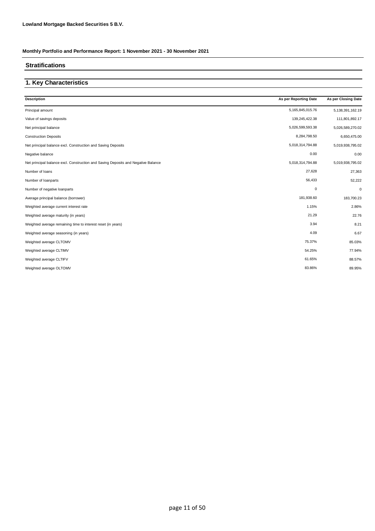### **Stratifications**

### **1. Key Characteristics**

| <b>Description</b>                                                                | As per Reporting Date | As per Closing Date |
|-----------------------------------------------------------------------------------|-----------------------|---------------------|
| Principal amount                                                                  | 5,165,845,015.76      | 5,138,391,162.19    |
| Value of savings deposits                                                         | 139,245,422.38        | 111,801,892.17      |
| Net principal balance                                                             | 5,026,599,593.38      | 5,026,589,270.02    |
| <b>Construction Deposits</b>                                                      | 8,284,798.50          | 6,650,475.00        |
| Net principal balance excl. Construction and Saving Deposits                      | 5,018,314,794.88      | 5,019,938,795.02    |
| Negative balance                                                                  | 0.00                  | 0.00                |
| Net principal balance excl. Construction and Saving Deposits and Negative Balance | 5,018,314,794.88      | 5,019,938,795.02    |
| Number of loans                                                                   | 27,628                | 27,363              |
| Number of loanparts                                                               | 56,433                | 52,222              |
| Number of negative loanparts                                                      | $\mathbf 0$           | $\mathbf 0$         |
| Average principal balance (borrower)                                              | 181,938.60            | 183,700.23          |
| Weighted average current interest rate                                            | 1.15%                 | 2.86%               |
| Weighted average maturity (in years)                                              | 21.29                 | 22.76               |
| Weighted average remaining time to interest reset (in years)                      | 3.94                  | 8.21                |
| Weighted average seasoning (in years)                                             | 4.09                  | 6.67                |
| Weighted average CLTOMV                                                           | 75.37%                | 85.03%              |
| Weighted average CLTIMV                                                           | 54.25%                | 77.94%              |
| Weighted average CLTIFV                                                           | 61.65%                | 88.57%              |
| Weighted average OLTOMV                                                           | 83.86%                | 89.95%              |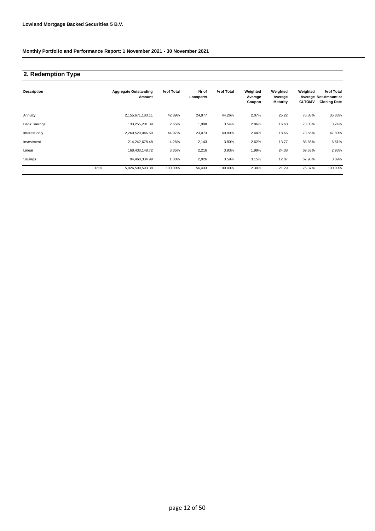# **2. Redemption Type**

| <b>Description</b>  |       | <b>Aggregate Outstanding</b><br>Amount | % of Total | Nr of<br>Loanparts | % of Total | Weighted<br>Average<br>Coupon | Weighted<br>Average<br><b>Maturity</b> | Weighted<br><b>CLTOMV</b> | % of Total<br>Average Not.Amount at<br><b>Closing Date</b> |
|---------------------|-------|----------------------------------------|------------|--------------------|------------|-------------------------------|----------------------------------------|---------------------------|------------------------------------------------------------|
| Annuity             |       | 2,155,671,183.11                       | 42.89%     | 24,977             | 44.26%     | 2.07%                         | 25.22                                  | 76.88%                    | 35.83%                                                     |
| <b>Bank Savings</b> |       | 133,255,201.39                         | 2.65%      | 1,998              | 3.54%      | 2.86%                         | 16.68                                  | 73.03%                    | 3.74%                                                      |
| Interest only       |       | 2,260,529,046.69                       | 44.97%     | 23,073             | 40.89%     | 2.44%                         | 18.66                                  | 73.55%                    | 47.80%                                                     |
| Investment          |       | 214,242,678.48                         | 4.26%      | 2,143              | 3.80%      | 2.62%                         | 13.77                                  | 88.66%                    | 6.61%                                                      |
| Linear              |       | 168,433,148.72                         | 3.35%      | 2,216              | 3.93%      | 1.99%                         | 24.38                                  | 69.63%                    | 2.93%                                                      |
| Savings             |       | 94,468,334.99                          | 1.88%      | 2,026              | 3.59%      | 3.15%                         | 12.87                                  | 67.98%                    | 3.09%                                                      |
|                     | Total | 5,026,599,593.38                       | 100.00%    | 56,433             | 100.00%    | 2.30%                         | 21.29                                  | 75.37%                    | 100.00%                                                    |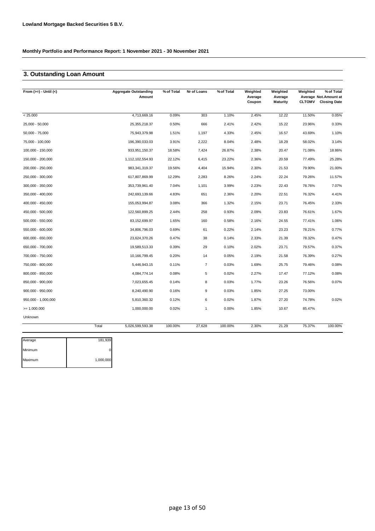## **3. Outstanding Loan Amount**

| From $(>=) -$ Until $(<)$ |       | <b>Aggregate Outstanding</b><br>Amount | % of Total | Nr of Loans      | % of Total | Weighted<br>Average<br>Coupon | Weighted<br>Average<br>Maturity | Weighted<br><b>CLTOMV</b> | % of Total<br>Average Not.Amount at<br><b>Closing Date</b> |
|---------------------------|-------|----------------------------------------|------------|------------------|------------|-------------------------------|---------------------------------|---------------------------|------------------------------------------------------------|
| < 25.000                  |       | 4,713,669.16                           | 0.09%      | 303              | 1.10%      | 2.45%                         | 12.22                           | 11.50%                    | 0.05%                                                      |
| 25,000 - 50,000           |       | 25,355,218.37                          | 0.50%      | 666              | 2.41%      | 2.42%                         | 15.22                           | 23.96%                    | 0.33%                                                      |
| $50,000 - 75,000$         |       | 75,943,379.98                          | 1.51%      | 1,197            | 4.33%      | 2.45%                         | 16.57                           | 43.69%                    | 1.10%                                                      |
| 75,000 - 100,000          |       | 196,390,033.03                         | 3.91%      | 2,222            | 8.04%      | 2.48%                         | 18.29                           | 58.02%                    | 3.14%                                                      |
| 100,000 - 150,000         |       | 933,951,150.37                         | 18.58%     | 7,424            | 26.87%     | 2.38%                         | 20.47                           | 71.08%                    | 18.86%                                                     |
| 150,000 - 200,000         |       | 1,112,102,554.93                       | 22.12%     | 6,415            | 23.22%     | 2.36%                         | 20.59                           | 77.49%                    | 25.28%                                                     |
| 200,000 - 250,000         |       | 983,341,319.37                         | 19.56%     | 4,404            | 15.94%     | 2.30%                         | 21.53                           | 79.90%                    | 21.00%                                                     |
| 250,000 - 300,000         |       | 617,807,869.99                         | 12.29%     | 2,283            | 8.26%      | 2.24%                         | 22.24                           | 79.26%                    | 11.57%                                                     |
| 300,000 - 350,000         |       | 353,739,961.40                         | 7.04%      | 1,101            | 3.99%      | 2.23%                         | 22.43                           | 78.76%                    | 7.07%                                                      |
| 350,000 - 400,000         |       | 242,693,139.66                         | 4.83%      | 651              | 2.36%      | 2.20%                         | 22.51                           | 76.32%                    | 4.41%                                                      |
| 400,000 - 450,000         |       | 155,053,994.87                         | 3.08%      | 366              | 1.32%      | 2.15%                         | 23.71                           | 76.45%                    | 2.33%                                                      |
| 450,000 - 500,000         |       | 122,560,899.25                         | 2.44%      | 258              | 0.93%      | 2.09%                         | 23.83                           | 76.61%                    | 1.67%                                                      |
| 500,000 - 550,000         |       | 83,152,699.97                          | 1.65%      | 160              | 0.58%      | 2.16%                         | 24.55                           | 77.41%                    | 1.06%                                                      |
| 550,000 - 600,000         |       | 34,806,796.03                          | 0.69%      | 61               | 0.22%      | 2.14%                         | 23.23                           | 78.21%                    | 0.77%                                                      |
| 600,000 - 650,000         |       | 23,624,370.26                          | 0.47%      | 38               | 0.14%      | 2.33%                         | 21.39                           | 78.32%                    | 0.47%                                                      |
| 650,000 - 700,000         |       | 19,589,513.33                          | 0.39%      | 29               | 0.10%      | 2.02%                         | 23.71                           | 79.57%                    | 0.37%                                                      |
| 700,000 - 750,000         |       | 10,166,799.45                          | 0.20%      | 14               | 0.05%      | 2.19%                         | 21.58                           | 76.39%                    | 0.27%                                                      |
| 750,000 - 800,000         |       | 5,446,943.15                           | 0.11%      | $\overline{7}$   | 0.03%      | 1.69%                         | 25.75                           | 79.46%                    | 0.08%                                                      |
| 800,000 - 850,000         |       | 4,084,774.14                           | 0.08%      | 5                | 0.02%      | 2.27%                         | 17.47                           | 77.12%                    | 0.08%                                                      |
| 850,000 - 900,000         |       | 7,023,655.45                           | 0.14%      | 8                | 0.03%      | 1.77%                         | 23.26                           | 76.56%                    | 0.07%                                                      |
| $900,000 - 950,000$       |       | 8,240,490.90                           | 0.16%      | 9                | 0.03%      | 1.85%                         | 27.25                           | 73.00%                    |                                                            |
| 950,000 - 1,000,000       |       | 5,810,360.32                           | 0.12%      | $\boldsymbol{6}$ | 0.02%      | 1.87%                         | 27.20                           | 74.78%                    | 0.02%                                                      |
| $= 1.000.000$             |       | 1,000,000.00                           | 0.02%      | $\mathbf{1}$     | 0.00%      | 1.85%                         | 10.67                           | 85.47%                    |                                                            |
| Unknown                   |       |                                        |            |                  |            |                               |                                 |                           |                                                            |
|                           | Total | 5,026,599,593.38                       | 100.00%    | 27,628           | 100.00%    | 2.30%                         | 21.29                           | 75.37%                    | 100.00%                                                    |

| Average | 181,939   |
|---------|-----------|
| Minimum |           |
| Maximum | 1,000,000 |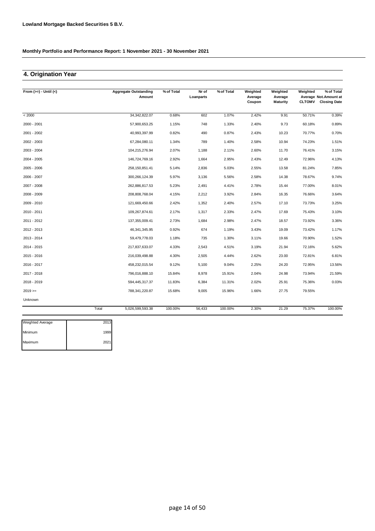### **4. Origination Year**

| From $(>=) -$ Until $(<)$ |       | <b>Aggregate Outstanding</b><br>Amount | % of Total | Nr of<br>Loanparts | % of Total | Weighted<br>Average | Weighted<br>Average | Weighted      | % of Total<br>Average Not. Amount at |
|---------------------------|-------|----------------------------------------|------------|--------------------|------------|---------------------|---------------------|---------------|--------------------------------------|
|                           |       |                                        |            |                    |            | Coupon              | <b>Maturity</b>     | <b>CLTOMV</b> | <b>Closing Date</b>                  |
| < 2000                    |       | 34, 342, 822.07                        | 0.68%      | 602                | 1.07%      | 2.42%               | 9.91                | 50.71%        | 0.39%                                |
| 2000 - 2001               |       | 57,900,653.25                          | 1.15%      | 748                | 1.33%      | 2.40%               | 9.73                | 60.18%        | 0.89%                                |
| 2001 - 2002               |       | 40,993,397.99                          | 0.82%      | 490                | 0.87%      | 2.43%               | 10.23               | 70.77%        | 0.70%                                |
| 2002 - 2003               |       | 67,284,080.11                          | 1.34%      | 789                | 1.40%      | 2.58%               | 10.94               | 74.23%        | 1.51%                                |
| 2003 - 2004               |       | 104,215,276.94                         | 2.07%      | 1,188              | 2.11%      | 2.60%               | 11.70               | 76.41%        | 3.15%                                |
| 2004 - 2005               |       | 146,724,769.16                         | 2.92%      | 1,664              | 2.95%      | 2.43%               | 12.49               | 72.96%        | 4.13%                                |
| 2005 - 2006               |       | 258, 150, 851.41                       | 5.14%      | 2,836              | 5.03%      | 2.55%               | 13.58               | 81.24%        | 7.85%                                |
| 2006 - 2007               |       | 300,266,124.39                         | 5.97%      | 3,136              | 5.56%      | 2.58%               | 14.38               | 78.67%        | 9.74%                                |
| 2007 - 2008               |       | 262,886,817.53                         | 5.23%      | 2,491              | 4.41%      | 2.78%               | 15.44               | 77.00%        | 8.01%                                |
| 2008 - 2009               |       | 208,808,768.04                         | 4.15%      | 2,212              | 3.92%      | 2.84%               | 16.35               | 76.66%        | 3.64%                                |
| 2009 - 2010               |       | 121,669,450.66                         | 2.42%      | 1,352              | 2.40%      | 2.57%               | 17.10               | 73.73%        | 3.25%                                |
| 2010 - 2011               |       | 109,267,874.61                         | 2.17%      | 1,317              | 2.33%      | 2.47%               | 17.69               | 75.43%        | 3.10%                                |
| 2011 - 2012               |       | 137,355,009.41                         | 2.73%      | 1,684              | 2.98%      | 2.47%               | 18.57               | 73.92%        | 3.36%                                |
| 2012 - 2013               |       | 46,341,345.95                          | 0.92%      | 674                | 1.19%      | 3.43%               | 19.09               | 73.42%        | 1.17%                                |
| 2013 - 2014               |       | 59,479,778.03                          | 1.18%      | 735                | 1.30%      | 3.11%               | 19.66               | 70.90%        | 1.52%                                |
| 2014 - 2015               |       | 217,837,633.07                         | 4.33%      | 2,543              | 4.51%      | 3.19%               | 21.94               | 72.16%        | 5.62%                                |
| 2015 - 2016               |       | 216,039,498.88                         | 4.30%      | 2,505              | 4.44%      | 2.62%               | 23.00               | 72.81%        | 6.81%                                |
| 2016 - 2017               |       | 458,232,015.54                         | 9.12%      | 5,100              | 9.04%      | 2.25%               | 24.20               | 72.95%        | 13.56%                               |
| 2017 - 2018               |       | 796,016,888.10                         | 15.84%     | 8,978              | 15.91%     | 2.04%               | 24.98               | 73.94%        | 21.59%                               |
| 2018 - 2019               |       | 594,445,317.37                         | 11.83%     | 6,384              | 11.31%     | 2.02%               | 25.91               | 75.36%        | 0.03%                                |
| $2019 =$                  |       | 788,341,220.87                         | 15.68%     | 9,005              | 15.96%     | 1.66%               | 27.75               | 79.55%        |                                      |
| Unknown                   |       |                                        |            |                    |            |                     |                     |               |                                      |
|                           | Total | 5.026.599.593.38                       | 100.00%    | 56.433             | 100.00%    | 2.30%               | 21.29               | 75.37%        | 100.00%                              |

| Weighted Average | 2013 |
|------------------|------|
| Minimum          | 1999 |
| Maximum          | 2021 |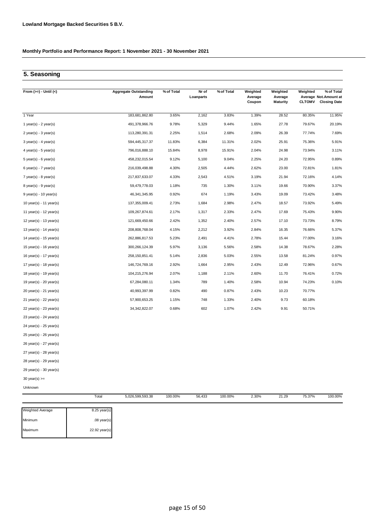## **5. Seasoning**

| From $(>=) -$ Until $(<)$   | <b>Aggregate Outstanding</b><br>Amount | % of Total | Nr of<br>Loanparts | % of Total | Weighted<br>Average<br>Coupon | Weighted<br>Average<br><b>Maturity</b> | Weighted<br><b>CLTOMV</b> | % of Total<br>Average Not.Amount at<br><b>Closing Date</b> |
|-----------------------------|----------------------------------------|------------|--------------------|------------|-------------------------------|----------------------------------------|---------------------------|------------------------------------------------------------|
| 1 Year                      | 183,681,862.80                         | 3.65%      | 2,162              | 3.83%      | 1.39%                         | 28.52                                  | 80.35%                    | 11.95%                                                     |
| 1 year(s) - $2$ year(s)     | 491,378,966.76                         | 9.78%      | 5,329              | 9.44%      | 1.65%                         | 27.78                                  | 79.67%                    | 20.19%                                                     |
| $2$ year(s) - $3$ year(s)   | 113,280,391.31                         | 2.25%      | 1,514              | 2.68%      | 2.09%                         | 26.39                                  | 77.74%                    | 7.69%                                                      |
| $3$ year(s) - 4 year(s)     | 594,445,317.37                         | 11.83%     | 6,384              | 11.31%     | 2.02%                         | 25.91                                  | 75.36%                    | 5.91%                                                      |
| 4 year(s) - 5 year(s)       | 796,016,888.10                         | 15.84%     | 8,978              | 15.91%     | 2.04%                         | 24.98                                  | 73.94%                    | 3.11%                                                      |
| 5 year(s) - 6 year(s)       | 458,232,015.54                         | 9.12%      | 5,100              | 9.04%      | 2.25%                         | 24.20                                  | 72.95%                    | 0.89%                                                      |
| $6$ year(s) - 7 year(s)     | 216,039,498.88                         | 4.30%      | 2,505              | 4.44%      | 2.62%                         | 23.00                                  | 72.81%                    | 1.81%                                                      |
| $7$ year(s) - 8 year(s)     | 217,837,633.07                         | 4.33%      | 2,543              | 4.51%      | 3.19%                         | 21.94                                  | 72.16%                    | 4.14%                                                      |
| 8 year(s) - 9 year(s)       | 59,479,778.03                          | 1.18%      | 735                | 1.30%      | 3.11%                         | 19.66                                  | 70.90%                    | 3.37%                                                      |
| $9$ year(s) - 10 year(s)    | 46,341,345.95                          | 0.92%      | 674                | 1.19%      | 3.43%                         | 19.09                                  | 73.42%                    | 3.48%                                                      |
| 10 year(s) - 11 year(s)     | 137,355,009.41                         | 2.73%      | 1,684              | 2.98%      | 2.47%                         | 18.57                                  | 73.92%                    | 5.49%                                                      |
| 11 year(s) - 12 year(s)     | 109,267,874.61                         | 2.17%      | 1,317              | 2.33%      | 2.47%                         | 17.69                                  | 75.43%                    | 9.90%                                                      |
| 12 year(s) - 13 year(s)     | 121,669,450.66                         | 2.42%      | 1,352              | 2.40%      | 2.57%                         | 17.10                                  | 73.73%                    | 8.79%                                                      |
| 13 year(s) - 14 year(s)     | 208,808,768.04                         | 4.15%      | 2,212              | 3.92%      | 2.84%                         | 16.35                                  | 76.66%                    | 5.37%                                                      |
| 14 year(s) - $15$ year(s)   | 262,886,817.53                         | 5.23%      | 2,491              | 4.41%      | 2.78%                         | 15.44                                  | 77.00%                    | 3.16%                                                      |
| 15 year(s) - 16 year(s)     | 300,266,124.39                         | 5.97%      | 3,136              | 5.56%      | 2.58%                         | 14.38                                  | 78.67%                    | 2.28%                                                      |
| 16 year(s) - 17 year(s)     | 258, 150, 851.41                       | 5.14%      | 2,836              | 5.03%      | 2.55%                         | 13.58                                  | 81.24%                    | 0.97%                                                      |
| 17 year(s) - 18 year(s)     | 146,724,769.16                         | 2.92%      | 1,664              | 2.95%      | 2.43%                         | 12.49                                  | 72.96%                    | 0.67%                                                      |
| 18 year(s) - 19 year(s)     | 104,215,276.94                         | 2.07%      | 1,188              | 2.11%      | 2.60%                         | 11.70                                  | 76.41%                    | 0.72%                                                      |
| 19 year(s) - 20 year(s)     | 67,284,080.11                          | 1.34%      | 789                | 1.40%      | 2.58%                         | 10.94                                  | 74.23%                    | 0.10%                                                      |
| 20 year(s) - 21 year(s)     | 40,993,397.99                          | 0.82%      | 490                | 0.87%      | 2.43%                         | 10.23                                  | 70.77%                    |                                                            |
| 21 year(s) - 22 year(s)     | 57,900,653.25                          | 1.15%      | 748                | 1.33%      | 2.40%                         | 9.73                                   | 60.18%                    |                                                            |
| $22$ year(s) - $23$ year(s) | 34, 342, 822.07                        | 0.68%      | 602                | 1.07%      | 2.42%                         | 9.91                                   | 50.71%                    |                                                            |
| 23 year(s) - 24 year(s)     |                                        |            |                    |            |                               |                                        |                           |                                                            |
| 24 year(s) - 25 year(s)     |                                        |            |                    |            |                               |                                        |                           |                                                            |
| 25 year(s) - 26 year(s)     |                                        |            |                    |            |                               |                                        |                           |                                                            |
| 26 year(s) - 27 year(s)     |                                        |            |                    |            |                               |                                        |                           |                                                            |
| $27$ year(s) - $28$ year(s) |                                        |            |                    |            |                               |                                        |                           |                                                            |
| 28 year(s) - 29 year(s)     |                                        |            |                    |            |                               |                                        |                           |                                                            |
| 29 year(s) - 30 year(s)     |                                        |            |                    |            |                               |                                        |                           |                                                            |
| $30$ year(s) $>=$           |                                        |            |                    |            |                               |                                        |                           |                                                            |

Unknown

| Total<br>. | 5.026.599.593.38<br>$ -$ | 100.00% | 56.433 | 100.00% | .30%<br>. | 21.29<br>_____ | 75 270/<br>10.017a | $0.00\%$<br>$\sim$ $\sim$<br>. |
|------------|--------------------------|---------|--------|---------|-----------|----------------|--------------------|--------------------------------|
|            |                          |         |        |         |           |                |                    |                                |

| Weighted Average | $8.25$ year(s) |
|------------------|----------------|
| Minimum          | $.08$ year(s)  |
| Maximum          | 22.92 year(s)  |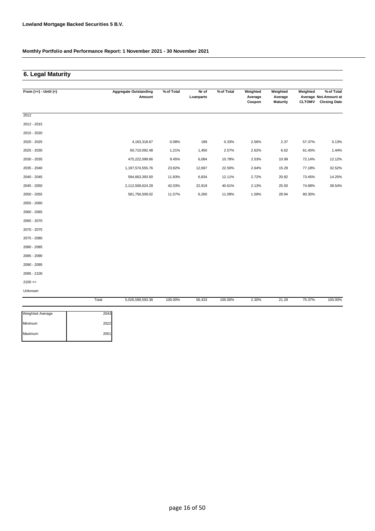## **6. Legal Maturity**

| From $(>=) -$ Until $(<)$ |       | <b>Aggregate Outstanding</b><br>Amount | % of Total | Nr of<br>Loanparts | % of Total | Weighted<br>Average | Weighted<br>Average | Weighted      | % of Total<br>Average Not.Amount at |
|---------------------------|-------|----------------------------------------|------------|--------------------|------------|---------------------|---------------------|---------------|-------------------------------------|
|                           |       |                                        |            |                    |            | Coupon              | <b>Maturity</b>     | <b>CLTOMV</b> | <b>Closing Date</b>                 |
| 2012                      |       |                                        |            |                    |            |                     |                     |               |                                     |
| 2012 - 2015               |       |                                        |            |                    |            |                     |                     |               |                                     |
| 2015 - 2020               |       |                                        |            |                    |            |                     |                     |               |                                     |
| 2020 - 2025               |       | 4, 163, 318.67                         | 0.08%      | 189                | 0.33%      | 2.56%               | 2.37                | 57.37%        | 0.13%                               |
| 2025 - 2030               |       | 60,710,092.48                          | 1.21%      | 1,450              | 2.57%      | 2.62%               | 6.62                | 61.45%        | 1.44%                               |
| 2030 - 2035               |       | 475,222,099.66                         | 9.45%      | 6,084              | 10.78%     | 2.53%               | 10.99               | 72.14%        | 12.12%                              |
| 2035 - 2040               |       | 1,197,574,555.76                       | 23.82%     | 12,697             | 22.50%     | 2.64%               | 15.29               | 77.18%        | 32.52%                              |
| 2040 - 2045               |       | 594,663,393.50                         | 11.83%     | 6,834              | 12.11%     | 2.72%               | 20.82               | 73.45%        | 14.25%                              |
| 2045 - 2050               |       | 2,112,509,624.29                       | 42.03%     | 22,919             | 40.61%     | 2.13%               | 25.50               | 74.68%        | 39.54%                              |
| 2050 - 2055               |       | 581,756,509.02                         | 11.57%     | 6,260              | 11.09%     | 1.59%               | 28.94               | 80.35%        |                                     |
| 2055 - 2060               |       |                                        |            |                    |            |                     |                     |               |                                     |
| 2060 - 2065               |       |                                        |            |                    |            |                     |                     |               |                                     |
| 2065 - 2070               |       |                                        |            |                    |            |                     |                     |               |                                     |
| 2070 - 2075               |       |                                        |            |                    |            |                     |                     |               |                                     |
| 2075 - 2080               |       |                                        |            |                    |            |                     |                     |               |                                     |
| 2080 - 2085               |       |                                        |            |                    |            |                     |                     |               |                                     |
| 2085 - 2090               |       |                                        |            |                    |            |                     |                     |               |                                     |
| 2090 - 2095               |       |                                        |            |                    |            |                     |                     |               |                                     |
| 2095 - 2100               |       |                                        |            |                    |            |                     |                     |               |                                     |
| $2100 >=$                 |       |                                        |            |                    |            |                     |                     |               |                                     |
| Unknown                   |       |                                        |            |                    |            |                     |                     |               |                                     |
|                           | Total | 5,026,599,593.38                       | 100.00%    | 56,433             | 100.00%    | 2.30%               | 21.29               | 75.37%        | 100.00%                             |

| <b>Weighted Average</b> | 2043 |
|-------------------------|------|
| Minimum                 | 2022 |
| Maximum                 | 2051 |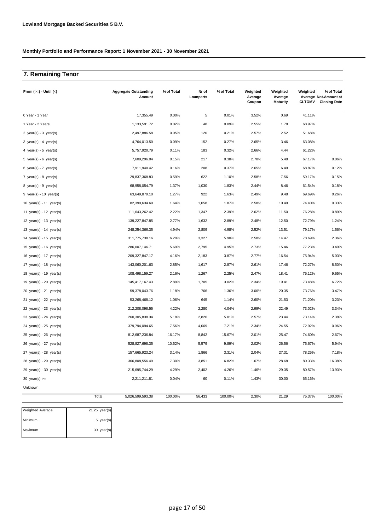## **7. Remaining Tenor**

| From $(>=) -$ Until $(<)$               | <b>Aggregate Outstanding</b><br>Amount | % of Total | Nr of<br>Loanparts | % of Total | Weighted<br>Average<br>Coupon | Weighted<br>Average<br><b>Maturity</b> | Weighted<br><b>CLTOMV</b> | % of Total<br>Average Not. Amount at<br><b>Closing Date</b> |
|-----------------------------------------|----------------------------------------|------------|--------------------|------------|-------------------------------|----------------------------------------|---------------------------|-------------------------------------------------------------|
| 0 Year - 1 Year                         | 17,355.49                              | 0.00%      | 5                  | 0.01%      | 3.52%                         | 0.69                                   | 41.11%                    |                                                             |
|                                         |                                        |            |                    |            |                               |                                        |                           |                                                             |
| 1 Year - 2 Years                        | 1,133,591.72                           | 0.02%      | 48                 | 0.09%      | 2.55%                         | 1.78                                   | 68.97%                    |                                                             |
| 2 $year(s) - 3 year(s)$                 | 2,497,886.58                           | 0.05%      | 120                | 0.21%      | 2.57%                         | 2.52                                   | 51.68%                    |                                                             |
| 3 year(s) - 4 year(s)                   | 4,764,013.50                           | 0.09%      | 152                | 0.27%      | 2.65%                         | 3.46                                   | 63.08%                    |                                                             |
| 4 year(s) - 5 year(s)                   | 5,757,920.79                           | 0.11%      | 183                | 0.32%      | 2.66%                         | 4.44                                   | 61.22%                    |                                                             |
| 5 year(s) - 6 year(s)                   | 7,609,296.04                           | 0.15%      | 217                | 0.38%      | 2.78%                         | 5.48                                   | 67.17%                    | 0.06%                                                       |
| 6 year(s) - 7 year(s)                   | 7,911,940.42                           | 0.16%      | 208                | 0.37%      | 2.65%                         | 6.49                                   | 68.87%                    | 0.12%                                                       |
| 7 year(s) - 8 year(s)                   | 29,837,368.83                          | 0.59%      | 622                | 1.10%      | 2.58%                         | 7.56                                   | 59.17%                    | 0.15%                                                       |
| $8 \text{ year(s)} - 9 \text{ year(s)}$ | 68,958,054.79                          | 1.37%      | 1,030              | 1.83%      | 2.44%                         | 8.46                                   | 61.54%                    | 0.18%                                                       |
| $9$ year(s) - 10 year(s)                | 63,649,879.10                          | 1.27%      | 922                | 1.63%      | 2.49%                         | 9.48                                   | 69.69%                    | 0.26%                                                       |
| 10 $year(s) - 11$ $year(s)$             | 82,399,634.69                          | 1.64%      | 1,058              | 1.87%      | 2.58%                         | 10.49                                  | 74.40%                    | 0.33%                                                       |
| 11 year(s) - 12 year(s)                 | 111,643,262.42                         | 2.22%      | 1,347              | 2.39%      | 2.62%                         | 11.50                                  | 76.28%                    | 0.89%                                                       |
| 12 year(s) - 13 year(s)                 | 139,227,847.85                         | 2.77%      | 1,632              | 2.89%      | 2.48%                         | 12.50                                  | 72.79%                    | 1.24%                                                       |
| 13 year(s) - 14 year(s)                 | 248,254,366.35                         | 4.94%      | 2,809              | 4.98%      | 2.52%                         | 13.51                                  | 79.17%                    | 1.56%                                                       |
| 14 $year(s) - 15$ $year(s)$             | 311,775,738.16                         | 6.20%      | 3,327              | 5.90%      | 2.58%                         | 14.47                                  | 78.69%                    | 2.36%                                                       |
| 15 $year(s) - 16$ $year(s)$             | 286,007,146.71                         | 5.69%      | 2,795              | 4.95%      | 2.73%                         | 15.46                                  | 77.23%                    | 3.49%                                                       |
| 16 $year(s) - 17$ $year(s)$             | 209, 327, 847.17                       | 4.16%      | 2,183              | 3.87%      | 2.77%                         | 16.54                                  | 75.94%                    | 5.03%                                                       |
| 17 year(s) - 18 year(s)                 | 143,060,201.63                         | 2.85%      | 1,617              | 2.87%      | 2.61%                         | 17.46                                  | 72.27%                    | 8.50%                                                       |
| 18 $year(s) - 19$ $year(s)$             | 108,498,159.27                         | 2.16%      | 1,267              | 2.25%      | 2.47%                         | 18.41                                  | 75.12%                    | 9.65%                                                       |
| 19 year(s) - 20 year(s)                 | 145,417,167.43                         | 2.89%      | 1,705              | 3.02%      | 2.34%                         | 19.41                                  | 73.48%                    | 6.72%                                                       |
| $20$ year(s) - $21$ year(s)             | 59,378,043.76                          | 1.18%      | 766                | 1.36%      | 3.06%                         | 20.35                                  | 73.76%                    | 3.47%                                                       |
| 21 year(s) - 22 year(s)                 | 53,268,468.12                          | 1.06%      | 645                | 1.14%      | 2.60%                         | 21.53                                  | 71.20%                    | 3.23%                                                       |
| 22 $year(s) - 23 year(s)$               | 212,208,098.55                         | 4.22%      | 2,280              | 4.04%      | 2.99%                         | 22.49                                  | 73.02%                    | 3.34%                                                       |
| 23 $year(s) - 24$ $year(s)$             | 260,305,838.34                         | 5.18%      | 2,826              | 5.01%      | 2.57%                         | 23.44                                  | 73.14%                    | 2.38%                                                       |
| 24 $year(s) - 25$ $year(s)$             | 379,794,094.65                         | 7.56%      | 4,069              | 7.21%      | 2.34%                         | 24.55                                  | 72.92%                    | 0.96%                                                       |
| $25$ year(s) - $26$ year(s)             | 812,687,236.84                         | 16.17%     | 8,842              | 15.67%     | 2.01%                         | 25.47                                  | 74.60%                    | 2.67%                                                       |
| $26$ year(s) - $27$ year(s)             | 528,827,698.35                         | 10.52%     | 5,579              | 9.89%      | 2.02%                         | 26.56                                  | 75.67%                    | 5.94%                                                       |
| 27 year(s) - 28 year(s)                 | 157,665,923.24                         | 3.14%      | 1,866              | 3.31%      | 2.04%                         | 27.31                                  | 78.25%                    | 7.18%                                                       |
| $28$ year(s) - $29$ year(s)             | 366,808,556.49                         | 7.30%      | 3,851              | 6.82%      | 1.67%                         | 28.68                                  | 80.33%                    | 16.38%                                                      |
| 29 year(s) - 30 year(s)                 | 215,695,744.29                         | 4.29%      | 2,402              | 4.26%      | 1.46%                         | 29.35                                  | 80.57%                    | 13.93%                                                      |
| 30 year(s) $>=$                         | 2,211,211.81                           | 0.04%      | 60                 | 0.11%      | 1.43%                         | 30.00                                  | 65.16%                    |                                                             |
| Unknown                                 |                                        |            |                    |            |                               |                                        |                           |                                                             |
|                                         | Total<br>5,026,599,593.38              | 100.00%    | 56,433             | 100.00%    | 2.30%                         | 21.29                                  | 75.37%                    | 100.00%                                                     |

| Weighted Average | $21.25$ year(s) |
|------------------|-----------------|
| Minimum          | $.5$ year(s)    |
| Maximum          | 30 year(s)      |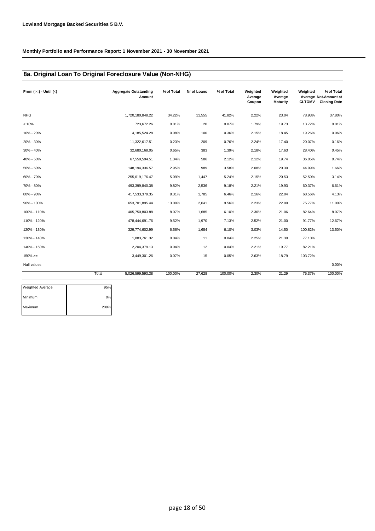### **8a. Original Loan To Original Foreclosure Value (Non-NHG)**

| From $(>=) -$ Until $(<)$ |       | <b>Aggregate Outstanding</b><br>Amount | % of Total | Nr of Loans | % of Total | Weighted<br>Average<br>Coupon | Weighted<br>Average<br><b>Maturity</b> | Weighted<br><b>CLTOMV</b> | % of Total<br>Average Not.Amount at<br><b>Closing Date</b> |
|---------------------------|-------|----------------------------------------|------------|-------------|------------|-------------------------------|----------------------------------------|---------------------------|------------------------------------------------------------|
| <b>NHG</b>                |       | 1,720,180,848.22                       | 34.22%     | 11,555      | 41.82%     | 2.22%                         | 23.04                                  | 78.93%                    | 37.80%                                                     |
| < 10%                     |       | 723,672.26                             | 0.01%      | 20          | 0.07%      | 1.79%                         | 19.73                                  | 13.72%                    | 0.01%                                                      |
| 10% - 20%                 |       | 4,185,524.28                           | 0.08%      | 100         | 0.36%      | 2.15%                         | 18.45                                  | 19.26%                    | 0.06%                                                      |
| 20% - 30%                 |       | 11,322,617.51                          | 0.23%      | 209         | 0.76%      | 2.24%                         | 17.40                                  | 20.07%                    | 0.16%                                                      |
| 30% - 40%                 |       | 32,680,168.05                          | 0.65%      | 383         | 1.39%      | 2.18%                         | 17.63                                  | 28.40%                    | 0.45%                                                      |
| 40% - 50%                 |       | 67,550,594.51                          | 1.34%      | 586         | 2.12%      | 2.12%                         | 19.74                                  | 36.05%                    | 0.74%                                                      |
| 50% - 60%                 |       | 148, 194, 336.57                       | 2.95%      | 989         | 3.58%      | 2.08%                         | 20.30                                  | 44.99%                    | 1.66%                                                      |
| 60% - 70%                 |       | 255,619,176.47                         | 5.09%      | 1,447       | 5.24%      | 2.15%                         | 20.53                                  | 52.50%                    | 3.14%                                                      |
| 70% - 80%                 |       | 493,399,840.38                         | 9.82%      | 2,536       | 9.18%      | 2.21%                         | 19.93                                  | 60.37%                    | 6.61%                                                      |
| 80% - 90%                 |       | 417,533,379.35                         | 8.31%      | 1,785       | 6.46%      | 2.16%                         | 22.04                                  | 68.56%                    | 4.13%                                                      |
| 90% - 100%                |       | 653,701,895.44                         | 13.00%     | 2,641       | 9.56%      | 2.23%                         | 22.00                                  | 75.77%                    | 11.00%                                                     |
| 100% - 110%               |       | 405,750,803.88                         | 8.07%      | 1,685       | 6.10%      | 2.36%                         | 21.06                                  | 82.64%                    | 8.07%                                                      |
| 110% - 120%               |       | 478,444,691.76                         | 9.52%      | 1,970       | 7.13%      | 2.52%                         | 21.00                                  | 91.77%                    | 12.67%                                                     |
| 120% - 130%               |       | 329,774,602.99                         | 6.56%      | 1,684       | 6.10%      | 3.03%                         | 14.50                                  | 100.82%                   | 13.50%                                                     |
| 130% - 140%               |       | 1,883,761.32                           | 0.04%      | 11          | 0.04%      | 2.25%                         | 21.30                                  | 77.10%                    |                                                            |
| 140% - 150%               |       | 2,204,379.13                           | 0.04%      | 12          | 0.04%      | 2.21%                         | 19.77                                  | 82.21%                    |                                                            |
| $150\%>=$                 |       | 3,449,301.26                           | 0.07%      | 15          | 0.05%      | 2.63%                         | 18.79                                  | 103.72%                   |                                                            |
| Null values               |       |                                        |            |             |            |                               |                                        |                           | 0.00%                                                      |
|                           | Total | 5,026,599,593.38                       | 100.00%    | 27,628      | 100.00%    | 2.30%                         | 21.29                                  | 75.37%                    | 100.00%                                                    |

| Weighted Average | 95%  |
|------------------|------|
| Minimum          | 0%   |
| Maximum          | 209% |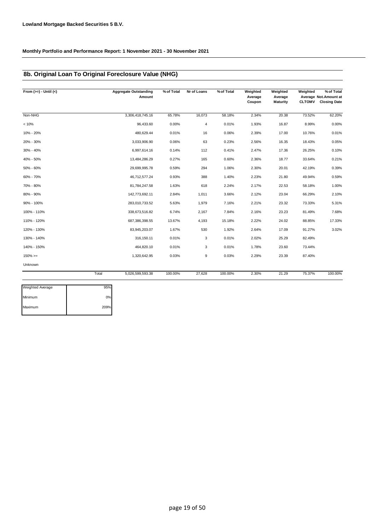## **8b. Original Loan To Original Foreclosure Value (NHG)**

| From $(>=) -$ Until $(<)$ |       | <b>Aggregate Outstanding</b><br>Amount | % of Total | Nr of Loans    | % of Total | Weighted<br>Average<br>Coupon | Weighted<br>Average<br><b>Maturity</b> | Weighted<br><b>CLTOMV</b> | % of Total<br>Average Not.Amount at<br><b>Closing Date</b> |
|---------------------------|-------|----------------------------------------|------------|----------------|------------|-------------------------------|----------------------------------------|---------------------------|------------------------------------------------------------|
| Non-NHG                   |       | 3,306,418,745.16                       | 65.78%     | 16,073         | 58.18%     | 2.34%                         | 20.38                                  | 73.52%                    | 62.20%                                                     |
| < 10%                     |       | 96,433.60                              | 0.00%      | $\overline{4}$ | 0.01%      | 1.93%                         | 16.87                                  | 8.99%                     | 0.00%                                                      |
| 10% - 20%                 |       | 480,629.44                             | 0.01%      | 16             | 0.06%      | 2.39%                         | 17.00                                  | 10.76%                    | 0.01%                                                      |
| 20% - 30%                 |       | 3,033,906.90                           | 0.06%      | 63             | 0.23%      | 2.56%                         | 16.35                                  | 18.43%                    | 0.05%                                                      |
| 30% - 40%                 |       | 6,997,614.16                           | 0.14%      | 112            | 0.41%      | 2.47%                         | 17.36                                  | 26.25%                    | 0.10%                                                      |
| 40% - 50%                 |       | 13,484,286.29                          | 0.27%      | 165            | 0.60%      | 2.36%                         | 18.77                                  | 33.64%                    | 0.21%                                                      |
| 50% - 60%                 |       | 29,699,995.78                          | 0.59%      | 294            | 1.06%      | 2.30%                         | 20.01                                  | 42.19%                    | 0.39%                                                      |
| 60% - 70%                 |       | 46,712,577.24                          | 0.93%      | 388            | 1.40%      | 2.23%                         | 21.80                                  | 49.94%                    | 0.59%                                                      |
| 70% - 80%                 |       | 81,784,247.58                          | 1.63%      | 618            | 2.24%      | 2.17%                         | 22.53                                  | 58.18%                    | 1.00%                                                      |
| 80% - 90%                 |       | 142,773,692.11                         | 2.84%      | 1,011          | 3.66%      | 2.12%                         | 23.04                                  | 66.29%                    | 2.10%                                                      |
| 90% - 100%                |       | 283,010,733.52                         | 5.63%      | 1,979          | 7.16%      | 2.21%                         | 23.32                                  | 73.33%                    | 5.31%                                                      |
| 100% - 110%               |       | 338,673,516.82                         | 6.74%      | 2,167          | 7.84%      | 2.16%                         | 23.23                                  | 81.49%                    | 7.68%                                                      |
| 110% - 120%               |       | 687,386,398.55                         | 13.67%     | 4,193          | 15.18%     | 2.22%                         | 24.02                                  | 88.85%                    | 17.33%                                                     |
| 120% - 130%               |       | 83,945,203.07                          | 1.67%      | 530            | 1.92%      | 2.64%                         | 17.09                                  | 91.27%                    | 3.02%                                                      |
| 130% - 140%               |       | 316, 150.11                            | 0.01%      | 3              | 0.01%      | 2.02%                         | 25.29                                  | 82.49%                    |                                                            |
| 140% - 150%               |       | 464,820.10                             | 0.01%      | 3              | 0.01%      | 1.78%                         | 23.60                                  | 73.44%                    |                                                            |
| $150\%>=$                 |       | 1,320,642.95                           | 0.03%      | 9              | 0.03%      | 2.29%                         | 23.39                                  | 87.40%                    |                                                            |
| Unknown                   |       |                                        |            |                |            |                               |                                        |                           |                                                            |
|                           | Total | 5,026,599,593.38                       | 100.00%    | 27,628         | 100.00%    | 2.30%                         | 21.29                                  | 75.37%                    | 100.00%                                                    |

| Weighted Average | 95%  |
|------------------|------|
| Minimum          | 0%   |
| Maximum          | 209% |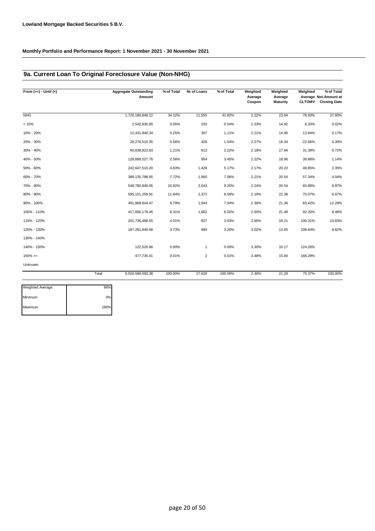### **9a. Current Loan To Original Foreclosure Value (Non-NHG)**

| From $(>=) -$ Until $(<)$ |       | <b>Aggregate Outstanding</b><br>Amount | % of Total | Nr of Loans    | % of Total | Weighted<br>Average<br>Coupon | Weighted<br>Average<br><b>Maturity</b> | Weighted<br><b>CLTOMV</b> | % of Total<br>Average Not.Amount at<br><b>Closing Date</b> |
|---------------------------|-------|----------------------------------------|------------|----------------|------------|-------------------------------|----------------------------------------|---------------------------|------------------------------------------------------------|
| <b>NHG</b>                |       | 1,720,180,848.22                       | 34.22%     | 11,555         | 41.82%     | 2.22%                         | 23.04                                  | 78.93%                    | 37.80%                                                     |
| < 10%                     |       | 2,542,930.85                           | 0.05%      | 150            | 0.54%      | 2.23%                         | 14.92                                  | 6.33%                     | 0.02%                                                      |
| 10% - 20%                 |       | 12,431,940.34                          | 0.25%      | 307            | 1.11%      | 2.21%                         | 14.90                                  | 13.84%                    | 0.17%                                                      |
| 20% - 30%                 |       | 28,276,515.35                          | 0.56%      | 426            | 1.54%      | 2.27%                         | 16.34                                  | 22.66%                    | 0.30%                                                      |
| 30% - 40%                 |       | 60,638,823.83                          | 1.21%      | 613            | 2.22%      | 2.18%                         | 17.94                                  | 31.39%                    | 0.72%                                                      |
| 40% - 50%                 |       | 128,668,527.76                         | 2.56%      | 954            | 3.45%      | 2.22%                         | 18.96                                  | 39.88%                    | 1.14%                                                      |
| 50% - 60%                 |       | 242,647,510.20                         | 4.83%      | 1,428          | 5.17%      | 2.17%                         | 20.22                                  | 48.85%                    | 2.35%                                                      |
| 60% - 70%                 |       | 388, 135, 788.65                       | 7.72%      | 1,950          | 7.06%      | 2.21%                         | 20.54                                  | 57.34%                    | 4.04%                                                      |
| 70% - 80%                 |       | 548,780,840.05                         | 10.92%     | 2,543          | 9.20%      | 2.24%                         | 20.54                                  | 65.89%                    | 6.97%                                                      |
| 80% - 90%                 |       | 595, 151, 259.91                       | 11.84%     | 2,372          | 8.59%      | 2.19%                         | 22.38                                  | 75.07%                    | 6.07%                                                      |
| 90% - 100%                |       | 491,869,844.47                         | 9.79%      | 1,944          | 7.04%      | 2.36%                         | 21.36                                  | 83.42%                    | 12.29%                                                     |
| 100% - 110%               |       | 417,656,178.45                         | 8.31%      | 1,662          | 6.02%      | 2.50%                         | 21.48                                  | 92.33%                    | 8.48%                                                      |
| 110% - 120%               |       | 201,736,488.55                         | 4.01%      | 837            | 3.03%      | 2.66%                         | 18.21                                  | 100.31%                   | 10.83%                                                     |
| 120% - 130%               |       | 187,281,840.68                         | 3.73%      | 884            | 3.20%      | 3.02%                         | 13.65                                  | 108.64%                   | 8.82%                                                      |
| 130% - 140%               |       |                                        |            |                |            |                               |                                        |                           |                                                            |
| 140% - 150%               |       | 122,520.66                             | 0.00%      | $\mathbf{1}$   | 0.00%      | 3.30%                         | 10.17                                  | 124.26%                   |                                                            |
| $150\%>=$                 |       | 477,735.41                             | 0.01%      | $\overline{2}$ | 0.01%      | 3.48%                         | 15.84                                  | 166.29%                   |                                                            |
| Unknown                   |       |                                        |            |                |            |                               |                                        |                           |                                                            |
|                           | Total | 5,026,599,593.38                       | 100.00%    | 27,628         | 100.00%    | 2.30%                         | 21.29                                  | 75.37%                    | 100.00%                                                    |

| Weighted Average | 86%  |
|------------------|------|
| Minimum          | 0%   |
| Maximum          | 190% |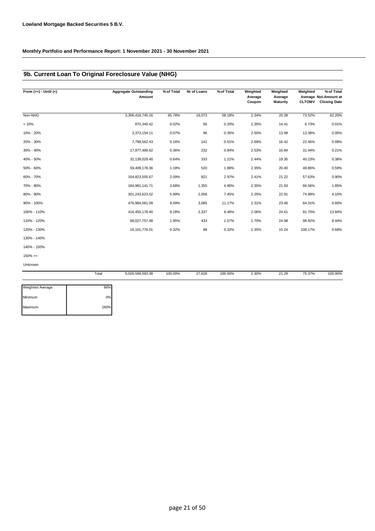## **9b. Current Loan To Original Foreclosure Value (NHG)**

| From $(>=) -$ Until $(<)$ |       | <b>Aggregate Outstanding</b><br>Amount | % of Total | Nr of Loans | % of Total | Weighted<br>Average<br>Coupon | Weighted<br>Average<br><b>Maturity</b> | Weighted<br><b>CLTOMV</b> | % of Total<br>Average Not.Amount at<br><b>Closing Date</b> |
|---------------------------|-------|----------------------------------------|------------|-------------|------------|-------------------------------|----------------------------------------|---------------------------|------------------------------------------------------------|
|                           |       |                                        |            |             |            |                               |                                        |                           |                                                            |
| Non-NHG                   |       | 3,306,418,745.16                       | 65.78%     | 16,073      | 58.18%     | 2.34%                         | 20.38                                  | 73.52%                    | 62.20%                                                     |
| < 10%                     |       | 870,340.42                             | 0.02%      | 56          | 0.20%      | 2.35%                         | 14.41                                  | 6.73%                     | 0.01%                                                      |
| 10% - 20%                 |       | 3,373,154.11                           | 0.07%      | 96          | 0.35%      | 2.50%                         | 13.99                                  | 13.38%                    | 0.05%                                                      |
| 20% - 30%                 |       | 7,799,562.43                           | 0.16%      | 141         | 0.51%      | 2.69%                         | 16.42                                  | 22.46%                    | 0.09%                                                      |
| 30% - 40%                 |       | 17,977,489.62                          | 0.36%      | 232         | 0.84%      | 2.53%                         | 16.84                                  | 31.44%                    | 0.21%                                                      |
| 40% - 50%                 |       | 32,139,029.40                          | 0.64%      | 333         | 1.21%      | 2.44%                         | 19.35                                  | 40.23%                    | 0.38%                                                      |
| 50% - 60%                 |       | 59,409,178.36                          | 1.18%      | 520         | 1.88%      | 2.35%                         | 20.40                                  | 48.86%                    | 0.59%                                                      |
| 60% - 70%                 |       | 104,823,555.67                         | 2.09%      | 821         | 2.97%      | 2.41%                         | 21.22                                  | 57.63%                    | 0.90%                                                      |
| 70% - 80%                 |       | 184,981,141.71                         | 3.68%      | 1,355       | 4.90%      | 2.35%                         | 21.93                                  | 66.56%                    | 1.85%                                                      |
| 80% - 90%                 |       | 301,243,623.52                         | 5.99%      | 2,058       | 7.45%      | 2.25%                         | 22.91                                  | 74.99%                    | 4.15%                                                      |
| 90% - 100%                |       | 476,984,061.09                         | 9.49%      | 3,085       | 11.17%     | 2.31%                         | 23.46                                  | 84.31%                    | 6.60%                                                      |
| 100% - 110%               |       | 416,450,178.40                         | 8.28%      | 2,337       | 8.46%      | 2.06%                         | 24.61                                  | 91.70%                    | 13.84%                                                     |
| 110% - 120%               |       | 98,027,757.48                          | 1.95%      | 433         | 1.57%      | 1.70%                         | 24.98                                  | 98.92%                    | 8.44%                                                      |
| 120% - 130%               |       | 16, 101, 776.01                        | 0.32%      | 88          | 0.32%      | 2.35%                         | 15.24                                  | 108.17%                   | 0.68%                                                      |
| 130% - 140%               |       |                                        |            |             |            |                               |                                        |                           |                                                            |
| 140% - 150%               |       |                                        |            |             |            |                               |                                        |                           |                                                            |
| $150\% >=$                |       |                                        |            |             |            |                               |                                        |                           |                                                            |
| Unknown                   |       |                                        |            |             |            |                               |                                        |                           |                                                            |
|                           | Total | 5,026,599,593.38                       | 100.00%    | 27,628      | 100.00%    | 2.30%                         | 21.29                                  | 75.37%                    | 100.00%                                                    |

| 86%  |
|------|
|      |
| 0%   |
| 190% |
|      |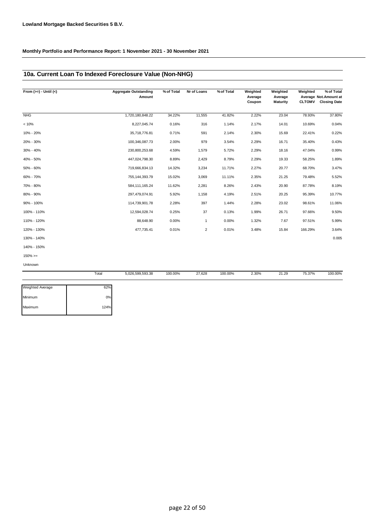### **10a. Current Loan To Indexed Foreclosure Value (Non-NHG)**

| From $(>=) -$ Until $(<)$ | <b>Aggregate Outstanding</b><br>Amount | % of Total | Nr of Loans    | % of Total | Weighted<br>Average<br>Coupon | Weighted<br>Average<br><b>Maturity</b> | Weighted<br><b>CLTOMV</b> | % of Total<br>Average Not.Amount at<br><b>Closing Date</b> |
|---------------------------|----------------------------------------|------------|----------------|------------|-------------------------------|----------------------------------------|---------------------------|------------------------------------------------------------|
| <b>NHG</b>                | 1,720,180,848.22                       | 34.22%     | 11,555         | 41.82%     | 2.22%                         | 23.04                                  | 78.93%                    | 37.80%                                                     |
| < 10%                     | 8,227,045.74                           | 0.16%      | 316            | 1.14%      | 2.17%                         | 14.01                                  | 10.69%                    | 0.04%                                                      |
| 10% - 20%                 | 35,718,776.81                          | 0.71%      | 591            | 2.14%      | 2.30%                         | 15.69                                  | 22.41%                    | 0.22%                                                      |
| 20% - 30%                 | 100,346,087.73                         | 2.00%      | 979            | 3.54%      | 2.29%                         | 16.71                                  | 35.40%                    | 0.43%                                                      |
| 30% - 40%                 | 230,800,253.68                         | 4.59%      | 1,579          | 5.72%      | 2.29%                         | 18.16                                  | 47.04%                    | 0.99%                                                      |
| 40% - 50%                 | 447,024,798.30                         | 8.89%      | 2,429          | 8.79%      | 2.29%                         | 19.33                                  | 58.25%                    | 1.89%                                                      |
| 50% - 60%                 | 719,666,834.13                         | 14.32%     | 3,234          | 11.71%     | 2.27%                         | 20.77                                  | 68.70%                    | 3.47%                                                      |
| 60% - 70%                 | 755, 144, 393. 79                      | 15.02%     | 3,069          | 11.11%     | 2.35%                         | 21.25                                  | 79.48%                    | 5.52%                                                      |
| 70% - 80%                 | 584, 111, 165.24                       | 11.62%     | 2,281          | 8.26%      | 2.43%                         | 20.90                                  | 87.78%                    | 8.19%                                                      |
| 80% - 90%                 | 297,479,074.91                         | 5.92%      | 1,158          | 4.19%      | 2.51%                         | 20.25                                  | 95.39%                    | 10.77%                                                     |
| 90% - 100%                | 114,739,901.78                         | 2.28%      | 397            | 1.44%      | 2.28%                         | 23.02                                  | 98.61%                    | 11.06%                                                     |
| 100% - 110%               | 12,594,028.74                          | 0.25%      | 37             | 0.13%      | 1.99%                         | 26.71                                  | 97.66%                    | 9.50%                                                      |
| 110% - 120%               | 88,648.90                              | 0.00%      | $\mathbf{1}$   | 0.00%      | 1.32%                         | 7.67                                   | 97.51%                    | 5.99%                                                      |
| 120% - 130%               | 477,735.41                             | 0.01%      | $\overline{2}$ | 0.01%      | 3.48%                         | 15.84                                  | 166.29%                   | 3.64%                                                      |
| 130% - 140%               |                                        |            |                |            |                               |                                        |                           | 0.005                                                      |
| 140% - 150%               |                                        |            |                |            |                               |                                        |                           |                                                            |
| $150\%>=$                 |                                        |            |                |            |                               |                                        |                           |                                                            |
| Unknown                   |                                        |            |                |            |                               |                                        |                           |                                                            |

|                  | Total | 5,026,599,593.38 | 100.00% | 27,628 | 100.00% | 2.30% | 21.29 | 75.37% | 100.00% |
|------------------|-------|------------------|---------|--------|---------|-------|-------|--------|---------|
| Weighted Average | 62%   |                  |         |        |         |       |       |        |         |
| Minimum          | 0%    |                  |         |        |         |       |       |        |         |
| Maximum          | 124%  |                  |         |        |         |       |       |        |         |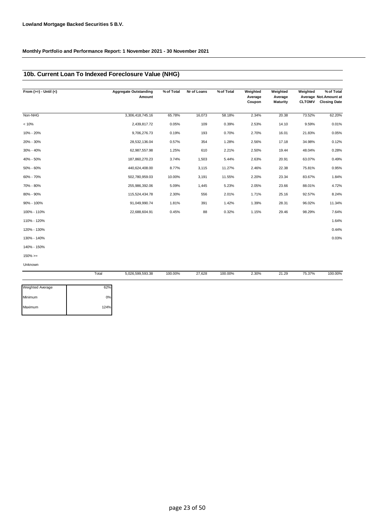## **10b. Current Loan To Indexed Foreclosure Value (NHG)**

| From $(>=) -$ Until $(<)$ |       | <b>Aggregate Outstanding</b><br>Amount | % of Total | Nr of Loans | % of Total | Weighted<br>Average<br>Coupon | Weighted<br>Average<br><b>Maturity</b> | Weighted<br><b>CLTOMV</b> | % of Total<br>Average Not. Amount at<br><b>Closing Date</b> |
|---------------------------|-------|----------------------------------------|------------|-------------|------------|-------------------------------|----------------------------------------|---------------------------|-------------------------------------------------------------|
| Non-NHG                   |       | 3,306,418,745.16                       | 65.78%     | 16,073      | 58.18%     | 2.34%                         | 20.38                                  | 73.52%                    | 62.20%                                                      |
| < 10%                     |       | 2,439,817.72                           | 0.05%      | 109         | 0.39%      | 2.53%                         | 14.10                                  | 9.59%                     | 0.01%                                                       |
| 10% - 20%                 |       | 9,706,276.73                           | 0.19%      | 193         | 0.70%      | 2.70%                         | 16.01                                  | 21.83%                    | 0.05%                                                       |
| 20% - 30%                 |       | 28,532,136.04                          | 0.57%      | 354         | 1.28%      | 2.56%                         | 17.18                                  | 34.98%                    | 0.12%                                                       |
| 30% - 40%                 |       | 62,987,557.98                          | 1.25%      | 610         | 2.21%      | 2.50%                         | 19.44                                  | 48.04%                    | 0.28%                                                       |
| 40% - 50%                 |       | 187,860,270.23                         | 3.74%      | 1,503       | 5.44%      | 2.63%                         | 20.91                                  | 63.07%                    | 0.49%                                                       |
| 50% - 60%                 |       | 440,624,408.00                         | 8.77%      | 3,115       | 11.27%     | 2.46%                         | 22.38                                  | 75.81%                    | 0.95%                                                       |
| 60% - 70%                 |       | 502,780,959.03                         | 10.00%     | 3,191       | 11.55%     | 2.20%                         | 23.34                                  | 83.67%                    | 1.84%                                                       |
| 70% - 80%                 |       | 255,986,392.06                         | 5.09%      | 1,445       | 5.23%      | 2.05%                         | 23.66                                  | 88.01%                    | 4.72%                                                       |
| 80% - 90%                 |       | 115,524,434.78                         | 2.30%      | 556         | 2.01%      | 1.71%                         | 25.16                                  | 92.57%                    | 8.24%                                                       |
| 90% - 100%                |       | 91,049,990.74                          | 1.81%      | 391         | 1.42%      | 1.39%                         | 28.31                                  | 96.02%                    | 11.34%                                                      |
| 100% - 110%               |       | 22,688,604.91                          | 0.45%      | 88          | 0.32%      | 1.15%                         | 29.46                                  | 98.29%                    | 7.64%                                                       |
| 110% - 120%               |       |                                        |            |             |            |                               |                                        |                           | 1.64%                                                       |
| 120% - 130%               |       |                                        |            |             |            |                               |                                        |                           | 0.44%                                                       |
| 130% - 140%               |       |                                        |            |             |            |                               |                                        |                           | 0.03%                                                       |
| 140% - 150%               |       |                                        |            |             |            |                               |                                        |                           |                                                             |
| $150\%>=$                 |       |                                        |            |             |            |                               |                                        |                           |                                                             |
| Unknown                   |       |                                        |            |             |            |                               |                                        |                           |                                                             |
|                           | Total | 5.026.599.593.38                       | 100.00%    | 27,628      | 100.00%    | 2.30%                         | 21.29                                  | 75.37%                    | 100.00%                                                     |

| 62%  |
|------|
| 0%   |
| 124% |
|      |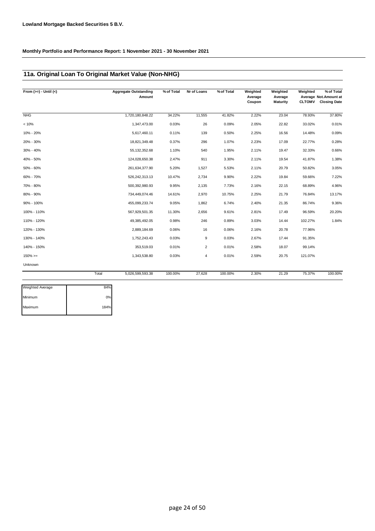## **11a. Original Loan To Original Market Value (Non-NHG)**

| From $(>=) -$ Until $(<)$ |       | <b>Aggregate Outstanding</b><br>Amount | % of Total | Nr of Loans    | % of Total | Weighted<br>Average<br>Coupon | Weighted<br>Average<br><b>Maturity</b> | Weighted<br><b>CLTOMV</b> | % of Total<br>Average Not. Amount at<br><b>Closing Date</b> |
|---------------------------|-------|----------------------------------------|------------|----------------|------------|-------------------------------|----------------------------------------|---------------------------|-------------------------------------------------------------|
| <b>NHG</b>                |       | 1,720,180,848.22                       | 34.22%     | 11,555         | 41.82%     | 2.22%                         | 23.04                                  | 78.93%                    | 37.80%                                                      |
| < 10%                     |       | 1,347,473.00                           | 0.03%      | 26             | 0.09%      | 2.05%                         | 22.82                                  | 33.02%                    | 0.01%                                                       |
| 10% - 20%                 |       | 5,617,460.11                           | 0.11%      | 139            | 0.50%      | 2.25%                         | 16.56                                  | 14.48%                    | 0.09%                                                       |
| 20% - 30%                 |       | 18,821,349.48                          | 0.37%      | 296            | 1.07%      | 2.23%                         | 17.09                                  | 22.77%                    | 0.28%                                                       |
| 30% - 40%                 |       | 55, 132, 352.68                        | 1.10%      | 540            | 1.95%      | 2.11%                         | 19.47                                  | 32.33%                    | 0.66%                                                       |
| 40% - 50%                 |       | 124,028,650.38                         | 2.47%      | 911            | 3.30%      | 2.11%                         | 19.54                                  | 41.87%                    | 1.38%                                                       |
| 50% - 60%                 |       | 261,634,377.90                         | 5.20%      | 1,527          | 5.53%      | 2.11%                         | 20.79                                  | 50.82%                    | 3.05%                                                       |
| 60% - 70%                 |       | 526,242,313.13                         | 10.47%     | 2,734          | 9.90%      | 2.22%                         | 19.84                                  | 59.66%                    | 7.22%                                                       |
| 70% - 80%                 |       | 500,392,980.93                         | 9.95%      | 2,135          | 7.73%      | 2.16%                         | 22.15                                  | 68.89%                    | 4.96%                                                       |
| 80% - 90%                 |       | 734,449,074.46                         | 14.61%     | 2,970          | 10.75%     | 2.25%                         | 21.79                                  | 76.84%                    | 13.17%                                                      |
| 90% - 100%                |       | 455,099,233.74                         | 9.05%      | 1,862          | 6.74%      | 2.40%                         | 21.35                                  | 86.74%                    | 9.36%                                                       |
| 100% - 110%               |       | 567,929,501.35                         | 11.30%     | 2,656          | 9.61%      | 2.81%                         | 17.49                                  | 96.59%                    | 20.20%                                                      |
| 110% - 120%               |       | 49,385,492.05                          | 0.98%      | 246            | 0.89%      | 3.03%                         | 14.44                                  | 102.27%                   | 1.84%                                                       |
| 120% - 130%               |       | 2,889,184.69                           | 0.06%      | 16             | 0.06%      | 2.16%                         | 20.78                                  | 77.96%                    |                                                             |
| 130% - 140%               |       | 1,752,243.43                           | 0.03%      | 9              | 0.03%      | 2.67%                         | 17.44                                  | 91.35%                    |                                                             |
| 140% - 150%               |       | 353,519.03                             | 0.01%      | $\overline{2}$ | 0.01%      | 2.58%                         | 18.07                                  | 99.14%                    |                                                             |
| $150\%>=$                 |       | 1,343,538.80                           | 0.03%      | 4              | 0.01%      | 2.59%                         | 20.75                                  | 121.07%                   |                                                             |
| Unknown                   |       |                                        |            |                |            |                               |                                        |                           |                                                             |
|                           | Total | 5,026,599,593.38                       | 100.00%    | 27,628         | 100.00%    | 2.30%                         | 21.29                                  | 75.37%                    | 100.00%                                                     |

| <b>Weighted Average</b> | 84%  |
|-------------------------|------|
| Minimum                 | 0%   |
| Maximum                 | 184% |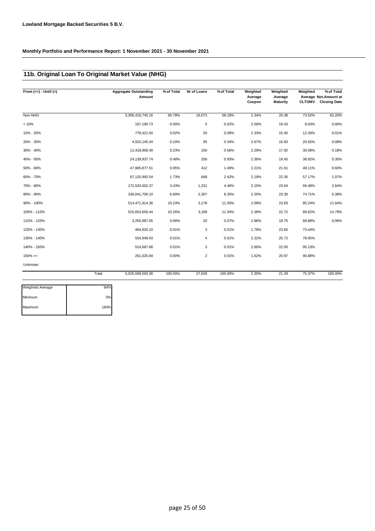# **11b. Original Loan To Original Market Value (NHG)**

| From $(>=) -$ Until $(<)$ |       | <b>Aggregate Outstanding</b><br>Amount | % of Total | Nr of Loans    | % of Total | Weighted<br>Average<br>Coupon | Weighted<br>Average<br><b>Maturity</b> | Weighted<br><b>CLTOMV</b> | % of Total<br>Average Not. Amount at<br><b>Closing Date</b> |
|---------------------------|-------|----------------------------------------|------------|----------------|------------|-------------------------------|----------------------------------------|---------------------------|-------------------------------------------------------------|
| Non-NHG                   |       | 3,306,418,745.16                       | 65.78%     | 16,073         | 58.18%     | 2.34%                         | 20.38                                  | 73.52%                    | 62.20%                                                      |
| < 10%                     |       | 167,190.73                             | 0.00%      | 5              | 0.02%      | 2.59%                         | 19.43                                  | 8.63%                     | 0.00%                                                       |
| 10% - 20%                 |       | 778,421.50                             | 0.02%      | 26             | 0.09%      | 2.33%                         | 15.45                                  | 12.26%                    | 0.01%                                                       |
| 20% - 30%                 |       | 4,915,140.34                           | 0.10%      | 95             | 0.34%      | 2.67%                         | 16.83                                  | 20.62%                    | 0.08%                                                       |
| 30% - 40%                 |       | 11,418,958.49                          | 0.23%      | 156            | 0.56%      | 2.29%                         | 17.92                                  | 30.58%                    | 0.18%                                                       |
| 40% - 50%                 |       | 24,139,937.74                          | 0.48%      | 256            | 0.93%      | 2.36%                         | 19.45                                  | 38.92%                    | 0.35%                                                       |
| 50% - 60%                 |       | 47,905,877.51                          | 0.95%      | 412            | 1.49%      | 2.21%                         | 21.61                                  | 48.11%                    | 0.60%                                                       |
| 60% - 70%                 |       | 87, 125, 992.54                        | 1.73%      | 668            | 2.42%      | 2.19%                         | 22.35                                  | 57.17%                    | 1.07%                                                       |
| 70% - 80%                 |       | 172,520,602.37                         | 3.43%      | 1,231          | 4.46%      | 2.15%                         | 23.04                                  | 66.48%                    | 2.64%                                                       |
| 80% - 90%                 |       | 336,041,706.10                         | 6.69%      | 2,307          | 8.35%      | 2.20%                         | 23.30                                  | 74.71%                    | 6.38%                                                       |
| 90% - 100%                |       | 514,471,914.36                         | 10.23%     | 3,178          | 11.50%     | 2.09%                         | 23.83                                  | 85.24%                    | 11.64%                                                      |
| 100% - 110%               |       | 515,653,656.44                         | 10.26%     | 3,189          | 11.54%     | 2.38%                         | 22.72                                  | 89.62%                    | 14.79%                                                      |
| 110% - 120%               |       | 3,255,987.05                           | 0.06%      | 20             | 0.07%      | 2.88%                         | 19.75                                  | 89.88%                    | 0.06%                                                       |
| 120% - 130%               |       | 464,820.10                             | 0.01%      | 3              | 0.01%      | 1.78%                         | 23.60                                  | 73.44%                    |                                                             |
| 130% - 140%               |       | 554,949.43                             | 0.01%      | 4              | 0.01%      | 2.31%                         | 25.72                                  | 78.65%                    |                                                             |
| 140% - 150%               |       | 514,667.68                             | 0.01%      | 3              | 0.01%      | 2.60%                         | 22.05                                  | 95.13%                    |                                                             |
| $150\%>=$                 |       | 251,025.84                             | 0.00%      | $\overline{2}$ | 0.01%      | 1.62%                         | 20.97                                  | 90.88%                    |                                                             |
| Unknown                   |       |                                        |            |                |            |                               |                                        |                           |                                                             |
|                           | Total | 5,026,599,593.38                       | 100.00%    | 27,628         | 100.00%    | 2.30%                         | 21.29                                  | 75.37%                    | 100.00%                                                     |
| <b>Weighted Average</b>   | 84%   |                                        |            |                |            |                               |                                        |                           |                                                             |

| Weighted Average | 84%  |
|------------------|------|
| Minimum          | 0%   |
| Maximum          | 184% |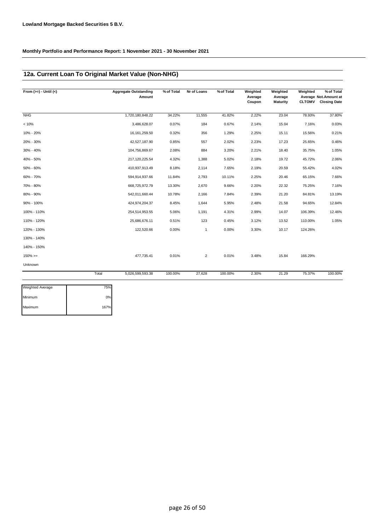### **12a. Current Loan To Original Market Value (Non-NHG)**

| From $(>=) -$ Until $(<)$ |       | <b>Aggregate Outstanding</b><br>Amount | % of Total | Nr of Loans    | % of Total | Weighted<br>Average<br>Coupon | Weighted<br>Average<br><b>Maturity</b> | Weighted<br><b>CLTOMV</b> | % of Total<br>Average Not.Amount at<br><b>Closing Date</b> |
|---------------------------|-------|----------------------------------------|------------|----------------|------------|-------------------------------|----------------------------------------|---------------------------|------------------------------------------------------------|
| <b>NHG</b>                |       | 1,720,180,848.22                       | 34.22%     | 11,555         | 41.82%     | 2.22%                         | 23.04                                  | 78.93%                    | 37.80%                                                     |
| < 10%                     |       | 3,486,628.07                           | 0.07%      | 184            | 0.67%      | 2.14%                         | 15.04                                  | 7.16%                     | 0.03%                                                      |
| 10% - 20%                 |       | 16, 161, 259.50                        | 0.32%      | 356            | 1.29%      | 2.25%                         | 15.11                                  | 15.56%                    | 0.21%                                                      |
| 20% - 30%                 |       | 42,527,187.90                          | 0.85%      | 557            | 2.02%      | 2.23%                         | 17.23                                  | 25.65%                    | 0.46%                                                      |
| 30% - 40%                 |       | 104,756,869.67                         | 2.08%      | 884            | 3.20%      | 2.21%                         | 18.40                                  | 35.75%                    | 1.05%                                                      |
| 40% - 50%                 |       | 217,120,225.54                         | 4.32%      | 1,388          | 5.02%      | 2.18%                         | 19.72                                  | 45.72%                    | 2.06%                                                      |
| 50% - 60%                 |       | 410,937,913.49                         | 8.18%      | 2,114          | 7.65%      | 2.19%                         | 20.59                                  | 55.42%                    | 4.02%                                                      |
| 60% - 70%                 |       | 594,914,937.66                         | 11.84%     | 2,793          | 10.11%     | 2.25%                         | 20.46                                  | 65.15%                    | 7.66%                                                      |
| 70% - 80%                 |       | 668,725,972.79                         | 13.30%     | 2,670          | 9.66%      | 2.20%                         | 22.32                                  | 75.25%                    | 7.16%                                                      |
| 80% - 90%                 |       | 542,011,660.44                         | 10.78%     | 2,166          | 7.84%      | 2.39%                         | 21.20                                  | 84.81%                    | 13.19%                                                     |
| 90% - 100%                |       | 424,974,204.37                         | 8.45%      | 1,644          | 5.95%      | 2.48%                         | 21.58                                  | 94.65%                    | 12.84%                                                     |
| 100% - 110%               |       | 254,514,953.55                         | 5.06%      | 1,191          | 4.31%      | 2.99%                         | 14.07                                  | 106.39%                   | 12.46%                                                     |
| 110% - 120%               |       | 25,686,676.11                          | 0.51%      | 123            | 0.45%      | 3.12%                         | 13.52                                  | 110.00%                   | 1.05%                                                      |
| 120% - 130%               |       | 122,520.66                             | 0.00%      | 1              | 0.00%      | 3.30%                         | 10.17                                  | 124.26%                   |                                                            |
| 130% - 140%               |       |                                        |            |                |            |                               |                                        |                           |                                                            |
| 140% - 150%               |       |                                        |            |                |            |                               |                                        |                           |                                                            |
| $150\%>=$                 |       | 477,735.41                             | 0.01%      | $\overline{2}$ | 0.01%      | 3.48%                         | 15.84                                  | 166.29%                   |                                                            |
| Unknown                   |       |                                        |            |                |            |                               |                                        |                           |                                                            |
|                           | Total | 5,026,599,593.38                       | 100.00%    | 27,628         | 100.00%    | 2.30%                         | 21.29                                  | 75.37%                    | 100.00%                                                    |

| <b>Weighted Average</b> | 75%  |
|-------------------------|------|
| Minimum                 | 0%   |
| Maximum                 | 167% |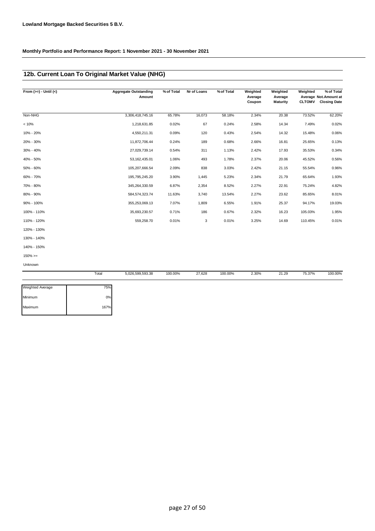## **12b. Current Loan To Original Market Value (NHG)**

| From $(>=) -$ Until $(<)$ | <b>Aggregate Outstanding</b><br>Amount | % of Total | Nr of Loans | % of Total | Weighted<br>Average<br>Coupon | Weighted<br>Average<br><b>Maturity</b> | Weighted<br><b>CLTOMV</b> | % of Total<br>Average Not. Amount at<br><b>Closing Date</b> |
|---------------------------|----------------------------------------|------------|-------------|------------|-------------------------------|----------------------------------------|---------------------------|-------------------------------------------------------------|
| Non-NHG                   | 3,306,418,745.16                       | 65.78%     | 16,073      | 58.18%     | 2.34%                         | 20.38                                  | 73.52%                    | 62.20%                                                      |
| < 10%                     | 1,218,631.85                           | 0.02%      | 67          | 0.24%      | 2.58%                         | 14.34                                  | 7.49%                     | 0.02%                                                       |
| 10% - 20%                 | 4,550,211.31                           | 0.09%      | 120         | 0.43%      | 2.54%                         | 14.32                                  | 15.48%                    | 0.06%                                                       |
| 20% - 30%                 | 11,872,706.44                          | 0.24%      | 189         | 0.68%      | 2.66%                         | 16.81                                  | 25.65%                    | 0.13%                                                       |
| 30% - 40%                 | 27,029,739.14                          | 0.54%      | 311         | 1.13%      | 2.42%                         | 17.93                                  | 35.53%                    | 0.34%                                                       |
| 40% - 50%                 | 53, 162, 435.01                        | 1.06%      | 493         | 1.78%      | 2.37%                         | 20.06                                  | 45.52%                    | 0.56%                                                       |
| 50% - 60%                 | 105,207,666.54                         | 2.09%      | 838         | 3.03%      | 2.42%                         | 21.15                                  | 55.54%                    | 0.96%                                                       |
| 60% - 70%                 | 195,795,245.20                         | 3.90%      | 1,445       | 5.23%      | 2.34%                         | 21.79                                  | 65.64%                    | 1.93%                                                       |
| 70% - 80%                 | 345,264,330.59                         | 6.87%      | 2,354       | 8.52%      | 2.27%                         | 22.91                                  | 75.24%                    | 4.82%                                                       |
| 80% - 90%                 | 584,574,323.74                         | 11.63%     | 3,740       | 13.54%     | 2.27%                         | 23.62                                  | 85.65%                    | 8.01%                                                       |
| 90% - 100%                | 355,253,069.13                         | 7.07%      | 1,809       | 6.55%      | 1.91%                         | 25.37                                  | 94.17%                    | 19.03%                                                      |
| 100% - 110%               | 35,693,230.57                          | 0.71%      | 186         | 0.67%      | 2.32%                         | 16.23                                  | 105.03%                   | 1.95%                                                       |
| 110% - 120%               | 559,258.70                             | 0.01%      | 3           | 0.01%      | 3.25%                         | 14.69                                  | 110.45%                   | 0.01%                                                       |
| 120% - 130%               |                                        |            |             |            |                               |                                        |                           |                                                             |
| 130% - 140%               |                                        |            |             |            |                               |                                        |                           |                                                             |
| 140% - 150%               |                                        |            |             |            |                               |                                        |                           |                                                             |
| $150\% >=$                |                                        |            |             |            |                               |                                        |                           |                                                             |
| Unknown                   |                                        |            |             |            |                               |                                        |                           |                                                             |
|                           | Total<br>5,026,599,593.38              | 100.00%    | 27,628      | 100.00%    | 2.30%                         | 21.29                                  | 75.37%                    | 100.00%                                                     |

| Weighted Average | 75%  |
|------------------|------|
| Minimum          | 0%   |
| Maximum          | 167% |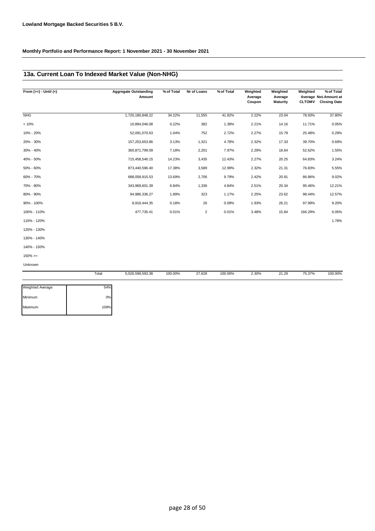### **13a. Current Loan To Indexed Market Value (Non-NHG)**

| From $(>=) -$ Until $(<)$ | <b>Aggregate Outstanding</b><br>Amount | % of Total | Nr of Loans    | % of Total | Weighted<br>Average<br>Coupon | Weighted<br>Average<br><b>Maturity</b> | Weighted<br><b>CLTOMV</b> | % of Total<br>Average Not. Amount at<br><b>Closing Date</b> |
|---------------------------|----------------------------------------|------------|----------------|------------|-------------------------------|----------------------------------------|---------------------------|-------------------------------------------------------------|
| <b>NHG</b>                | 1,720,180,848.22                       | 34.22%     | 11,555         | 41.82%     | 2.22%                         | 23.04                                  | 78.93%                    | 37.80%                                                      |
| < 10%                     | 10,894,046.08                          | 0.22%      | 382            | 1.38%      | 2.21%                         | 14.16                                  | 11.71%                    | 0.05%                                                       |
| 10% - 20%                 | 52,091,070.63                          | 1.04%      | 752            | 2.72%      | 2.27%                         | 15.79                                  | 25.48%                    | 0.29%                                                       |
| 20% - 30%                 | 157,253,653.86                         | 3.13%      | 1,321          | 4.78%      | 2.32%                         | 17.33                                  | 39.70%                    | 0.69%                                                       |
| 30% - 40%                 | 360,871,799.09                         | 7.18%      | 2,201          | 7.97%      | 2.29%                         | 18.64                                  | 52.62%                    | 1.55%                                                       |
| 40% - 50%                 | 715,458,546.15                         | 14.23%     | 3,435          | 12.43%     | 2.27%                         | 20.25                                  | 64.83%                    | 3.24%                                                       |
| 50% - 60%                 | 873,440,596.40                         | 17.38%     | 3,589          | 12.99%     | 2.32%                         | 21.31                                  | 76.83%                    | 5.55%                                                       |
| 60% - 70%                 | 688,058,915.53                         | 13.69%     | 2,706          | 9.79%      | 2.42%                         | 20.91                                  | 86.86%                    | 9.02%                                                       |
| 70% - 80%                 | 343,969,601.39                         | 6.84%      | 1,336          | 4.84%      | 2.51%                         | 20.34                                  | 95.46%                    | 12.21%                                                      |
| 80% - 90%                 | 94,986,336.27                          | 1.89%      | 323            | 1.17%      | 2.25%                         | 23.62                                  | 98.44%                    | 12.57%                                                      |
| 90% - 100%                | 8,916,444.35                           | 0.18%      | 26             | 0.09%      | 1.93%                         | 26.21                                  | 97.99%                    | 9.20%                                                       |
| 100% - 110%               | 477,735.41                             | 0.01%      | $\overline{2}$ | 0.01%      | 3.48%                         | 15.84                                  | 166.29%                   | 6.05%                                                       |
| 110% - 120%               |                                        |            |                |            |                               |                                        |                           | 1.78%                                                       |
| 120% - 130%               |                                        |            |                |            |                               |                                        |                           |                                                             |
| 130% - 140%               |                                        |            |                |            |                               |                                        |                           |                                                             |
| 140% - 150%               |                                        |            |                |            |                               |                                        |                           |                                                             |
| $150\%>=$                 |                                        |            |                |            |                               |                                        |                           |                                                             |
| Unknown                   |                                        |            |                |            |                               |                                        |                           |                                                             |

|                  | Total | 5,026,599,593.38 | 100.00% | 27,628 | 100.00% | 2.30% | 21.29 | 75.37% | 100.00% |
|------------------|-------|------------------|---------|--------|---------|-------|-------|--------|---------|
| Weighted Average | 54%   |                  |         |        |         |       |       |        |         |
| Minimum          | 0%    |                  |         |        |         |       |       |        |         |
| Maximum          | 109%  |                  |         |        |         |       |       |        |         |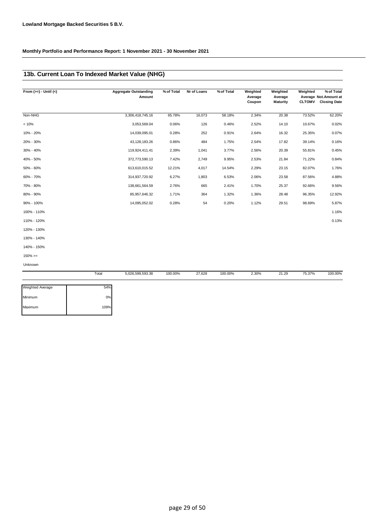# **13b. Current Loan To Indexed Market Value (NHG)**

| From $(>=) -$ Until $(<)$ |       | <b>Aggregate Outstanding</b><br>Amount | % of Total | Nr of Loans | % of Total | Weighted<br>Average<br>Coupon | Weighted<br>Average<br><b>Maturity</b> | Weighted<br><b>CLTOMV</b> | % of Total<br>Average Not.Amount at<br><b>Closing Date</b> |
|---------------------------|-------|----------------------------------------|------------|-------------|------------|-------------------------------|----------------------------------------|---------------------------|------------------------------------------------------------|
| Non-NHG                   |       | 3,306,418,745.16                       | 65.78%     | 16,073      | 58.18%     | 2.34%                         | 20.38                                  | 73.52%                    | 62.20%                                                     |
| < 10%                     |       | 3,053,569.04                           | 0.06%      | 126         | 0.46%      | 2.52%                         | 14.10                                  | 10.67%                    | 0.02%                                                      |
| 10% - 20%                 |       | 14,039,095.01                          | 0.28%      | 252         | 0.91%      | 2.64%                         | 16.32                                  | 25.35%                    | 0.07%                                                      |
| 20% - 30%                 |       | 43,128,183.26                          | 0.86%      | 484         | 1.75%      | 2.54%                         | 17.82                                  | 39.14%                    | 0.16%                                                      |
| 30% - 40%                 |       | 119,924,411.41                         | 2.39%      | 1,041       | 3.77%      | 2.56%                         | 20.39                                  | 55.81%                    | 0.45%                                                      |
| 40% - 50%                 |       | 372,773,590.13                         | 7.42%      | 2,749       | 9.95%      | 2.53%                         | 21.84                                  | 71.22%                    | 0.84%                                                      |
| 50% - 60%                 |       | 613,610,015.52                         | 12.21%     | 4,017       | 14.54%     | 2.29%                         | 23.15                                  | 82.07%                    | 1.76%                                                      |
| 60% - 70%                 |       | 314,937,720.92                         | 6.27%      | 1,803       | 6.53%      | 2.06%                         | 23.58                                  | 87.56%                    | 4.88%                                                      |
| 70% - 80%                 |       | 138,661,564.59                         | 2.76%      | 665         | 2.41%      | 1.70%                         | 25.37                                  | 92.66%                    | 9.56%                                                      |
| 80% - 90%                 |       | 85,957,646.32                          | 1.71%      | 364         | 1.32%      | 1.36%                         | 28.48                                  | 96.35%                    | 12.92%                                                     |
| 90% - 100%                |       | 14,095,052.02                          | 0.28%      | 54          | 0.20%      | 1.12%                         | 29.51                                  | 98.69%                    | 5.87%                                                      |
| 100% - 110%               |       |                                        |            |             |            |                               |                                        |                           | 1.16%                                                      |
| 110% - 120%               |       |                                        |            |             |            |                               |                                        |                           | 0.13%                                                      |
| 120% - 130%               |       |                                        |            |             |            |                               |                                        |                           |                                                            |
| 130% - 140%               |       |                                        |            |             |            |                               |                                        |                           |                                                            |
| 140% - 150%               |       |                                        |            |             |            |                               |                                        |                           |                                                            |
| $150\%>=$                 |       |                                        |            |             |            |                               |                                        |                           |                                                            |
| Unknown                   |       |                                        |            |             |            |                               |                                        |                           |                                                            |
|                           | Total | 5,026,599,593.38                       | 100.00%    | 27,628      | 100.00%    | 2.30%                         | 21.29                                  | 75.37%                    | 100.00%                                                    |

| <b>Weighted Average</b> | 54%  |
|-------------------------|------|
| Minimum                 | 0%   |
| Maximum                 | 109% |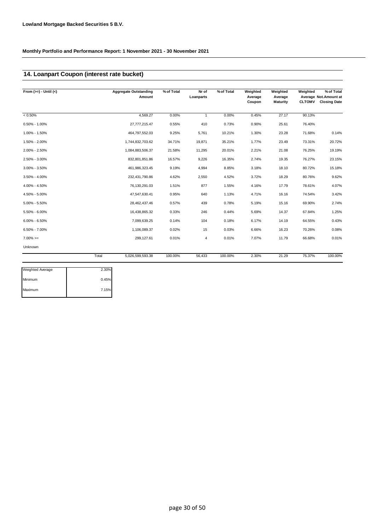### **14. Loanpart Coupon (interest rate bucket)**

| From $(>=) -$ Until $(<)$ |       | <b>Aggregate Outstanding</b><br>Amount | % of Total | Nr of<br>Loanparts | % of Total | Weighted<br>Average<br>Coupon | Weighted<br>Average<br><b>Maturity</b> | Weighted<br><b>CLTOMV</b> | % of Total<br>Average Not.Amount at<br><b>Closing Date</b> |
|---------------------------|-------|----------------------------------------|------------|--------------------|------------|-------------------------------|----------------------------------------|---------------------------|------------------------------------------------------------|
| $< 0.50\%$                |       | 4,569.27                               | 0.00%      | 1                  | 0.00%      | 0.45%                         | 27.17                                  | 90.13%                    |                                                            |
| $0.50\% - 1.00\%$         |       | 27,777,215.47                          | 0.55%      | 410                | 0.73%      | 0.90%                         | 25.61                                  | 76.40%                    |                                                            |
| 1.00% - 1.50%             |       | 464,797,552.03                         | 9.25%      | 5,761              | 10.21%     | 1.30%                         | 23.28                                  | 71.68%                    | 0.14%                                                      |
| 1.50% - 2.00%             |       | 1,744,832,703.62                       | 34.71%     | 19,871             | 35.21%     | 1.77%                         | 23.49                                  | 73.31%                    | 20.72%                                                     |
| 2.00% - 2.50%             |       | 1,084,883,506.37                       | 21.58%     | 11,295             | 20.01%     | 2.21%                         | 21.08                                  | 76.25%                    | 19.19%                                                     |
| 2.50% - 3.00%             |       | 832,801,851.86                         | 16.57%     | 9,226              | 16.35%     | 2.74%                         | 19.35                                  | 76.27%                    | 23.15%                                                     |
| 3.00% - 3.50%             |       | 461,986,323.45                         | 9.19%      | 4,994              | 8.85%      | 3.18%                         | 18.10                                  | 80.72%                    | 15.18%                                                     |
| $3.50\% - 4.00\%$         |       | 232,431,790.86                         | 4.62%      | 2,550              | 4.52%      | 3.72%                         | 18.29                                  | 80.76%                    | 9.62%                                                      |
| 4.00% - 4.50%             |       | 76,130,291.03                          | 1.51%      | 877                | 1.55%      | 4.16%                         | 17.79                                  | 78.61%                    | 4.07%                                                      |
| 4.50% - 5.00%             |       | 47,547,630.41                          | 0.95%      | 640                | 1.13%      | 4.71%                         | 16.16                                  | 74.54%                    | 3.42%                                                      |
| $5.00\% - 5.50\%$         |       | 28,462,437.46                          | 0.57%      | 439                | 0.78%      | 5.19%                         | 15.16                                  | 69.90%                    | 2.74%                                                      |
| $5.50\% - 6.00\%$         |       | 16,438,865.32                          | 0.33%      | 246                | 0.44%      | 5.69%                         | 14.37                                  | 67.84%                    | 1.25%                                                      |
| $6.00\% - 6.50\%$         |       | 7,099,639.25                           | 0.14%      | 104                | 0.18%      | 6.17%                         | 14.19                                  | 64.55%                    | 0.43%                                                      |
| $6.50\% - 7.00\%$         |       | 1,106,089.37                           | 0.02%      | 15                 | 0.03%      | 6.66%                         | 16.23                                  | 70.26%                    | 0.08%                                                      |
| $7.00\%>=$                |       | 299,127.61                             | 0.01%      | 4                  | 0.01%      | 7.07%                         | 11.79                                  | 66.68%                    | 0.01%                                                      |
| Unknown                   |       |                                        |            |                    |            |                               |                                        |                           |                                                            |
|                           | Total | 5,026,599,593.38                       | 100.00%    | 56,433             | 100.00%    | 2.30%                         | 21.29                                  | 75.37%                    | 100.00%                                                    |

| <b>Weighted Average</b> | 2.30% |
|-------------------------|-------|
| Minimum                 | 0.45% |
| Maximum                 | 7.15% |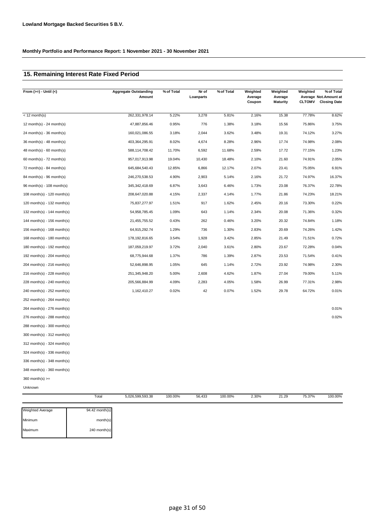# **15. Remaining Interest Rate Fixed Period**

| From $(>=)$ - Until $($       |       | <b>Aggregate Outstanding</b><br>Amount | % of Total | Nr of<br>Loanparts | % of Total | Weighted<br>Average<br>Coupon | Weighted<br>Average<br><b>Maturity</b> | Weighted<br><b>CLTOMV</b> | % of Total<br>Average Not.Amount at<br><b>Closing Date</b> |
|-------------------------------|-------|----------------------------------------|------------|--------------------|------------|-------------------------------|----------------------------------------|---------------------------|------------------------------------------------------------|
| $<$ 12 month(s)               |       | 262,331,978.14                         | 5.22%      | 3,278              | 5.81%      | 2.16%                         | 15.38                                  | 77.78%                    | 8.62%                                                      |
| 12 month(s) - 24 month(s)     |       | 47,887,856.46                          | 0.95%      | 776                | 1.38%      | 3.18%                         | 15.56                                  | 75.86%                    | 3.75%                                                      |
| 24 month(s) - 36 month(s)     |       | 160,021,086.55                         | 3.18%      | 2,044              | 3.62%      | 3.48%                         | 19.31                                  | 74.12%                    | 3.27%                                                      |
| 36 month(s) - 48 month(s)     |       | 403,364,295.91                         | 8.02%      | 4,674              | 8.28%      | 2.96%                         | 17.74                                  | 74.98%                    | 2.08%                                                      |
| $48$ month(s) - 60 month(s)   |       | 588,114,708.42                         | 11.70%     | 6,592              | 11.68%     | 2.59%                         | 17.72                                  | 77.15%                    | 1.23%                                                      |
| 60 month(s) - $72$ month(s)   |       | 957,017,913.98                         | 19.04%     | 10,430             | 18.48%     | 2.10%                         | 21.60                                  | 74.91%                    | 2.05%                                                      |
| 72 month(s) - 84 month(s)     |       | 645,684,540.43                         | 12.85%     | 6,866              | 12.17%     | 2.07%                         | 23.41                                  | 75.05%                    | 6.91%                                                      |
| 84 month(s) - 96 month(s)     |       | 246,270,538.53                         | 4.90%      | 2,903              | 5.14%      | 2.16%                         | 21.72                                  | 74.97%                    | 16.37%                                                     |
| 96 month(s) - 108 month(s)    |       | 345, 342, 418.69                       | 6.87%      | 3,643              | 6.46%      | 1.73%                         | 23.08                                  | 76.37%                    | 22.78%                                                     |
| 108 month(s) - 120 month(s)   |       | 208,647,020.88                         | 4.15%      | 2,337              | 4.14%      | 1.77%                         | 21.86                                  | 74.23%                    | 18.21%                                                     |
| 120 month(s) - 132 month(s)   |       | 75,837,277.97                          | 1.51%      | 917                | 1.62%      | 2.45%                         | 20.16                                  | 73.30%                    | 0.22%                                                      |
| 132 month(s) - 144 month(s)   |       | 54,958,785.45                          | 1.09%      | 643                | 1.14%      | 2.34%                         | 20.08                                  | 71.36%                    | 0.32%                                                      |
| 144 month(s) - 156 month(s)   |       | 21,455,755.52                          | 0.43%      | 262                | 0.46%      | 3.20%                         | 20.32                                  | 74.84%                    | 1.18%                                                      |
| 156 month(s) - $168$ month(s) |       | 64,915,292.74                          | 1.29%      | 736                | 1.30%      | 2.83%                         | 20.69                                  | 74.26%                    | 1.42%                                                      |
| 168 month(s) - 180 month(s)   |       | 178,192,816.65                         | 3.54%      | 1,928              | 3.42%      | 2.85%                         | 21.49                                  | 71.51%                    | 0.72%                                                      |
| 180 month(s) - 192 month(s)   |       | 187,059,219.97                         | 3.72%      | 2,040              | 3.61%      | 2.80%                         | 23.67                                  | 72.28%                    | 0.04%                                                      |
| 192 month(s) - $204$ month(s) |       | 68,775,944.68                          | 1.37%      | 786                | 1.39%      | 2.87%                         | 23.53                                  | 71.54%                    | 0.41%                                                      |
| 204 month(s) - 216 month(s)   |       | 52,646,898.95                          | 1.05%      | 645                | 1.14%      | 2.72%                         | 23.92                                  | 74.98%                    | 2.30%                                                      |
| 216 month(s) - 228 month(s)   |       | 251,345,948.20                         | 5.00%      | 2,608              | 4.62%      | 1.87%                         | 27.04                                  | 79.00%                    | 5.11%                                                      |
| 228 month(s) - 240 month(s)   |       | 205,566,884.99                         | 4.09%      | 2,283              | 4.05%      | 1.58%                         | 26.99                                  | 77.31%                    | 2.98%                                                      |
| 240 month(s) - 252 month(s)   |       | 1,162,410.27                           | 0.02%      | 42                 | 0.07%      | 1.52%                         | 29.78                                  | 64.72%                    | 0.01%                                                      |
| 252 month(s) - 264 month(s)   |       |                                        |            |                    |            |                               |                                        |                           |                                                            |
| 264 month(s) - 276 month(s)   |       |                                        |            |                    |            |                               |                                        |                           | 0.01%                                                      |
| 276 month(s) - 288 month(s)   |       |                                        |            |                    |            |                               |                                        |                           | 0.02%                                                      |
| 288 month(s) - 300 month(s)   |       |                                        |            |                    |            |                               |                                        |                           |                                                            |
| 300 month(s) - 312 month(s)   |       |                                        |            |                    |            |                               |                                        |                           |                                                            |
| 312 month(s) - 324 month(s)   |       |                                        |            |                    |            |                               |                                        |                           |                                                            |
| 324 month(s) - 336 month(s)   |       |                                        |            |                    |            |                               |                                        |                           |                                                            |
| 336 month(s) - 348 month(s)   |       |                                        |            |                    |            |                               |                                        |                           |                                                            |
| 348 month(s) - 360 month(s)   |       |                                        |            |                    |            |                               |                                        |                           |                                                            |
| $360$ month(s) $>=$           |       |                                        |            |                    |            |                               |                                        |                           |                                                            |
| Unknown                       |       |                                        |            |                    |            |                               |                                        |                           |                                                            |
|                               | Total | 5,026,599,593.38                       | 100.00%    | 56,433             | 100.00%    | 2.30%                         | 21.29                                  | 75.37%                    | 100.00%                                                    |

| <b>Weighted Average</b> | $94.42$ month(s) |
|-------------------------|------------------|
| Minimum                 | month(s)         |
| Maximum                 | $240$ month(s)   |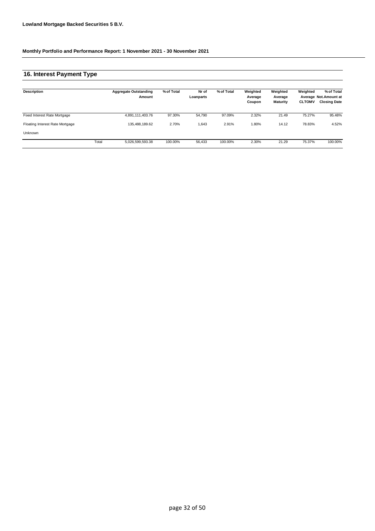# **16. Interest Payment Type**

| Description                     |       | <b>Aggregate Outstanding</b><br>Amount | % of Total | Nr of<br>Loanparts | % of Total | Weighted<br>Average<br>Coupon | Weighted<br>Average<br><b>Maturity</b> | Weighted<br><b>CLTOMV</b> | % of Total<br>Average Not.Amount at<br><b>Closing Date</b> |
|---------------------------------|-------|----------------------------------------|------------|--------------------|------------|-------------------------------|----------------------------------------|---------------------------|------------------------------------------------------------|
| Fixed Interest Rate Mortgage    |       | 4,891,111,403.76                       | 97.30%     | 54,790             | 97.09%     | 2.32%                         | 21.49                                  | 75.27%                    | 95.48%                                                     |
| Floating Interest Rate Mortgage |       | 135.488.189.62                         | 2.70%      | 1,643              | 2.91%      | 1.80%                         | 14.12                                  | 78.83%                    | 4.52%                                                      |
| Unknown                         |       |                                        |            |                    |            |                               |                                        |                           |                                                            |
|                                 | Total | 5,026,599,593.38                       | 100.00%    | 56.433             | 100.00%    | 2.30%                         | 21.29                                  | 75.37%                    | 100.00%                                                    |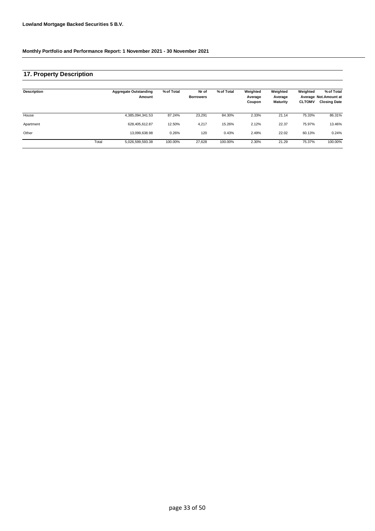## **17. Property Description**

| <b>Description</b> |       | <b>Aggregate Outstanding</b><br>Amount | % of Total | Nr of<br><b>Borrowers</b> | % of Total | Weighted<br>Average<br>Coupon | Weighted<br>Average<br><b>Maturity</b> | Weighted<br><b>CLTOMV</b> | % of Total<br>Average Not.Amount at<br><b>Closing Date</b> |
|--------------------|-------|----------------------------------------|------------|---------------------------|------------|-------------------------------|----------------------------------------|---------------------------|------------------------------------------------------------|
| House              |       | 4,385,094,341.53                       | 87.24%     | 23,291                    | 84.30%     | 2.33%                         | 21.14                                  | 75.33%                    | 86.31%                                                     |
| Apartment          |       | 628.405.612.87                         | 12.50%     | 4,217                     | 15.26%     | 2.12%                         | 22.37                                  | 75.97%                    | 13.46%                                                     |
| Other              |       | 13,099,638.98                          | 0.26%      | 120                       | 0.43%      | 2.49%                         | 22.02                                  | 60.13%                    | 0.24%                                                      |
|                    | Total | 5,026,599,593.38                       | 100.00%    | 27.628                    | 100.00%    | 2.30%                         | 21.29                                  | 75.37%                    | 100.00%                                                    |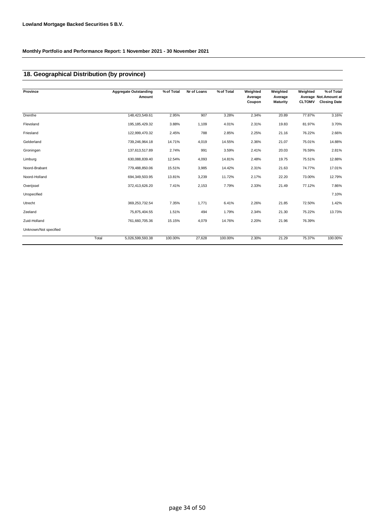## **18. Geographical Distribution (by province)**

| Province              |       | <b>Aggregate Outstanding</b><br>Amount | % of Total | Nr of Loans | % of Total | Weighted<br>Average<br>Coupon | Weighted<br>Average<br><b>Maturity</b> | Weighted<br><b>CLTOMV</b> | % of Total<br>Average Not.Amount at<br><b>Closing Date</b> |
|-----------------------|-------|----------------------------------------|------------|-------------|------------|-------------------------------|----------------------------------------|---------------------------|------------------------------------------------------------|
| Drenthe               |       | 148,423,549.61                         | 2.95%      | 907         | 3.28%      | 2.34%                         | 20.89                                  | 77.87%                    | 3.16%                                                      |
| Flevoland             |       | 195, 185, 429.32                       | 3.88%      | 1,109       | 4.01%      | 2.31%                         | 19.83                                  | 81.97%                    | 3.70%                                                      |
| Friesland             |       | 122,999,470.32                         | 2.45%      | 788         | 2.85%      | 2.25%                         | 21.16                                  | 76.22%                    | 2.66%                                                      |
| Gelderland            |       | 739,246,964.18                         | 14.71%     | 4,019       | 14.55%     | 2.36%                         | 21.07                                  | 75.01%                    | 14.88%                                                     |
| Groningen             |       | 137,613,517.89                         | 2.74%      | 991         | 3.59%      | 2.41%                         | 20.03                                  | 76.59%                    | 2.81%                                                      |
| Limburg               |       | 630,088,839.40                         | 12.54%     | 4,093       | 14.81%     | 2.48%                         | 19.75                                  | 75.51%                    | 12.88%                                                     |
| Noord-Brabant         |       | 779,488,850.06                         | 15.51%     | 3,985       | 14.42%     | 2.31%                         | 21.63                                  | 74.77%                    | 17.01%                                                     |
| Noord-Holland         |       | 694,349,503.95                         | 13.81%     | 3,239       | 11.72%     | 2.17%                         | 22.20                                  | 73.00%                    | 12.79%                                                     |
| Overijssel            |       | 372,413,626.20                         | 7.41%      | 2,153       | 7.79%      | 2.33%                         | 21.49                                  | 77.12%                    | 7.86%                                                      |
| Unspecified           |       |                                        |            |             |            |                               |                                        |                           | 7.10%                                                      |
| Utrecht               |       | 369, 253, 732.54                       | 7.35%      | 1,771       | 6.41%      | 2.26%                         | 21.85                                  | 72.50%                    | 1.42%                                                      |
| Zeeland               |       | 75,875,404.55                          | 1.51%      | 494         | 1.79%      | 2.34%                         | 21.30                                  | 75.22%                    | 13.73%                                                     |
| Zuid-Holland          |       | 761,660,705.36                         | 15.15%     | 4,079       | 14.76%     | 2.20%                         | 21.96                                  | 76.39%                    |                                                            |
| Unknown/Not specified |       |                                        |            |             |            |                               |                                        |                           |                                                            |
|                       | Total | 5,026,599,593.38                       | 100.00%    | 27,628      | 100.00%    | 2.30%                         | 21.29                                  | 75.37%                    | 100.00%                                                    |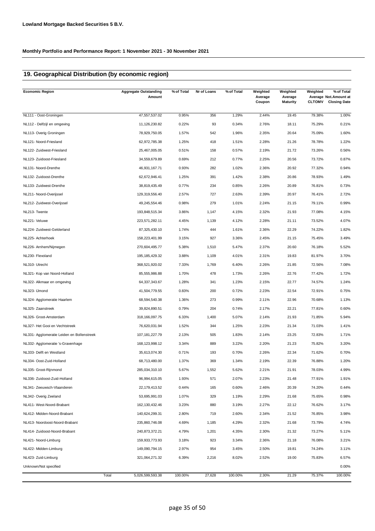# **19. Geographical Distribution (by economic region)**

| <b>Economic Region</b>                     | <b>Aggregate Outstanding</b><br>Amount | % of Total | Nr of Loans | % of Total | Weighted<br>Average<br>Coupon | Weighted<br>Average<br><b>Maturity</b> | Weighted<br><b>CLTOMV</b> | % of Total<br>Average Not. Amount at<br><b>Closing Date</b> |
|--------------------------------------------|----------------------------------------|------------|-------------|------------|-------------------------------|----------------------------------------|---------------------------|-------------------------------------------------------------|
| NL111 - Oost-Groningen                     | 47,557,537.02                          | 0.95%      | 356         | 1.29%      | 2.44%                         | 19.45                                  | 79.38%                    | 1.00%                                                       |
| NL112 - Delfzijl en omgeving               | 11,126,230.82                          | 0.22%      | 93          | 0.34%      | 2.76%                         | 18.11                                  | 75.29%                    | 0.21%                                                       |
| NL113- Overig Groningen                    | 78,929,750.05                          | 1.57%      | 542         | 1.96%      | 2.35%                         | 20.64                                  | 75.09%                    | 1.60%                                                       |
| NL121- Noord-Friesland                     | 62,972,785.38                          | 1.25%      | 418         | 1.51%      | 2.28%                         | 21.26                                  | 78.78%                    | 1.22%                                                       |
| NL122- Zuidwest-Friesland                  | 25,467,005.05                          | 0.51%      | 158         | 0.57%      | 2.19%                         | 21.72                                  | 73.26%                    | 0.56%                                                       |
| NL123- Zuidoost-Friesland                  | 34,559,679.89                          | 0.69%      | 212         | 0.77%      | 2.25%                         | 20.56                                  | 73.72%                    | 0.87%                                                       |
| NL131- Noord-Drenthe                       | 46,931,167.71                          | 0.93%      | 282         | 1.02%      | 2.36%                         | 20.92                                  | 77.32%                    | 0.94%                                                       |
| NL132- Zuidoost-Drenthe                    | 62,672,946.41                          | 1.25%      | 391         | 1.42%      | 2.38%                         | 20.86                                  | 78.93%                    | 1.49%                                                       |
| NL133- Zuidwest-Drenthe                    | 38,819,435.49                          | 0.77%      | 234         | 0.85%      | 2.26%                         | 20.89                                  | 76.81%                    | 0.73%                                                       |
| NL211- Noord-Overijssel                    | 129,319,556.40                         | 2.57%      | 727         | 2.63%      | 2.39%                         | 20.97                                  | 76.41%                    | 2.72%                                                       |
| NL212- Zuidwest-Overijssel                 | 49,245,554.46                          | 0.98%      | 279         | 1.01%      | 2.24%                         | 21.15                                  | 79.11%                    | 0.99%                                                       |
| NL213- Twente                              | 193,848,515.34                         | 3.86%      | 1,147       | 4.15%      | 2.32%                         | 21.93                                  | 77.08%                    | 4.15%                                                       |
| NL221- Veluwe                              | 223,571,282.11                         | 4.45%      | 1,139       | 4.12%      | 2.28%                         | 21.11                                  | 73.52%                    | 4.07%                                                       |
| NL224- Zuidwest-Gelderland                 | 87,325,430.10                          | 1.74%      | 444         | 1.61%      | 2.36%                         | 22.29                                  | 74.22%                    | 1.82%                                                       |
| NL225- Achterhoek                          | 158,223,401.99                         | 3.15%      | 927         | 3.36%      | 2.45%                         | 21.15                                  | 75.45%                    | 3.49%                                                       |
| NL226- Arnhem/Nijmegen                     | 270,604,495.77                         | 5.38%      | 1,510       | 5.47%      | 2.37%                         | 20.60                                  | 76.18%                    | 5.52%                                                       |
| NL230- Flevoland                           | 195, 185, 429.32                       | 3.88%      | 1,109       | 4.01%      | 2.31%                         | 19.83                                  | 81.97%                    | 3.70%                                                       |
| NL310- Utrecht                             | 368,521,920.02                         | 7.33%      | 1,769       | 6.40%      | 2.26%                         | 21.85                                  | 72.56%                    | 7.08%                                                       |
| NL321- Kop van Noord-Holland               | 85,555,986.88                          | 1.70%      | 478         | 1.73%      | 2.26%                         | 22.76                                  | 77.42%                    | 1.72%                                                       |
| NL322- Alkmaar en omgeving                 | 64,337,343.67                          | 1.28%      | 341         | 1.23%      | 2.15%                         | 22.77                                  | 74.57%                    | 1.24%                                                       |
| NL323- IJmond                              | 41,504,779.55                          | 0.83%      | 200         | 0.72%      | 2.23%                         | 22.54                                  | 72.91%                    | 0.75%                                                       |
| NL324- Agglomeratie Haarlem                | 68,594,540.38                          | 1.36%      | 273         | 0.99%      | 2.11%                         | 22.96                                  | 70.68%                    | 1.13%                                                       |
| NL325- Zaanstreek                          | 39,824,890.51                          | 0.79%      | 204         | 0.74%      | 2.17%                         | 22.21                                  | 77.81%                    | 0.60%                                                       |
| NL326- Groot-Amsterdam                     | 318, 166, 097. 75                      | 6.33%      | 1,400       | 5.07%      | 2.14%                         | 21.93                                  | 71.85%                    | 5.94%                                                       |
| NL327- Het Gooi en Vechtstreek             | 76,620,031.94                          | 1.52%      | 344         | 1.25%      | 2.23%                         | 21.34                                  | 71.03%                    | 1.41%                                                       |
| NL331- Agglomeratie Leiden en Bollenstreek | 107, 181, 227. 79                      | 2.13%      | 505         | 1.83%      | 2.14%                         | 23.25                                  | 72.83%                    | 1.71%                                                       |
| NL332- Agglomeratie 's-Gravenhage          | 168, 123, 998. 12                      | 3.34%      | 889         | 3.22%      | 2.20%                         | 21.23                                  | 75.82%                    | 3.20%                                                       |
| NL333- Delft en Westland                   | 35,613,074.30                          | 0.71%      | 193         | 0.70%      | 2.26%                         | 22.34                                  | 71.62%                    | 0.70%                                                       |
| NL334- Oost-Zuid-Holland                   | 68,713,480.00                          | 1.37%      | 369         | 1.34%      | 2.19%                         | 22.39                                  | 76.88%                    | 1.20%                                                       |
| NL335- Groot-Rijnmond                      | 285,034,310.10                         | 5.67%      | 1,552       | 5.62%      | 2.21%                         | 21.91                                  | 78.03%                    | 4.99%                                                       |
| NL336- Zuidoost-Zuid-Holland               | 96,994,615.05                          | 1.93%      | 571         | 2.07%      | 2.23%                         | 21.48                                  | 77.91%                    | 1.91%                                                       |
| NL341- Zeeuwsch-Vlaanderen                 | 22, 179, 413.52                        | 0.44%      | 165         | 0.60%      | 2.46%                         | 20.39                                  | 74.20%                    | 0.44%                                                       |
| NL342- Overig Zeeland                      | 53,695,991.03                          | 1.07%      | 329         | 1.19%      | 2.29%                         | 21.68                                  | 75.65%                    | 0.98%                                                       |
| NL411- West-Noord-Brabant                  | 162, 130, 432. 46                      | 3.23%      | 880         | 3.19%      | 2.27%                         | 22.12                                  | 76.62%                    | 3.17%                                                       |
| NL412- Midden-Noord-Brabant                | 140,624,299.31                         | 2.80%      | 719         | 2.60%      | 2.34%                         | 21.52                                  | 76.85%                    | 3.98%                                                       |
| NL413- Noordoost-Noord-Brabant             | 235,860,746.08                         | 4.69%      | 1,185       | 4.29%      | 2.32%                         | 21.68                                  | 73.79%                    | 4.74%                                                       |
| NL414- Zuidoost-Noord-Brabant              | 240,873,372.21                         | 4.79%      | 1,201       | 4.35%      | 2.30%                         | 21.32                                  | 73.27%                    | 5.11%                                                       |
| NL421- Noord-Limburg                       | 159,933,773.93                         | 3.18%      | 923         | 3.34%      | 2.36%                         | 21.18                                  | 76.08%                    | 3.21%                                                       |
| NL422- Midden-Limburg                      | 149,090,794.15                         | 2.97%      | 954         | 3.45%      | 2.50%                         | 19.81                                  | 74.24%                    | 3.11%                                                       |
| NL423- Zuid-Limburg                        | 321,064,271.32                         | 6.39%      | 2,216       | 8.02%      | 2.52%                         | 19.00                                  | 75.83%                    | 6.57%                                                       |
| Unknown/Not specified                      |                                        |            |             |            |                               |                                        |                           | 0.00%                                                       |
|                                            | Total<br>5,026,599,593.38              | 100.00%    | 27,628      | 100.00%    | 2.30%                         | 21.29                                  | 75.37%                    | 100.00%                                                     |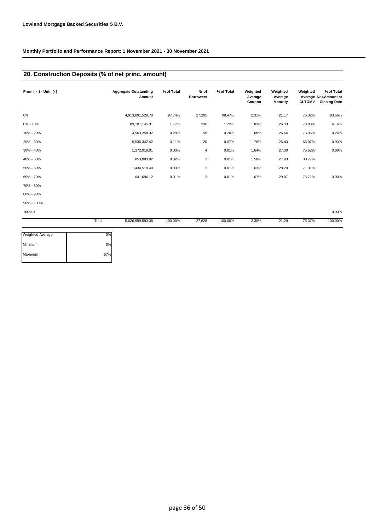## **20. Construction Deposits (% of net princ. amount)**

| From $(>=) -$ Until $(<)$ |       | <b>Aggregate Outstanding</b><br>Amount | % of Total | Nr of<br><b>Borrowers</b> | % of Total | Weighted<br>Average<br>Coupon | Weighted<br>Average<br><b>Maturity</b> | Weighted<br><b>CLTOMV</b> | % of Total<br>Average Not.Amount at<br><b>Closing Date</b> |
|---------------------------|-------|----------------------------------------|------------|---------------------------|------------|-------------------------------|----------------------------------------|---------------------------|------------------------------------------------------------|
| 0%                        |       | 4,913,091,529.78                       | 97.74%     | 27,205                    | 98.47%     | 2.31%                         | 21.17                                  | 75.32%                    | 93.56%                                                     |
| $0\% - 10\%$              |       | 89,107,145.31                          | 1.77%      | 336                       | 1.22%      | 1.83%                         | 26.33                                  | 78.83%                    | 6.16%                                                      |
| 10% - 20%                 |       | 14,563,258.32                          | 0.29%      | 56                        | 0.20%      | 1.68%                         | 26.64                                  | 73.96%                    | 0.24%                                                      |
| 20% - 30%                 |       | 5,536,342.42                           | 0.11%      | 20                        | 0.07%      | 1.76%                         | 26.43                                  | 66.97%                    | 0.03%                                                      |
| 30% - 40%                 |       | 1,372,019.01                           | 0.03%      | 4                         | 0.01%      | 1.64%                         | 27.30                                  | 75.52%                    | 0.00%                                                      |
| 40% - 50%                 |       | 853,083.02                             | 0.02%      | 3                         | 0.01%      | 1.58%                         | 27.93                                  | 80.77%                    |                                                            |
| 50% - 60%                 |       | 1,434,519.40                           | 0.03%      | $\overline{2}$            | 0.01%      | 1.63%                         | 28.20                                  | 71.31%                    |                                                            |
| 60% - 70%                 |       | 641,696.12                             | 0.01%      | $\overline{2}$            | 0.01%      | 1.67%                         | 29.07                                  | 75.71%                    | 0.00%                                                      |
| 70% - 80%                 |       |                                        |            |                           |            |                               |                                        |                           |                                                            |
| 80% - 90%                 |       |                                        |            |                           |            |                               |                                        |                           |                                                            |
| 90% - 100%                |       |                                        |            |                           |            |                               |                                        |                           |                                                            |
| $100\% >$                 |       |                                        |            |                           |            |                               |                                        |                           | 0.00%                                                      |
|                           | Total | 5,026,599,593.38                       | 100.00%    | 27,628                    | 100.00%    | 2.30%                         | 21.29                                  | 75.37%                    | 100.00%                                                    |

| Weighted Average | 0%  |
|------------------|-----|
| Minimum          | 0%  |
| Maximum          | 67% |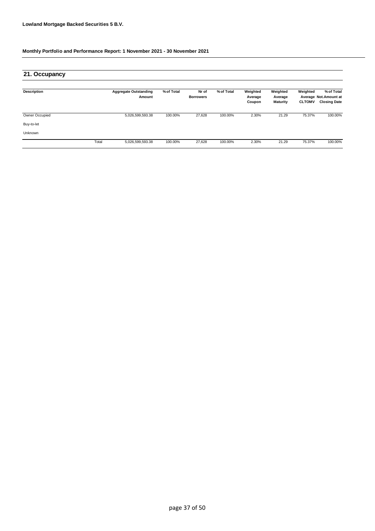| 21. Occupancy      |       |                                        |            |                           |            |                               |                                        |                           |                                                            |
|--------------------|-------|----------------------------------------|------------|---------------------------|------------|-------------------------------|----------------------------------------|---------------------------|------------------------------------------------------------|
| <b>Description</b> |       | <b>Aggregate Outstanding</b><br>Amount | % of Total | Nr of<br><b>Borrowers</b> | % of Total | Weighted<br>Average<br>Coupon | Weighted<br>Average<br><b>Maturity</b> | Weighted<br><b>CLTOMV</b> | % of Total<br>Average Not.Amount at<br><b>Closing Date</b> |
| Owner Occupied     |       | 5,026,599,593.38                       | 100.00%    | 27,628                    | 100.00%    | 2.30%                         | 21.29                                  | 75.37%                    | 100.00%                                                    |
| Buy-to-let         |       |                                        |            |                           |            |                               |                                        |                           |                                                            |
| Unknown            |       |                                        |            |                           |            |                               |                                        |                           |                                                            |
|                    | Total | 5,026,599,593.38                       | 100.00%    | 27,628                    | 100.00%    | 2.30%                         | 21.29                                  | 75.37%                    | 100.00%                                                    |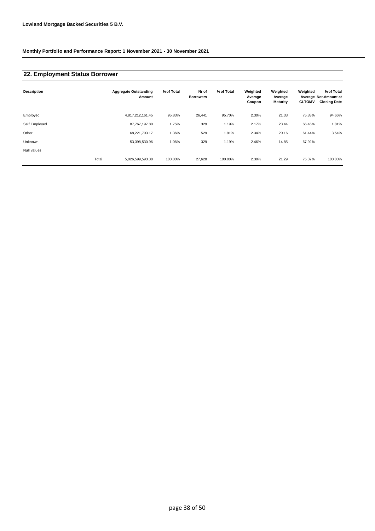## **22. Employment Status Borrower**

| <b>Description</b> |       | <b>Aggregate Outstanding</b><br>Amount | % of Total | Nr of<br><b>Borrowers</b> | % of Total | Weighted<br>Average<br>Coupon | Weighted<br>Average<br><b>Maturity</b> | Weighted<br><b>CLTOMV</b> | % of Total<br>Average Not.Amount at<br><b>Closing Date</b> |
|--------------------|-------|----------------------------------------|------------|---------------------------|------------|-------------------------------|----------------------------------------|---------------------------|------------------------------------------------------------|
|                    |       |                                        |            |                           |            |                               |                                        |                           |                                                            |
| Employed           |       | 4,817,212,161.45                       | 95.83%     | 26,441                    | 95.70%     | 2.30%                         | 21.33                                  | 75.83%                    | 94.66%                                                     |
| Self Employed      |       | 87,767,197.80                          | 1.75%      | 329                       | 1.19%      | 2.17%                         | 23.44                                  | 66.46%                    | 1.81%                                                      |
| Other              |       | 68,221,703.17                          | 1.36%      | 529                       | 1.91%      | 2.34%                         | 20.16                                  | 61.44%                    | 3.54%                                                      |
| Unknown            |       | 53,398,530.96                          | 1.06%      | 329                       | 1.19%      | 2.46%                         | 14.85                                  | 67.92%                    |                                                            |
| Null values        |       |                                        |            |                           |            |                               |                                        |                           |                                                            |
|                    | Total | 5,026,599,593.38                       | 100.00%    | 27,628                    | 100.00%    | 2.30%                         | 21.29                                  | 75.37%                    | 100.00%                                                    |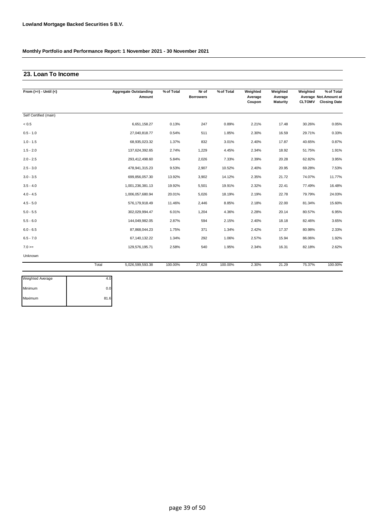### **23. Loan To Income**

| From $(>=) -$ Until $(<)$ | <b>Aggregate Outstanding</b><br>Amount | % of Total | Nr of<br><b>Borrowers</b> | % of Total | Weighted<br>Average | Weighted<br>Average | Weighted      | % of Total<br>Average Not.Amount at |
|---------------------------|----------------------------------------|------------|---------------------------|------------|---------------------|---------------------|---------------|-------------------------------------|
|                           |                                        |            |                           |            | Coupon              | <b>Maturity</b>     | <b>CLTOMV</b> | <b>Closing Date</b>                 |
| Self Certified (main)     |                                        |            |                           |            |                     |                     |               |                                     |
| < 0.5                     | 6,651,158.27                           | 0.13%      | 247                       | 0.89%      | 2.21%               | 17.48               | 30.26%        | 0.05%                               |
| $0.5 - 1.0$               | 27,040,818.77                          | 0.54%      | 511                       | 1.85%      | 2.30%               | 16.59               | 29.71%        | 0.33%                               |
| $1.0 - 1.5$               | 68,935,023.32                          | 1.37%      | 832                       | 3.01%      | 2.40%               | 17.87               | 40.65%        | 0.87%                               |
| $1.5 - 2.0$               | 137,624,392.65                         | 2.74%      | 1,229                     | 4.45%      | 2.34%               | 18.92               | 51.75%        | 1.91%                               |
| $2.0 - 2.5$               | 293,412,498.60                         | 5.84%      | 2,026                     | 7.33%      | 2.39%               | 20.28               | 62.82%        | 3.95%                               |
| $2.5 - 3.0$               | 478,941,315.23                         | 9.53%      | 2,907                     | 10.52%     | 2.40%               | 20.95               | 69.28%        | 7.53%                               |
| $3.0 - 3.5$               | 699,856,057.30                         | 13.92%     | 3,902                     | 14.12%     | 2.35%               | 21.72               | 74.07%        | 11.77%                              |
| $3.5 - 4.0$               | 1,001,236,381.13                       | 19.92%     | 5,501                     | 19.91%     | 2.32%               | 22.41               | 77.49%        | 16.48%                              |
| $4.0 - 4.5$               | 1,006,057,680.94                       | 20.01%     | 5,026                     | 18.19%     | 2.19%               | 22.78               | 79.79%        | 24.03%                              |
| $4.5 - 5.0$               | 576,179,918.49                         | 11.46%     | 2,446                     | 8.85%      | 2.18%               | 22.00               | 81.34%        | 15.60%                              |
| $5.0 - 5.5$               | 302,029,994.47                         | 6.01%      | 1,204                     | 4.36%      | 2.28%               | 20.14               | 80.57%        | 6.95%                               |
| $5.5 - 6.0$               | 144,049,982.05                         | 2.87%      | 594                       | 2.15%      | 2.40%               | 18.18               | 82.46%        | 3.65%                               |
| $6.0 - 6.5$               | 87.868.044.23                          | 1.75%      | 371                       | 1.34%      | 2.42%               | 17.37               | 80.98%        | 2.33%                               |
| $6.5 - 7.0$               | 67,140,132.22                          | 1.34%      | 292                       | 1.06%      | 2.57%               | 15.94               | 86.06%        | 1.92%                               |
| $7.0 =$                   | 129,576,195.71                         | 2.58%      | 540                       | 1.95%      | 2.34%               | 16.31               | 82.18%        | 2.62%                               |
| Unknown                   |                                        |            |                           |            |                     |                     |               |                                     |
|                           | Total<br>5,026,599,593.38              | 100.00%    | 27.628                    | 100.00%    | 2.30%               | 21.29               | 75.37%        | 100.00%                             |

| <b>Weighted Average</b> |      |
|-------------------------|------|
| Minimum                 |      |
| Maximum                 | 81.6 |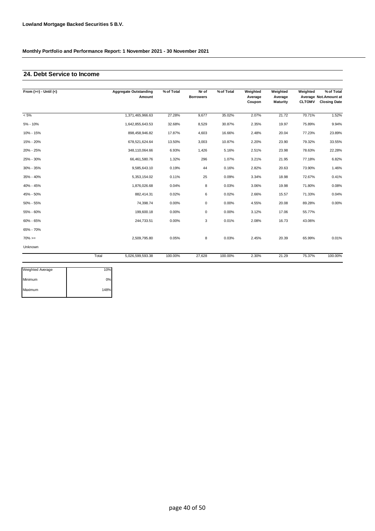### **24. Debt Service to Income**

| From $(>=) -$ Until $(<)$ |       | <b>Aggregate Outstanding</b><br>Amount | % of Total | Nr of<br><b>Borrowers</b> | % of Total | Weighted<br>Average<br>Coupon | Weighted<br>Average<br><b>Maturity</b> | Weighted<br><b>CLTOMV</b> | % of Total<br>Average Not. Amount at<br><b>Closing Date</b> |
|---------------------------|-------|----------------------------------------|------------|---------------------------|------------|-------------------------------|----------------------------------------|---------------------------|-------------------------------------------------------------|
| $< 5\%$                   |       | 1,371,465,966.63                       | 27.28%     | 9,677                     | 35.02%     | 2.07%                         | 21.72                                  | 70.71%                    | 1.52%                                                       |
| 5% - 10%                  |       | 1,642,855,643.53                       | 32.68%     | 8,529                     | 30.87%     | 2.35%                         | 19.97                                  | 75.89%                    | 9.94%                                                       |
| 10% - 15%                 |       | 898,458,946.82                         | 17.87%     | 4,603                     | 16.66%     | 2.48%                         | 20.04                                  | 77.23%                    | 23.89%                                                      |
| 15% - 20%                 |       | 678,521,624.64                         | 13.50%     | 3,003                     | 10.87%     | 2.20%                         | 23.90                                  | 79.32%                    | 33.55%                                                      |
| 20% - 25%                 |       | 348,110,064.66                         | 6.93%      | 1,426                     | 5.16%      | 2.51%                         | 23.98                                  | 78.63%                    | 22.28%                                                      |
| 25% - 30%                 |       | 66,461,580.76                          | 1.32%      | 296                       | 1.07%      | 3.21%                         | 21.95                                  | 77.18%                    | 6.82%                                                       |
| 30% - 35%                 |       | 9,585,643.10                           | 0.19%      | 44                        | 0.16%      | 2.82%                         | 20.63                                  | 73.90%                    | 1.46%                                                       |
| 35% - 40%                 |       | 5,353,154.02                           | 0.11%      | 25                        | 0.09%      | 3.34%                         | 18.98                                  | 72.67%                    | 0.41%                                                       |
| 40% - 45%                 |       | 1,876,026.68                           | 0.04%      | 8                         | 0.03%      | 3.06%                         | 19.98                                  | 71.80%                    | 0.08%                                                       |
| 45% - 50%                 |       | 882,414.31                             | 0.02%      | 6                         | 0.02%      | 2.66%                         | 15.57                                  | 71.33%                    | 0.04%                                                       |
| 50% - 55%                 |       | 74,398.74                              | 0.00%      | $\mathbf 0$               | 0.00%      | 4.55%                         | 20.08                                  | 89.28%                    | 0.00%                                                       |
| 55% - 60%                 |       | 199,600.18                             | 0.00%      | $\mathbf 0$               | 0.00%      | 3.12%                         | 17.06                                  | 55.77%                    |                                                             |
| 60% - 65%                 |       | 244,733.51                             | 0.00%      | 3                         | 0.01%      | 2.08%                         | 16.73                                  | 43.06%                    |                                                             |
| 65% - 70%                 |       |                                        |            |                           |            |                               |                                        |                           |                                                             |
| $70\%>=$                  |       | 2.509.795.80                           | 0.05%      | 8                         | 0.03%      | 2.45%                         | 20.39                                  | 65.99%                    | 0.01%                                                       |
| Unknown                   |       |                                        |            |                           |            |                               |                                        |                           |                                                             |
|                           | Total | 5,026,599,593.38                       | 100.00%    | 27,628                    | 100.00%    | 2.30%                         | 21.29                                  | 75.37%                    | 100.00%                                                     |

| Weighted Average | 10%  |
|------------------|------|
| Minimum          | 0%   |
| Maximum          | 148% |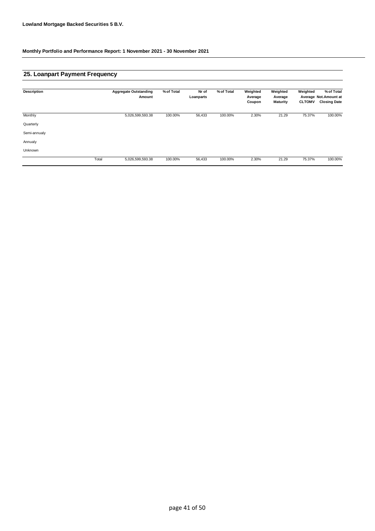## **25. Loanpart Payment Frequency**

| <b>Description</b> |       | <b>Aggregate Outstanding</b> | % of Total | Nr of     | % of Total | Weighted          | Weighted            | Weighted      | % of Total                                   |
|--------------------|-------|------------------------------|------------|-----------|------------|-------------------|---------------------|---------------|----------------------------------------------|
|                    |       | Amount                       |            | Loanparts |            | Average<br>Coupon | Average<br>Maturity | <b>CLTOMV</b> | Average Not.Amount at<br><b>Closing Date</b> |
|                    |       |                              |            |           |            |                   |                     |               |                                              |
| Monthly            |       | 5,026,599,593.38             | 100.00%    | 56,433    | 100.00%    | 2.30%             | 21.29               | 75.37%        | 100.00%                                      |
| Quarterly          |       |                              |            |           |            |                   |                     |               |                                              |
| Semi-annualy       |       |                              |            |           |            |                   |                     |               |                                              |
| Annualy            |       |                              |            |           |            |                   |                     |               |                                              |
| Unknown            |       |                              |            |           |            |                   |                     |               |                                              |
|                    | Total | 5,026,599,593.38             | 100.00%    | 56,433    | 100.00%    | 2.30%             | 21.29               | 75.37%        | 100.00%                                      |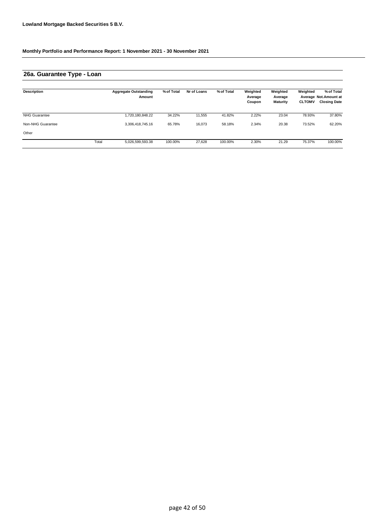# **26a. Guarantee Type - Loan**

| <b>Description</b>   |       | <b>Aggregate Outstanding</b><br>Amount | % of Total | Nr of Loans | % of Total | Weighted<br>Average<br>Coupon | Weighted<br>Average<br><b>Maturity</b> | Weighted<br><b>CLTOMV</b> | % of Total<br>Average Not.Amount at<br><b>Closing Date</b> |
|----------------------|-------|----------------------------------------|------------|-------------|------------|-------------------------------|----------------------------------------|---------------------------|------------------------------------------------------------|
| <b>NHG Guarantee</b> |       | ,720,180,848.22                        | 34.22%     | 11,555      | 41.82%     | 2.22%                         | 23.04                                  | 78.93%                    | 37.80%                                                     |
| Non-NHG Guarantee    |       | 3,306,418,745.16                       | 65.78%     | 16.073      | 58.18%     | 2.34%                         | 20.38                                  | 73.52%                    | 62.20%                                                     |
| Other                |       |                                        |            |             |            |                               |                                        |                           |                                                            |
|                      | Total | 5,026,599,593.38                       | 100.00%    | 27.628      | 100.00%    | 2.30%                         | 21.29                                  | 75.37%                    | 100.00%                                                    |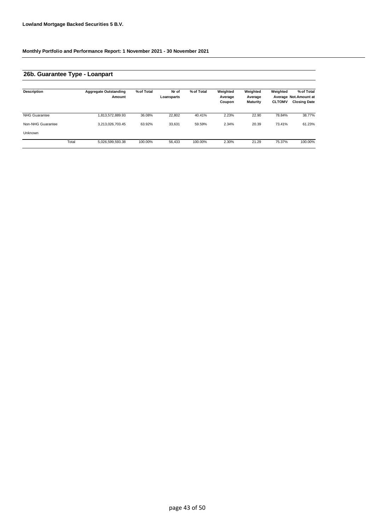# **26b. Guarantee Type - Loanpart**

| <b>Description</b>   |       | <b>Aggregate Outstanding</b><br>Amount | % of Total | Nr of<br>Loansparts | % of Total | Weighted<br>Average<br>Coupon | Weighted<br>Average<br><b>Maturity</b> | Weighted<br><b>CLTOMV</b> | % of Total<br>Average Not.Amount at<br><b>Closing Date</b> |
|----------------------|-------|----------------------------------------|------------|---------------------|------------|-------------------------------|----------------------------------------|---------------------------|------------------------------------------------------------|
| <b>NHG Guarantee</b> |       | 1,813,572,889.93                       | 36.08%     | 22.802              | 40.41%     | 2.23%                         | 22.90                                  | 78.84%                    | 38.77%                                                     |
| Non-NHG Guarantee    |       | 3,213,026,703.45                       | 63.92%     | 33,631              | 59.59%     | 2.34%                         | 20.39                                  | 73.41%                    | 61.23%                                                     |
| Unknown              |       |                                        |            |                     |            |                               |                                        |                           |                                                            |
|                      | Total | 5,026,599,593.38                       | 100.00%    | 56.433              | 100.00%    | 2.30%                         | 21.29                                  | 75.37%                    | 100.00%                                                    |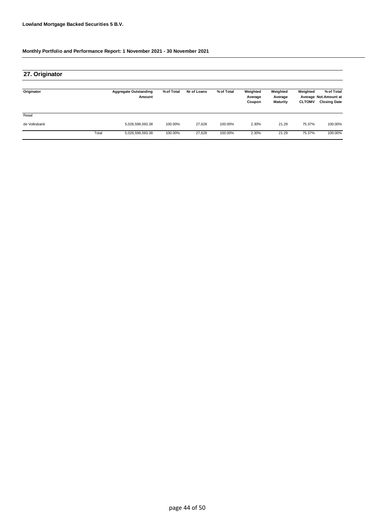| 27. Originator |       |                                        |            |             |            |                               |                                        |                           |                                                            |
|----------------|-------|----------------------------------------|------------|-------------|------------|-------------------------------|----------------------------------------|---------------------------|------------------------------------------------------------|
| Originator     |       | <b>Aggregate Outstanding</b><br>Amount | % of Total | Nr of Loans | % of Total | Weighted<br>Average<br>Coupon | Weighted<br>Average<br><b>Maturity</b> | Weighted<br><b>CLTOMV</b> | % of Total<br>Average Not.Amount at<br><b>Closing Date</b> |
| Reaal          |       |                                        |            |             |            |                               |                                        |                           |                                                            |
| de Volksbank   |       | 5,026,599,593.38                       | 100.00%    | 27.628      | 100.00%    | 2.30%                         | 21.29                                  | 75.37%                    | 100.00%                                                    |
|                | Total | 5,026,599,593.38                       | 100.00%    | 27,628      | 100.00%    | 2.30%                         | 21.29                                  | 75.37%                    | 100.00%                                                    |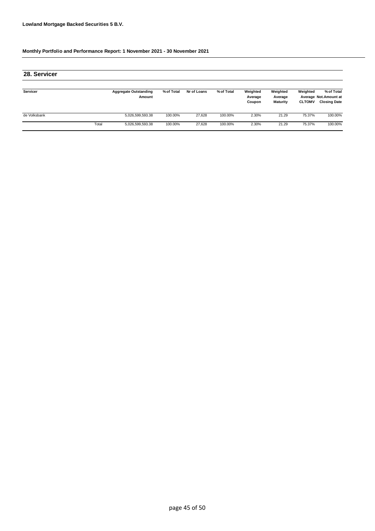| 28. Servicer    |       |                                        |            |             |            |                               |                                        |                           |                                                            |
|-----------------|-------|----------------------------------------|------------|-------------|------------|-------------------------------|----------------------------------------|---------------------------|------------------------------------------------------------|
| <b>Servicer</b> |       | <b>Aggregate Outstanding</b><br>Amount | % of Total | Nr of Loans | % of Total | Weighted<br>Average<br>Coupon | Weighted<br>Average<br><b>Maturity</b> | Weighted<br><b>CLTOMV</b> | % of Total<br>Average Not.Amount at<br><b>Closing Date</b> |
| de Volksbank    |       | 5,026,599,593.38                       | 100.00%    | 27.628      | 100.00%    | 2.30%                         | 21.29                                  | 75.37%                    | 100.00%                                                    |
|                 | Total | 5,026,599,593.38                       | 100.00%    | 27.628      | 100.00%    | 2.30%                         | 21.29                                  | 75.37%                    | 100.00%                                                    |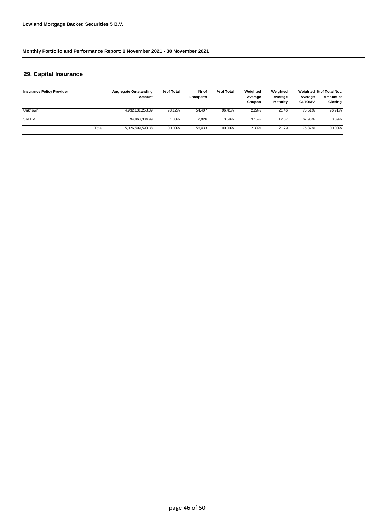## **29. Capital Insurance**

| <b>Insurance Policy Provider</b> |       | <b>Aggregate Outstanding</b><br>Amount | % of Total | Nr of<br>Loanparts | % of Total | Weighted<br>Average<br>Coupon | Weighted<br>Average<br><b>Maturity</b> | Average<br><b>CLTOMV</b> | Weighted % of Total Not.<br>Amount at<br>Closing |
|----------------------------------|-------|----------------------------------------|------------|--------------------|------------|-------------------------------|----------------------------------------|--------------------------|--------------------------------------------------|
| <b>Unknown</b>                   |       | 4,932,131,258.39                       | 98.12%     | 54,407             | 96.41%     | 2.29%                         | 21.46                                  | 75.51%                   | 96.91%                                           |
| <b>SRLEV</b>                     |       | 94.468.334.99                          | .88%       | 2.026              | 3.59%      | 3.15%                         | 12.87                                  | 67.98%                   | 3.09%                                            |
|                                  | Total | 5,026,599,593.38                       | 100.00%    | 56,433             | 100.00%    | 2.30%                         | 21.29                                  | 75.37%                   | 100.00%                                          |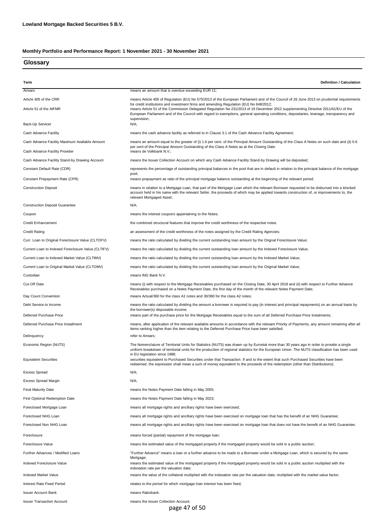### **Glossary**

| Term                                               | <b>Definition / Calculation</b>                                                                                                                                                                                                                                                                                                                                                         |
|----------------------------------------------------|-----------------------------------------------------------------------------------------------------------------------------------------------------------------------------------------------------------------------------------------------------------------------------------------------------------------------------------------------------------------------------------------|
| Arrears                                            | means an amount that is overdue exceeding EUR 11;                                                                                                                                                                                                                                                                                                                                       |
| Article 405 of the CRR                             | means Article 405 of Regulation (EU) No 575/2013 of the European Parliament and of the Council of 26 June 2013 on prudential requirements                                                                                                                                                                                                                                               |
| Article 51 of the AIFMR                            | for credit institutions and investment firms and amending Regulation (EU) No 648/2012;<br>means Article 51 of the Commission Delegated Regulation No 231/2013 of 19 December 2012 supplementing Directive 2011/61/EU of the<br>European Parliament and of the Council with regard to exemptions, general operating conditions, depositaries, leverage, transparency and<br>supervision; |
| Back-Up Servicer                                   | N/A;                                                                                                                                                                                                                                                                                                                                                                                    |
| Cash Advance Facility                              | means the cash advance facility as referred to in Clause 3.1 of the Cash Advance Facility Agreement;                                                                                                                                                                                                                                                                                    |
| Cash Advance Facility Maximum Available Amount     | means an amount equal to the greater of (i) 1.6 per cent. of the Principal Amount Outstanding of the Class A Notes on such date and (ii) 0.6<br>per cent of the Principal Amount Outstanding of the Class A Notes as at the Closing Date.                                                                                                                                               |
| Cash Advance Facility Provider                     | means de Volkbank N.V.;                                                                                                                                                                                                                                                                                                                                                                 |
| Cash Advance Facility Stand-by Drawing Account     | means the Issuer Collection Account on which any Cash Advance Facility Stand-by Drawing will be deposited;                                                                                                                                                                                                                                                                              |
| Constant Default Rate (CDR)                        | represents the percentage of outstanding principal balances in the pool that are in default in relation to the principal balance of the mortgage                                                                                                                                                                                                                                        |
| Constant Prepayment Rate (CPR)                     | pool;<br>means prepayment as ratio of the principal mortgage balance outstanding at the beginning of the relevant period;                                                                                                                                                                                                                                                               |
| <b>Construction Deposit</b>                        | means in relation to a Mortgage Loan, that part of the Mortgage Loan which the relevant Borrower requested to be disbursed into a blocked<br>account held in his name with the relevant Seller, the proceeds of which may be applied towards construction of, or improvements to, the<br>relevant Mortgaged Asset;                                                                      |
| <b>Construction Deposit Guarantee</b>              | N/A;                                                                                                                                                                                                                                                                                                                                                                                    |
| Coupon                                             | means the interest coupons appertaining to the Notes;                                                                                                                                                                                                                                                                                                                                   |
| <b>Credit Enhancement</b>                          | the combined structural features that improve the credit worthiness of the respective notes.                                                                                                                                                                                                                                                                                            |
| <b>Credit Rating</b>                               | an assessment of the credit worthiness of the notes assigned by the Credit Rating Agencies;                                                                                                                                                                                                                                                                                             |
| Curr. Loan to Original Foreclosure Value (CLTOFV)  | means the ratio calculated by dividing the current outstanding loan amount by the Orignal Foreclosure Value;                                                                                                                                                                                                                                                                            |
| Current Loan to Indexed Foreclosure Value (CLTIFV) | means the ratio calculated by dividing the current outstanding loan amount by the Indexed Foreclosure Value;                                                                                                                                                                                                                                                                            |
| Current Loan to Indexed Market Value (CLTIMV)      | means the ratio calculated by dividing the current outstanding loan amount by the Indexed Market Value;                                                                                                                                                                                                                                                                                 |
| Current Loan to Original Market Value (CLTOMV)     | means the ratio calculated by dividing the current outstanding loan amount by the Original Market Value;                                                                                                                                                                                                                                                                                |
| Custodian                                          | means ING Bank N.V.                                                                                                                                                                                                                                                                                                                                                                     |
| Cut-Off Date                                       | means (i) with respect to the Mortgage Receivables purchased on the Closing Date, 30 April 2018 and (ii) with respect to Further Advance<br>Receivables purchased on a Notes Payment Date, the first day of the month of the relevant Notes Payment Date;                                                                                                                               |
| Day Count Convention                               | means Actual/360 for the class A1 notes and 30/360 for the class A2 notes;                                                                                                                                                                                                                                                                                                              |
| Debt Service to Income                             | means the ratio calculated by dividing the amount a borrower is required to pay (in interest and principal repayments) on an annual basis by<br>the borrower(s) disposable income;                                                                                                                                                                                                      |
| Deferred Purchase Price                            | means part of the purchase price for the Mortgage Receivables equal to the sum of all Deferred Purchase Price Instalments;                                                                                                                                                                                                                                                              |
| Deferred Purchase Price Installment                | means, after application of the relevant available amounts in accordance with the relevant Priority of Payments, any amount remaining after all<br>items ranking higher than the item relating to the Deferred Purchase Price have been satisfied;                                                                                                                                      |
| Delinquency                                        | refer to Arrears;                                                                                                                                                                                                                                                                                                                                                                       |
| Economic Region (NUTS)                             | The Nomenclature of Territorial Units for Statistics (NUTS) was drawn up by Eurostat more than 30 years ago in order to provide a single<br>uniform breakdown of territorial units for the production of regional statistics for the European Union. The NUTS classification has been used<br>in EU legislation since 1988;                                                             |
| <b>Equivalent Securities</b>                       | securities equivalent to Purchased Securities under that Transaction. If and to the extent that such Purchased Securities have been<br>redeemed, the expression shall mean a sum of money equivalent to the proceeds of the redemption (other than Distributions);                                                                                                                      |
| <b>Excess Spread</b>                               | N/A;                                                                                                                                                                                                                                                                                                                                                                                    |
| <b>Excess Spread Margin</b>                        | N/A;                                                                                                                                                                                                                                                                                                                                                                                    |
| <b>Final Maturity Date</b>                         | means the Notes Payment Date falling in May 2055;                                                                                                                                                                                                                                                                                                                                       |
| <b>First Optional Redemption Date</b>              | means the Notes Payment Date falling in May 2023;                                                                                                                                                                                                                                                                                                                                       |
| Foreclosed Mortgage Loan                           | means all mortgage rights and ancillary rights have been exercised;                                                                                                                                                                                                                                                                                                                     |
| Foreclosed NHG Loan                                | means all mortgage rights and ancillary rights have been exercised on mortgage loan that has the benefit of an NHG Guarantee;                                                                                                                                                                                                                                                           |
| Foreclosed Non NHG Loan                            | means all mortgage rights and ancillary rights have been exercised on mortgage loan that does not have the benefit of an NHG Guarantee;                                                                                                                                                                                                                                                 |
| Foreclosure                                        | means forced (partial) repayment of the mortgage loan;                                                                                                                                                                                                                                                                                                                                  |
| Foreclosure Value                                  | means the estimated value of the mortgaged property if the mortgaged property would be sold in a public auction;                                                                                                                                                                                                                                                                        |
| Further Advances / Modified Loans                  | "Further Advance" means a loan or a further advance to be made to a Borrower under a Mortgage Loan, which is secured by the same<br>Mortgage;                                                                                                                                                                                                                                           |
| Indexed Foreclosure Value                          | means the estimated value of the mortgaged property if the mortgaged property would be sold in a public auction multiplied with the<br>indexation rate per the valuation date;                                                                                                                                                                                                          |
| Indexed Market Value                               | means the value of the collateral multiplied with the indexation rate per the valuation date, multiplied with the market value factor;                                                                                                                                                                                                                                                  |
| <b>Interest Rate Fixed Period</b>                  | relates to the period for which mortgage loan interest has been fixed;                                                                                                                                                                                                                                                                                                                  |
| <b>Issuer Account Bank</b>                         | means Rabobank.                                                                                                                                                                                                                                                                                                                                                                         |
| <b>Issuer Transaction Account</b>                  | means the Issuer Collection Account.<br>$\epsilon$ r $\sim$                                                                                                                                                                                                                                                                                                                             |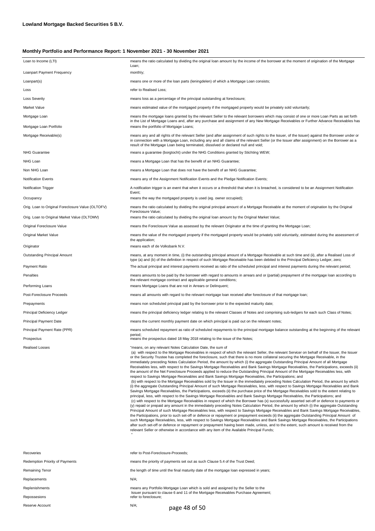| Loan to Income (LTI)                              | means the ratio calculated by dividing the original loan amount by the income of the borrower at the moment of origination of the Mortgage<br>Loan;                                                                                                                                                                                                                                                                                                                                                                                                                                                                                                                                                                                                                                                                                                                                                                                                                                                                                                                                                                                                                                                                                                                                                                                                                                                                                                                                                                                                                                                                                                                                                                                                                                                                                                                                                                                                                                                                                                                                                                                                                                                                                                                                                                                                                                                                                                  |
|---------------------------------------------------|------------------------------------------------------------------------------------------------------------------------------------------------------------------------------------------------------------------------------------------------------------------------------------------------------------------------------------------------------------------------------------------------------------------------------------------------------------------------------------------------------------------------------------------------------------------------------------------------------------------------------------------------------------------------------------------------------------------------------------------------------------------------------------------------------------------------------------------------------------------------------------------------------------------------------------------------------------------------------------------------------------------------------------------------------------------------------------------------------------------------------------------------------------------------------------------------------------------------------------------------------------------------------------------------------------------------------------------------------------------------------------------------------------------------------------------------------------------------------------------------------------------------------------------------------------------------------------------------------------------------------------------------------------------------------------------------------------------------------------------------------------------------------------------------------------------------------------------------------------------------------------------------------------------------------------------------------------------------------------------------------------------------------------------------------------------------------------------------------------------------------------------------------------------------------------------------------------------------------------------------------------------------------------------------------------------------------------------------------------------------------------------------------------------------------------------------------|
| Loanpart Payment Frequency                        | monthly;                                                                                                                                                                                                                                                                                                                                                                                                                                                                                                                                                                                                                                                                                                                                                                                                                                                                                                                                                                                                                                                                                                                                                                                                                                                                                                                                                                                                                                                                                                                                                                                                                                                                                                                                                                                                                                                                                                                                                                                                                                                                                                                                                                                                                                                                                                                                                                                                                                             |
| Loanpart(s)                                       | means one or more of the loan parts (leningdelen) of which a Mortgage Loan consists;                                                                                                                                                                                                                                                                                                                                                                                                                                                                                                                                                                                                                                                                                                                                                                                                                                                                                                                                                                                                                                                                                                                                                                                                                                                                                                                                                                                                                                                                                                                                                                                                                                                                                                                                                                                                                                                                                                                                                                                                                                                                                                                                                                                                                                                                                                                                                                 |
| Loss                                              | refer to Realised Loss;                                                                                                                                                                                                                                                                                                                                                                                                                                                                                                                                                                                                                                                                                                                                                                                                                                                                                                                                                                                                                                                                                                                                                                                                                                                                                                                                                                                                                                                                                                                                                                                                                                                                                                                                                                                                                                                                                                                                                                                                                                                                                                                                                                                                                                                                                                                                                                                                                              |
| <b>Loss Severity</b>                              | means loss as a percentage of the principal outstanding at foreclosure;                                                                                                                                                                                                                                                                                                                                                                                                                                                                                                                                                                                                                                                                                                                                                                                                                                                                                                                                                                                                                                                                                                                                                                                                                                                                                                                                                                                                                                                                                                                                                                                                                                                                                                                                                                                                                                                                                                                                                                                                                                                                                                                                                                                                                                                                                                                                                                              |
| Market Value                                      | means estimated value of the mortgaged property if the mortgaged property would be privately sold voluntarily;                                                                                                                                                                                                                                                                                                                                                                                                                                                                                                                                                                                                                                                                                                                                                                                                                                                                                                                                                                                                                                                                                                                                                                                                                                                                                                                                                                                                                                                                                                                                                                                                                                                                                                                                                                                                                                                                                                                                                                                                                                                                                                                                                                                                                                                                                                                                       |
| Mortgage Loan                                     | means the mortgage loans granted by the relevant Seller to the relevant borrowers which may consist of one or more Loan Parts as set forth<br>in the List of Mortgage Loans and, after any purchase and assignment of any New Mortgage Receivables or Further Advance Receivables has                                                                                                                                                                                                                                                                                                                                                                                                                                                                                                                                                                                                                                                                                                                                                                                                                                                                                                                                                                                                                                                                                                                                                                                                                                                                                                                                                                                                                                                                                                                                                                                                                                                                                                                                                                                                                                                                                                                                                                                                                                                                                                                                                                |
| Mortgage Loan Portfolio                           | means the portfolio of Mortgage Loans;                                                                                                                                                                                                                                                                                                                                                                                                                                                                                                                                                                                                                                                                                                                                                                                                                                                                                                                                                                                                                                                                                                                                                                                                                                                                                                                                                                                                                                                                                                                                                                                                                                                                                                                                                                                                                                                                                                                                                                                                                                                                                                                                                                                                                                                                                                                                                                                                               |
| Mortgage Receivable(s)                            | means any and all rights of the relevant Seller (and after assignment of such rights to the Issuer, of the Issuer) against the Borrower under or<br>in connection with a Mortgage Loan, including any and all claims of the relevant Seller (or the Issuer after assignment) on the Borrower as a<br>result of the Mortgage Loan being terminated, dissolved or declared null and void;                                                                                                                                                                                                                                                                                                                                                                                                                                                                                                                                                                                                                                                                                                                                                                                                                                                                                                                                                                                                                                                                                                                                                                                                                                                                                                                                                                                                                                                                                                                                                                                                                                                                                                                                                                                                                                                                                                                                                                                                                                                              |
| <b>NHG Guarantee</b>                              | means a guarantee (borgtocht) under the NHG Conditions granted by Stichting WEW;                                                                                                                                                                                                                                                                                                                                                                                                                                                                                                                                                                                                                                                                                                                                                                                                                                                                                                                                                                                                                                                                                                                                                                                                                                                                                                                                                                                                                                                                                                                                                                                                                                                                                                                                                                                                                                                                                                                                                                                                                                                                                                                                                                                                                                                                                                                                                                     |
| NHG Loan                                          | means a Mortgage Loan that has the benefit of an NHG Guarantee;                                                                                                                                                                                                                                                                                                                                                                                                                                                                                                                                                                                                                                                                                                                                                                                                                                                                                                                                                                                                                                                                                                                                                                                                                                                                                                                                                                                                                                                                                                                                                                                                                                                                                                                                                                                                                                                                                                                                                                                                                                                                                                                                                                                                                                                                                                                                                                                      |
| Non NHG Loan                                      | means a Mortgage Loan that does not have the benefit of an NHG Guarantee;                                                                                                                                                                                                                                                                                                                                                                                                                                                                                                                                                                                                                                                                                                                                                                                                                                                                                                                                                                                                                                                                                                                                                                                                                                                                                                                                                                                                                                                                                                                                                                                                                                                                                                                                                                                                                                                                                                                                                                                                                                                                                                                                                                                                                                                                                                                                                                            |
| <b>Notification Events</b>                        | means any of the Assignment Notification Events and the Pledge Notification Events;                                                                                                                                                                                                                                                                                                                                                                                                                                                                                                                                                                                                                                                                                                                                                                                                                                                                                                                                                                                                                                                                                                                                                                                                                                                                                                                                                                                                                                                                                                                                                                                                                                                                                                                                                                                                                                                                                                                                                                                                                                                                                                                                                                                                                                                                                                                                                                  |
| <b>Notification Trigger</b>                       | A notification trigger is an event that when it occurs or a threshold that when it is breached, is considered to be an Assignment Notification<br>Event;                                                                                                                                                                                                                                                                                                                                                                                                                                                                                                                                                                                                                                                                                                                                                                                                                                                                                                                                                                                                                                                                                                                                                                                                                                                                                                                                                                                                                                                                                                                                                                                                                                                                                                                                                                                                                                                                                                                                                                                                                                                                                                                                                                                                                                                                                             |
| Occupancy                                         | means the way the mortgaged property is used (eg. owner occupied);                                                                                                                                                                                                                                                                                                                                                                                                                                                                                                                                                                                                                                                                                                                                                                                                                                                                                                                                                                                                                                                                                                                                                                                                                                                                                                                                                                                                                                                                                                                                                                                                                                                                                                                                                                                                                                                                                                                                                                                                                                                                                                                                                                                                                                                                                                                                                                                   |
| Orig. Loan to Original Foreclosure Value (OLTOFV) | means the ratio calculated by dividing the original principal amount of a Mortgage Receivable at the moment of origination by the Original<br>Foreclosure Value;                                                                                                                                                                                                                                                                                                                                                                                                                                                                                                                                                                                                                                                                                                                                                                                                                                                                                                                                                                                                                                                                                                                                                                                                                                                                                                                                                                                                                                                                                                                                                                                                                                                                                                                                                                                                                                                                                                                                                                                                                                                                                                                                                                                                                                                                                     |
| Orig. Loan to Original Market Value (OLTOMV)      | means the ratio calculated by dividing the original loan amount by the Original Market Value;                                                                                                                                                                                                                                                                                                                                                                                                                                                                                                                                                                                                                                                                                                                                                                                                                                                                                                                                                                                                                                                                                                                                                                                                                                                                                                                                                                                                                                                                                                                                                                                                                                                                                                                                                                                                                                                                                                                                                                                                                                                                                                                                                                                                                                                                                                                                                        |
| Original Foreclosure Value                        | means the Foreclosure Value as assessed by the relevant Originator at the time of granting the Mortgage Loan;                                                                                                                                                                                                                                                                                                                                                                                                                                                                                                                                                                                                                                                                                                                                                                                                                                                                                                                                                                                                                                                                                                                                                                                                                                                                                                                                                                                                                                                                                                                                                                                                                                                                                                                                                                                                                                                                                                                                                                                                                                                                                                                                                                                                                                                                                                                                        |
| Original Market Value                             | means the value of the mortgaged property if the mortgaged property would be privately sold voluntarily, estimated during the assessment of<br>the application;                                                                                                                                                                                                                                                                                                                                                                                                                                                                                                                                                                                                                                                                                                                                                                                                                                                                                                                                                                                                                                                                                                                                                                                                                                                                                                                                                                                                                                                                                                                                                                                                                                                                                                                                                                                                                                                                                                                                                                                                                                                                                                                                                                                                                                                                                      |
| Originator                                        | means each of de Volksbank N.V.                                                                                                                                                                                                                                                                                                                                                                                                                                                                                                                                                                                                                                                                                                                                                                                                                                                                                                                                                                                                                                                                                                                                                                                                                                                                                                                                                                                                                                                                                                                                                                                                                                                                                                                                                                                                                                                                                                                                                                                                                                                                                                                                                                                                                                                                                                                                                                                                                      |
| Outstanding Principal Amount                      | means, at any moment in time, (i) the outstanding principal amount of a Mortgage Receivable at such time and (ii), after a Realised Loss of<br>type (a) and (b) of the definition in respect of such Mortgage Receivable has been debited to the Principal Deficiency Ledger, zero;                                                                                                                                                                                                                                                                                                                                                                                                                                                                                                                                                                                                                                                                                                                                                                                                                                                                                                                                                                                                                                                                                                                                                                                                                                                                                                                                                                                                                                                                                                                                                                                                                                                                                                                                                                                                                                                                                                                                                                                                                                                                                                                                                                  |
| Payment Ratio                                     | The actual principal and interest payments received as ratio of the scheduled principal and interest payments during the relevant period;                                                                                                                                                                                                                                                                                                                                                                                                                                                                                                                                                                                                                                                                                                                                                                                                                                                                                                                                                                                                                                                                                                                                                                                                                                                                                                                                                                                                                                                                                                                                                                                                                                                                                                                                                                                                                                                                                                                                                                                                                                                                                                                                                                                                                                                                                                            |
| Penalties<br>Performing Loans                     | means amounts to be paid by the borrower with regard to amounts in arrears and or (partial) prepayment of the mortgage loan according to<br>the relevant mortgage contract and applicable general conditions;<br>means Mortgage Loans that are not in Arrears or Delinquent;                                                                                                                                                                                                                                                                                                                                                                                                                                                                                                                                                                                                                                                                                                                                                                                                                                                                                                                                                                                                                                                                                                                                                                                                                                                                                                                                                                                                                                                                                                                                                                                                                                                                                                                                                                                                                                                                                                                                                                                                                                                                                                                                                                         |
| Post-Foreclosure Proceeds                         | means all amounts with regard to the relevant mortgage loan received after foreclosure of that mortgage loan;                                                                                                                                                                                                                                                                                                                                                                                                                                                                                                                                                                                                                                                                                                                                                                                                                                                                                                                                                                                                                                                                                                                                                                                                                                                                                                                                                                                                                                                                                                                                                                                                                                                                                                                                                                                                                                                                                                                                                                                                                                                                                                                                                                                                                                                                                                                                        |
| Prepayments                                       | means non scheduled principal paid by the borrower prior to the expected maturity date;                                                                                                                                                                                                                                                                                                                                                                                                                                                                                                                                                                                                                                                                                                                                                                                                                                                                                                                                                                                                                                                                                                                                                                                                                                                                                                                                                                                                                                                                                                                                                                                                                                                                                                                                                                                                                                                                                                                                                                                                                                                                                                                                                                                                                                                                                                                                                              |
| Principal Deficiency Ledger                       | means the principal deficiency ledger relating to the relevant Classes of Notes and comprising sub-ledgers for each such Class of Notes;                                                                                                                                                                                                                                                                                                                                                                                                                                                                                                                                                                                                                                                                                                                                                                                                                                                                                                                                                                                                                                                                                                                                                                                                                                                                                                                                                                                                                                                                                                                                                                                                                                                                                                                                                                                                                                                                                                                                                                                                                                                                                                                                                                                                                                                                                                             |
| Principal Payment Date                            | means the current monthly payment date on which principal is paid out on the relevant notes;                                                                                                                                                                                                                                                                                                                                                                                                                                                                                                                                                                                                                                                                                                                                                                                                                                                                                                                                                                                                                                                                                                                                                                                                                                                                                                                                                                                                                                                                                                                                                                                                                                                                                                                                                                                                                                                                                                                                                                                                                                                                                                                                                                                                                                                                                                                                                         |
| Principal Payment Rate (PPR)                      | means scheduled repayment as ratio of scheduled repayments to the principal mortgage balance outstanding at the beginning of the relevant                                                                                                                                                                                                                                                                                                                                                                                                                                                                                                                                                                                                                                                                                                                                                                                                                                                                                                                                                                                                                                                                                                                                                                                                                                                                                                                                                                                                                                                                                                                                                                                                                                                                                                                                                                                                                                                                                                                                                                                                                                                                                                                                                                                                                                                                                                            |
| Prospectus                                        | period;<br>means the prospectus dated 18 May 2018 relating to the issue of the Notes;                                                                                                                                                                                                                                                                                                                                                                                                                                                                                                                                                                                                                                                                                                                                                                                                                                                                                                                                                                                                                                                                                                                                                                                                                                                                                                                                                                                                                                                                                                                                                                                                                                                                                                                                                                                                                                                                                                                                                                                                                                                                                                                                                                                                                                                                                                                                                                |
| <b>Realised Losses</b>                            | "means, on any relevant Notes Calculation Date, the sum of<br>(a) with respect to the Mortgage Receivables in respect of which the relevant Seller, the relevant Servicer on behalf of the Issuer, the Issuer<br>or the Security Trustee has completed the foreclosure, such that there is no more collateral securing the Mortgage Receivable, in the<br>immediately preceding Notes Calculation Period, the amount by which (i) the aggregate Outstanding Principal Amount of all Mortgage<br>Receivables less, with respect to the Savings Mortgage Receivables and Bank Savings Mortgage Receivables, the Participations, exceeds (ii)<br>the amount of the Net Foreclosure Proceeds applied to reduce the Outstanding Principal Amount of the Mortgage Receivables less, with<br>respect to Savings Mortgage Receivables and Bank Savings Mortgage Receivables, the Participations: and<br>(b) with respect to the Mortgage Receivables sold by the Issuer in the immediately preceding Notes Calculation Period, the amount by which<br>(i) the aggregate Outstanding Principal Amount of such Mortgage Receivables, less, with respect to Savings Mortgage Receivables and Bank<br>Savings Mortgage Receivables, the Participations, exceeds (ii) the purchase price of the Mortgage Receivables sold to the extent relating to<br>principal, less, with respect to the Savings Mortgage Receivables and Bank Savings Mortgage Receivables, the Participations; and<br>(c) with respect to the Mortgage Receivables in respect of which the Borrower has (x) successfully asserted set-off or defence to payments or<br>(y) repaid or prepaid any amount in the immediately preceding Notes Calculation Period, the amount by which (i) the aggregate Outstanding<br>Principal Amount of such Mortgage Receivables less, with respect to Savings Mortgage Receivables and Bank Savings Mortgage Receivables,<br>the Participations, prior to such set-off or defence or repayment or prepayment exceeds (ii) the aggregate Outstanding Principal Amount of<br>such Mortgage Receivables, less, with respect to Savings Mortgage Receivables and Bank Savings Mortgage Receivables, the Participations<br>after such set-off or defence or repayment or prepayment having been made, unless, and to the extent, such amount is received from the<br>relevant Seller or otherwise in accordance with any item of the Available Principal Funds; |
| Recoveries                                        | refer to Post-Foreclosure-Proceeds;                                                                                                                                                                                                                                                                                                                                                                                                                                                                                                                                                                                                                                                                                                                                                                                                                                                                                                                                                                                                                                                                                                                                                                                                                                                                                                                                                                                                                                                                                                                                                                                                                                                                                                                                                                                                                                                                                                                                                                                                                                                                                                                                                                                                                                                                                                                                                                                                                  |
| <b>Redemption Priority of Payments</b>            | means the priority of payments set out as such Clause 5.4 of the Trust Deed;                                                                                                                                                                                                                                                                                                                                                                                                                                                                                                                                                                                                                                                                                                                                                                                                                                                                                                                                                                                                                                                                                                                                                                                                                                                                                                                                                                                                                                                                                                                                                                                                                                                                                                                                                                                                                                                                                                                                                                                                                                                                                                                                                                                                                                                                                                                                                                         |
| Remaining Tenor                                   | the length of time until the final maturity date of the mortgage loan expressed in years;                                                                                                                                                                                                                                                                                                                                                                                                                                                                                                                                                                                                                                                                                                                                                                                                                                                                                                                                                                                                                                                                                                                                                                                                                                                                                                                                                                                                                                                                                                                                                                                                                                                                                                                                                                                                                                                                                                                                                                                                                                                                                                                                                                                                                                                                                                                                                            |
| Replacements                                      | N/A;                                                                                                                                                                                                                                                                                                                                                                                                                                                                                                                                                                                                                                                                                                                                                                                                                                                                                                                                                                                                                                                                                                                                                                                                                                                                                                                                                                                                                                                                                                                                                                                                                                                                                                                                                                                                                                                                                                                                                                                                                                                                                                                                                                                                                                                                                                                                                                                                                                                 |

Replenishments Repossesions Reserve Account

refer to foreclosure; means any Portfolio Mortgage Loan which is sold and assigned by the Seller to the Issuer pursuant to clause 6 and 11 of the Mortgage Receivables Purchase Agreement;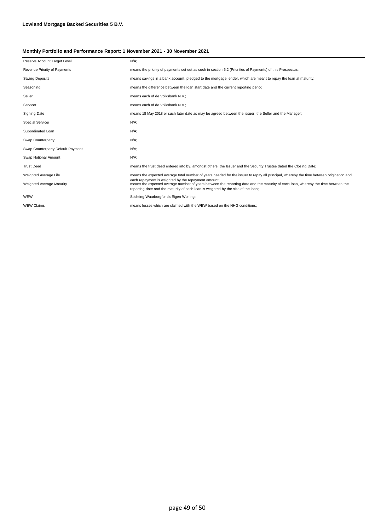| Reserve Account Target Level      | $N/A$ :                                                                                                                                                                                                                                                                       |
|-----------------------------------|-------------------------------------------------------------------------------------------------------------------------------------------------------------------------------------------------------------------------------------------------------------------------------|
| Revenue Priority of Payments      | means the priority of payments set out as such in section 5.2 (Priorities of Payments) of this Prospectus;                                                                                                                                                                    |
| Saving Deposits                   | means savings in a bank account, pledged to the mortgage lender, which are meant to repay the loan at maturity;                                                                                                                                                               |
| Seasoning                         | means the difference between the loan start date and the current reporting period;                                                                                                                                                                                            |
| Seller                            | means each of de Volksbank N.V.;                                                                                                                                                                                                                                              |
| Servicer                          | means each of de Volksbank N.V.;                                                                                                                                                                                                                                              |
| Signing Date                      | means 18 May 2018 or such later date as may be agreed between the Issuer, the Seller and the Manager;                                                                                                                                                                         |
| <b>Special Servicer</b>           | $N/A$ ;                                                                                                                                                                                                                                                                       |
| Subordinated Loan                 | $N/A$ ;                                                                                                                                                                                                                                                                       |
| Swap Counterparty                 | $N/A$ ;                                                                                                                                                                                                                                                                       |
| Swap Counterparty Default Payment | $N/A$ ;                                                                                                                                                                                                                                                                       |
| Swap Notional Amount              | $N/A$ ;                                                                                                                                                                                                                                                                       |
| <b>Trust Deed</b>                 | means the trust deed entered into by, amongst others, the Issuer and the Security Trustee dated the Closing Date;                                                                                                                                                             |
| Weighted Average Life             | means the expected average total number of years needed for the issuer to repay all principal, whereby the time between origination and                                                                                                                                       |
| <b>Weighted Average Maturity</b>  | each repayment is weighted by the repayment amount;<br>means the expected average number of years between the reporting date and the maturity of each loan, whereby the time between the<br>reporting date and the maturity of each loan is weighted by the size of the loan; |
| WEW                               | Stichting Waarborgfonds Eigen Woning;                                                                                                                                                                                                                                         |
| <b>WEW Claims</b>                 | means losses which are claimed with the WEW based on the NHG conditions:                                                                                                                                                                                                      |